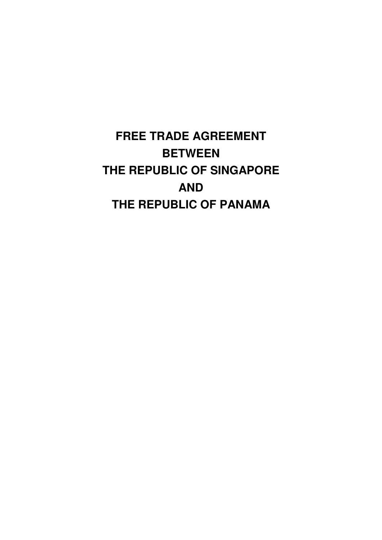**FREE TRADE AGREEMENT BETWEEN THE REPUBLIC OF SINGAPORE AND THE REPUBLIC OF PANAMA**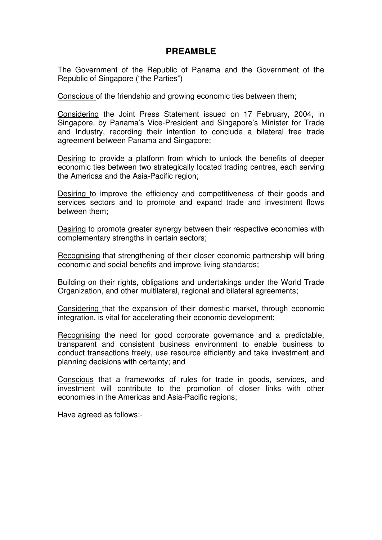# **PREAMBLE**

The Government of the Republic of Panama and the Government of the Republic of Singapore ("the Parties")

Conscious of the friendship and growing economic ties between them;

Considering the Joint Press Statement issued on 17 February, 2004, in Singapore, by Panama's Vice-President and Singapore's Minister for Trade and Industry, recording their intention to conclude a bilateral free trade agreement between Panama and Singapore;

Desiring to provide a platform from which to unlock the benefits of deeper economic ties between two strategically located trading centres, each serving the Americas and the Asia-Pacific region;

Desiring to improve the efficiency and competitiveness of their goods and services sectors and to promote and expand trade and investment flows between them;

Desiring to promote greater synergy between their respective economies with complementary strengths in certain sectors;

Recognising that strengthening of their closer economic partnership will bring economic and social benefits and improve living standards;

Building on their rights, obligations and undertakings under the World Trade Organization, and other multilateral, regional and bilateral agreements;

Considering that the expansion of their domestic market, through economic integration, is vital for accelerating their economic development;

Recognising the need for good corporate governance and a predictable, transparent and consistent business environment to enable business to conduct transactions freely, use resource efficiently and take investment and planning decisions with certainty; and

Conscious that a frameworks of rules for trade in goods, services, and investment will contribute to the promotion of closer links with other economies in the Americas and Asia-Pacific regions;

Have agreed as follows:-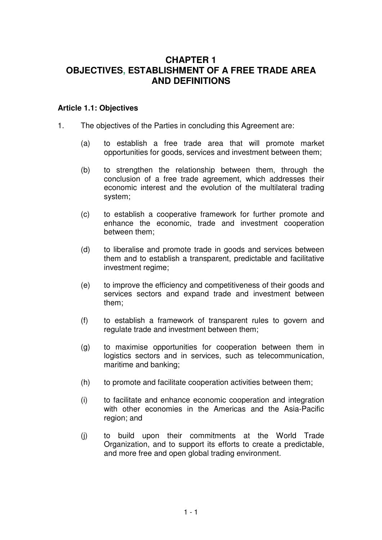# **CHAPTER 1 OBJECTIVES, ESTABLISHMENT OF A FREE TRADE AREA AND DEFINITIONS**

### **Article 1.1: Objectives**

- 1. The objectives of the Parties in concluding this Agreement are:
	- (a) to establish a free trade area that will promote market opportunities for goods, services and investment between them;
	- (b) to strengthen the relationship between them, through the conclusion of a free trade agreement, which addresses their economic interest and the evolution of the multilateral trading system;
	- (c) to establish a cooperative framework for further promote and enhance the economic, trade and investment cooperation between them;
	- (d) to liberalise and promote trade in goods and services between them and to establish a transparent, predictable and facilitative investment regime;
	- (e) to improve the efficiency and competitiveness of their goods and services sectors and expand trade and investment between them;
	- (f) to establish a framework of transparent rules to govern and regulate trade and investment between them;
	- (g) to maximise opportunities for cooperation between them in logistics sectors and in services, such as telecommunication, maritime and banking;
	- (h) to promote and facilitate cooperation activities between them;
	- (i) to facilitate and enhance economic cooperation and integration with other economies in the Americas and the Asia-Pacific region; and
	- (j) to build upon their commitments at the World Trade Organization, and to support its efforts to create a predictable, and more free and open global trading environment.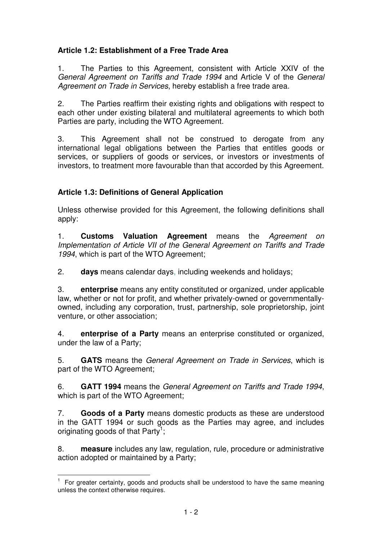# **Article 1.2: Establishment of a Free Trade Area**

1. The Parties to this Agreement, consistent with Article XXIV of the General Agreement on Tariffs and Trade 1994 and Article V of the General Agreement on Trade in Services, hereby establish a free trade area.

2. The Parties reaffirm their existing rights and obligations with respect to each other under existing bilateral and multilateral agreements to which both Parties are party, including the WTO Agreement.

3. This Agreement shall not be construed to derogate from any international legal obligations between the Parties that entitles goods or services, or suppliers of goods or services, or investors or investments of investors, to treatment more favourable than that accorded by this Agreement.

# **Article 1.3: Definitions of General Application**

Unless otherwise provided for this Agreement, the following definitions shall apply:

1. **Customs Valuation Agreement** means the Agreement on Implementation of Article VII of the General Agreement on Tariffs and Trade 1994, which is part of the WTO Agreement;

2. **days** means calendar days, including weekends and holidays;

3. **enterprise** means any entity constituted or organized, under applicable law, whether or not for profit, and whether privately-owned or governmentallyowned, including any corporation, trust, partnership, sole proprietorship, joint venture, or other association;

4. **enterprise of a Party** means an enterprise constituted or organized, under the law of a Party;

5. **GATS** means the General Agreement on Trade in Services, which is part of the WTO Agreement;

6. **GATT 1994** means the General Agreement on Tariffs and Trade 1994, which is part of the WTO Agreement;

7. **Goods of a Party** means domestic products as these are understood in the GATT 1994 or such goods as the Parties may agree, and includes originating goods of that Party<sup>1</sup>;

8. **measure** includes any law, regulation, rule, procedure or administrative action adopted or maintained by a Party;

 $\overline{a}$ 

 $1$  For greater certainty, goods and products shall be understood to have the same meaning unless the context otherwise requires.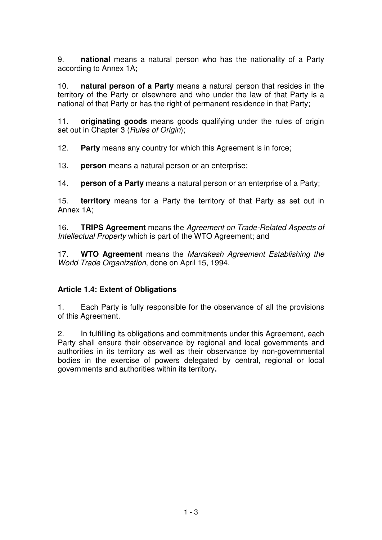9. **national** means a natural person who has the nationality of a Party according to Annex 1A;

10. **natural person of a Party** means a natural person that resides in the territory of the Party or elsewhere and who under the law of that Party is a national of that Party or has the right of permanent residence in that Party;

11. **originating goods** means goods qualifying under the rules of origin set out in Chapter 3 (Rules of Origin);

12. **Party** means any country for which this Agreement is in force;

13. **person** means a natural person or an enterprise;

14. **person of a Party** means a natural person or an enterprise of a Party;

15. **territory** means for a Party the territory of that Party as set out in Annex 1A;

16. **TRIPS Agreement** means the Agreement on Trade-Related Aspects of Intellectual Property which is part of the WTO Agreement; and

17. **WTO Agreement** means the Marrakesh Agreement Establishing the World Trade Organization, done on April 15, 1994.

## **Article 1.4: Extent of Obligations**

1. Each Party is fully responsible for the observance of all the provisions of this Agreement.

2. In fulfilling its obligations and commitments under this Agreement, each Party shall ensure their observance by regional and local governments and authorities in its territory as well as their observance by non-governmental bodies in the exercise of powers delegated by central, regional or local governments and authorities within its territory**.**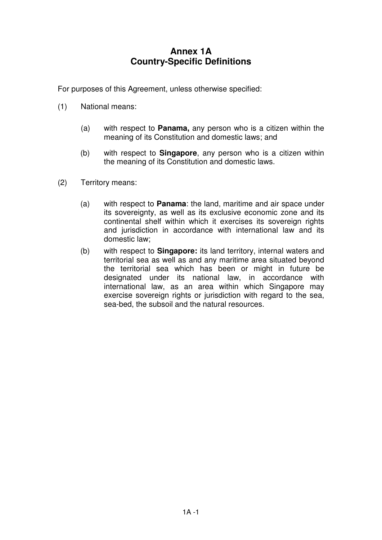# **Annex 1A Country-Specific Definitions**

For purposes of this Agreement, unless otherwise specified:

- (1) National means:
	- (a) with respect to **Panama,** any person who is a citizen within the meaning of its Constitution and domestic laws; and
	- (b) with respect to **Singapore**, any person who is a citizen within the meaning of its Constitution and domestic laws.
- (2) Territory means:
	- (a) with respect to **Panama**: the land, maritime and air space under its sovereignty, as well as its exclusive economic zone and its continental shelf within which it exercises its sovereign rights and jurisdiction in accordance with international law and its domestic law;
	- (b) with respect to **Singapore:** its land territory, internal waters and territorial sea as well as and any maritime area situated beyond the territorial sea which has been or might in future be designated under its national law, in accordance with international law, as an area within which Singapore may exercise sovereign rights or jurisdiction with regard to the sea, sea-bed, the subsoil and the natural resources.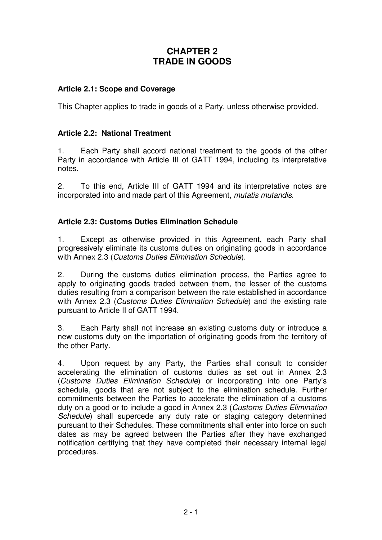# **CHAPTER 2 TRADE IN GOODS**

### **Article 2.1: Scope and Coverage**

This Chapter applies to trade in goods of a Party, unless otherwise provided.

### **Article 2.2: National Treatment**

1. Each Party shall accord national treatment to the goods of the other Party in accordance with Article III of GATT 1994, including its interpretative notes.

2. To this end, Article III of GATT 1994 and its interpretative notes are incorporated into and made part of this Agreement, mutatis mutandis.

### **Article 2.3: Customs Duties Elimination Schedule**

1. Except as otherwise provided in this Agreement, each Party shall progressively eliminate its customs duties on originating goods in accordance with Annex 2.3 (Customs Duties Elimination Schedule).

2. During the customs duties elimination process, the Parties agree to apply to originating goods traded between them, the lesser of the customs duties resulting from a comparison between the rate established in accordance with Annex 2.3 (Customs Duties Elimination Schedule) and the existing rate pursuant to Article II of GATT 1994.

3. Each Party shall not increase an existing customs duty or introduce a new customs duty on the importation of originating goods from the territory of the other Party.

4. Upon request by any Party, the Parties shall consult to consider accelerating the elimination of customs duties as set out in Annex 2.3 (Customs Duties Elimination Schedule) or incorporating into one Party's schedule, goods that are not subject to the elimination schedule. Further commitments between the Parties to accelerate the elimination of a customs duty on a good or to include a good in Annex 2.3 (Customs Duties Elimination Schedule) shall supercede any duty rate or staging category determined pursuant to their Schedules. These commitments shall enter into force on such dates as may be agreed between the Parties after they have exchanged notification certifying that they have completed their necessary internal legal procedures.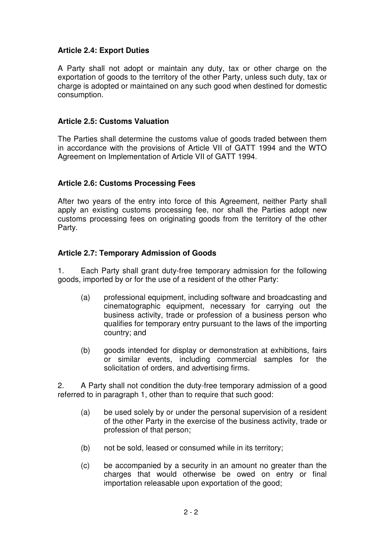## **Article 2.4: Export Duties**

A Party shall not adopt or maintain any duty, tax or other charge on the exportation of goods to the territory of the other Party, unless such duty, tax or charge is adopted or maintained on any such good when destined for domestic consumption.

### **Article 2.5: Customs Valuation**

The Parties shall determine the customs value of goods traded between them in accordance with the provisions of Article VII of GATT 1994 and the WTO Agreement on Implementation of Article VII of GATT 1994.

### **Article 2.6: Customs Processing Fees**

After two years of the entry into force of this Agreement, neither Party shall apply an existing customs processing fee, nor shall the Parties adopt new customs processing fees on originating goods from the territory of the other Party.

### **Article 2.7: Temporary Admission of Goods**

1. Each Party shall grant duty-free temporary admission for the following goods, imported by or for the use of a resident of the other Party:

- (a) professional equipment, including software and broadcasting and cinematographic equipment, necessary for carrying out the business activity, trade or profession of a business person who qualifies for temporary entry pursuant to the laws of the importing country; and
- (b) goods intended for display or demonstration at exhibitions, fairs or similar events, including commercial samples for the solicitation of orders, and advertising firms.

2. A Party shall not condition the duty-free temporary admission of a good referred to in paragraph 1, other than to require that such good:

- (a) be used solely by or under the personal supervision of a resident of the other Party in the exercise of the business activity, trade or profession of that person;
- (b) not be sold, leased or consumed while in its territory;
- (c) be accompanied by a security in an amount no greater than the charges that would otherwise be owed on entry or final importation releasable upon exportation of the good;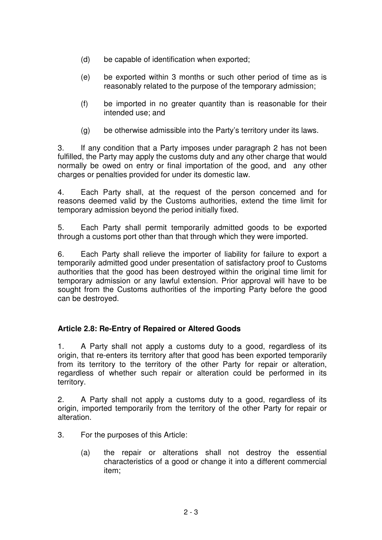- (d) be capable of identification when exported;
- (e) be exported within 3 months or such other period of time as is reasonably related to the purpose of the temporary admission;
- (f) be imported in no greater quantity than is reasonable for their intended use; and
- (g) be otherwise admissible into the Party's territory under its laws.

3. If any condition that a Party imposes under paragraph 2 has not been fulfilled, the Party may apply the customs duty and any other charge that would normally be owed on entry or final importation of the good, and any other charges or penalties provided for under its domestic law.

4. Each Party shall, at the request of the person concerned and for reasons deemed valid by the Customs authorities, extend the time limit for temporary admission beyond the period initially fixed.

5. Each Party shall permit temporarily admitted goods to be exported through a customs port other than that through which they were imported.

6. Each Party shall relieve the importer of liability for failure to export a temporarily admitted good under presentation of satisfactory proof to Customs authorities that the good has been destroyed within the original time limit for temporary admission or any lawful extension. Prior approval will have to be sought from the Customs authorities of the importing Party before the good can be destroyed.

## **Article 2.8: Re-Entry of Repaired or Altered Goods**

1. A Party shall not apply a customs duty to a good, regardless of its origin, that re-enters its territory after that good has been exported temporarily from its territory to the territory of the other Party for repair or alteration, regardless of whether such repair or alteration could be performed in its territory.

2. A Party shall not apply a customs duty to a good, regardless of its origin, imported temporarily from the territory of the other Party for repair or alteration.

- 3. For the purposes of this Article:
	- (a) the repair or alterations shall not destroy the essential characteristics of a good or change it into a different commercial item;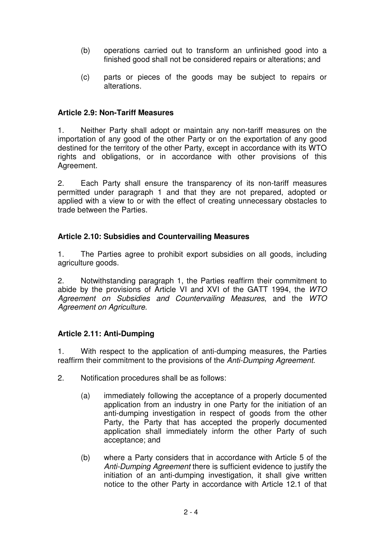- (b) operations carried out to transform an unfinished good into a finished good shall not be considered repairs or alterations; and
- (c) parts or pieces of the goods may be subject to repairs or alterations.

### **Article 2.9: Non-Tariff Measures**

1. Neither Party shall adopt or maintain any non-tariff measures on the importation of any good of the other Party or on the exportation of any good destined for the territory of the other Party, except in accordance with its WTO rights and obligations, or in accordance with other provisions of this Agreement.

2. Each Party shall ensure the transparency of its non-tariff measures permitted under paragraph 1 and that they are not prepared, adopted or applied with a view to or with the effect of creating unnecessary obstacles to trade between the Parties.

### **Article 2.10: Subsidies and Countervailing Measures**

1. The Parties agree to prohibit export subsidies on all goods, including agriculture goods.

2. Notwithstanding paragraph 1, the Parties reaffirm their commitment to abide by the provisions of Article VI and XVI of the GATT 1994, the WTO Agreement on Subsidies and Countervailing Measures, and the WTO Agreement on Agriculture.

## **Article 2.11: Anti-Dumping**

1. With respect to the application of anti-dumping measures, the Parties reaffirm their commitment to the provisions of the Anti-Dumping Agreement.

- 2. Notification procedures shall be as follows:
	- (a) immediately following the acceptance of a properly documented application from an industry in one Party for the initiation of an anti-dumping investigation in respect of goods from the other Party, the Party that has accepted the properly documented application shall immediately inform the other Party of such acceptance; and
	- (b) where a Party considers that in accordance with Article 5 of the Anti-Dumping Agreement there is sufficient evidence to justify the initiation of an anti-dumping investigation, it shall give written notice to the other Party in accordance with Article 12.1 of that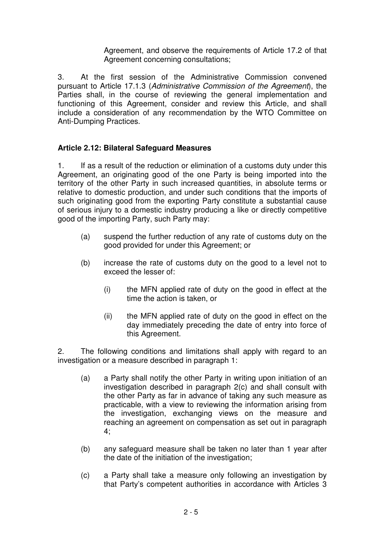Agreement, and observe the requirements of Article 17.2 of that Agreement concerning consultations;

3. At the first session of the Administrative Commission convened pursuant to Article 17.1.3 (Administrative Commission of the Agreement), the Parties shall, in the course of reviewing the general implementation and functioning of this Agreement, consider and review this Article, and shall include a consideration of any recommendation by the WTO Committee on Anti-Dumping Practices.

## **Article 2.12: Bilateral Safeguard Measures**

1. If as a result of the reduction or elimination of a customs duty under this Agreement, an originating good of the one Party is being imported into the territory of the other Party in such increased quantities, in absolute terms or relative to domestic production, and under such conditions that the imports of such originating good from the exporting Party constitute a substantial cause of serious injury to a domestic industry producing a like or directly competitive good of the importing Party, such Party may:

- (a) suspend the further reduction of any rate of customs duty on the good provided for under this Agreement; or
- (b) increase the rate of customs duty on the good to a level not to exceed the lesser of:
	- (i) the MFN applied rate of duty on the good in effect at the time the action is taken, or
	- (ii) the MFN applied rate of duty on the good in effect on the day immediately preceding the date of entry into force of this Agreement.

2. The following conditions and limitations shall apply with regard to an investigation or a measure described in paragraph 1:

- (a) a Party shall notify the other Party in writing upon initiation of an investigation described in paragraph 2(c) and shall consult with the other Party as far in advance of taking any such measure as practicable, with a view to reviewing the information arising from the investigation, exchanging views on the measure and reaching an agreement on compensation as set out in paragraph 4;
- (b) any safeguard measure shall be taken no later than 1 year after the date of the initiation of the investigation;
- (c) a Party shall take a measure only following an investigation by that Party's competent authorities in accordance with Articles 3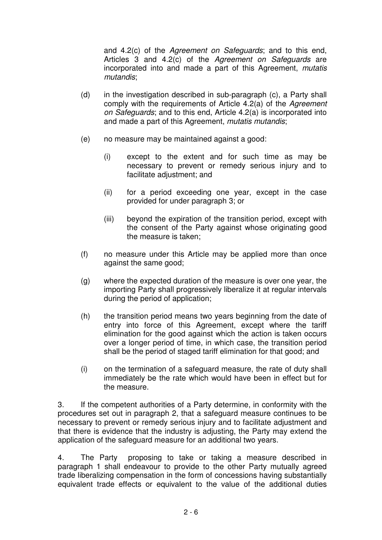and 4.2(c) of the Agreement on Safeguards; and to this end, Articles 3 and 4.2(c) of the Agreement on Safeguards are incorporated into and made a part of this Agreement, *mutatis* mutandis;

- (d) in the investigation described in sub-paragraph (c), a Party shall comply with the requirements of Article 4.2(a) of the Agreement on Safeguards; and to this end, Article 4.2(a) is incorporated into and made a part of this Agreement, mutatis mutandis;
- (e) no measure may be maintained against a good:
	- (i) except to the extent and for such time as may be necessary to prevent or remedy serious injury and to facilitate adjustment; and
	- (ii) for a period exceeding one year, except in the case provided for under paragraph 3; or
	- (iii) beyond the expiration of the transition period, except with the consent of the Party against whose originating good the measure is taken;
- (f) no measure under this Article may be applied more than once against the same good;
- (g) where the expected duration of the measure is over one year, the importing Party shall progressively liberalize it at regular intervals during the period of application;
- (h) the transition period means two years beginning from the date of entry into force of this Agreement, except where the tariff elimination for the good against which the action is taken occurs over a longer period of time, in which case, the transition period shall be the period of staged tariff elimination for that good; and
- (i) on the termination of a safeguard measure, the rate of duty shall immediately be the rate which would have been in effect but for the measure.

3. If the competent authorities of a Party determine, in conformity with the procedures set out in paragraph 2, that a safeguard measure continues to be necessary to prevent or remedy serious injury and to facilitate adjustment and that there is evidence that the industry is adjusting, the Party may extend the application of the safeguard measure for an additional two years.

4. The Party proposing to take or taking a measure described in paragraph 1 shall endeavour to provide to the other Party mutually agreed trade liberalizing compensation in the form of concessions having substantially equivalent trade effects or equivalent to the value of the additional duties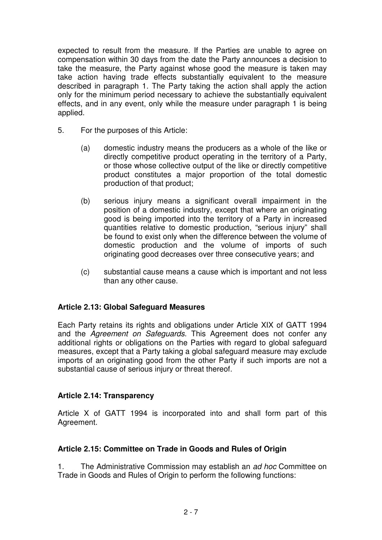expected to result from the measure. If the Parties are unable to agree on compensation within 30 days from the date the Party announces a decision to take the measure, the Party against whose good the measure is taken may take action having trade effects substantially equivalent to the measure described in paragraph 1. The Party taking the action shall apply the action only for the minimum period necessary to achieve the substantially equivalent effects, and in any event, only while the measure under paragraph 1 is being applied.

- 5. For the purposes of this Article:
	- (a) domestic industry means the producers as a whole of the like or directly competitive product operating in the territory of a Party, or those whose collective output of the like or directly competitive product constitutes a major proportion of the total domestic production of that product;
	- (b) serious injury means a significant overall impairment in the position of a domestic industry, except that where an originating good is being imported into the territory of a Party in increased quantities relative to domestic production, "serious injury" shall be found to exist only when the difference between the volume of domestic production and the volume of imports of such originating good decreases over three consecutive years; and
	- (c) substantial cause means a cause which is important and not less than any other cause.

### **Article 2.13: Global Safeguard Measures**

Each Party retains its rights and obligations under Article XIX of GATT 1994 and the Agreement on Safeguards. This Agreement does not confer any additional rights or obligations on the Parties with regard to global safeguard measures, except that a Party taking a global safeguard measure may exclude imports of an originating good from the other Party if such imports are not a substantial cause of serious injury or threat thereof.

## **Article 2.14: Transparency**

Article X of GATT 1994 is incorporated into and shall form part of this Agreement.

### **Article 2.15: Committee on Trade in Goods and Rules of Origin**

1. The Administrative Commission may establish an ad hoc Committee on Trade in Goods and Rules of Origin to perform the following functions: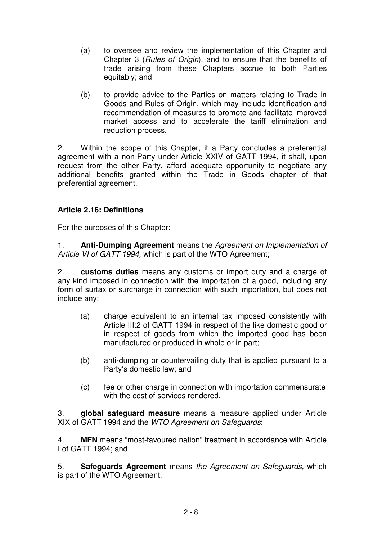- (a) to oversee and review the implementation of this Chapter and Chapter 3 (Rules of Origin), and to ensure that the benefits of trade arising from these Chapters accrue to both Parties equitably; and
- (b) to provide advice to the Parties on matters relating to Trade in Goods and Rules of Origin, which may include identification and recommendation of measures to promote and facilitate improved market access and to accelerate the tariff elimination and reduction process.

2. Within the scope of this Chapter, if a Party concludes a preferential agreement with a non-Party under Article XXIV of GATT 1994, it shall, upon request from the other Party, afford adequate opportunity to negotiate any additional benefits granted within the Trade in Goods chapter of that preferential agreement.

# **Article 2.16: Definitions**

For the purposes of this Chapter:

1. **Anti-Dumping Agreement** means the Agreement on Implementation of Article VI of GATT 1994, which is part of the WTO Agreement;

2. **customs duties** means any customs or import duty and a charge of any kind imposed in connection with the importation of a good, including any form of surtax or surcharge in connection with such importation, but does not include any:

- (a) charge equivalent to an internal tax imposed consistently with Article III:2 of GATT 1994 in respect of the like domestic good or in respect of goods from which the imported good has been manufactured or produced in whole or in part;
- (b) anti-dumping or countervailing duty that is applied pursuant to a Party's domestic law; and
- (c) fee or other charge in connection with importation commensurate with the cost of services rendered.

3. **global safeguard measure** means a measure applied under Article XIX of GATT 1994 and the WTO Agreement on Safeguards;

4. **MFN** means "most-favoured nation" treatment in accordance with Article I of GATT 1994; and

5. **Safeguards Agreement** means the Agreement on Safeguards, which is part of the WTO Agreement.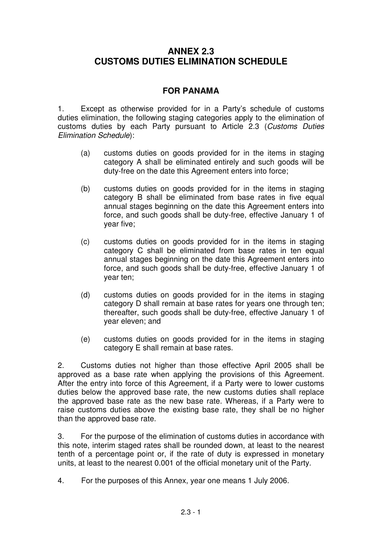# **ANNEX 2.3 CUSTOMS DUTIES ELIMINATION SCHEDULE**

# **FOR PANAMA**

1. Except as otherwise provided for in a Party's schedule of customs duties elimination, the following staging categories apply to the elimination of customs duties by each Party pursuant to Article 2.3 (Customs Duties Elimination Schedule):

- (a) customs duties on goods provided for in the items in staging category A shall be eliminated entirely and such goods will be duty-free on the date this Agreement enters into force;
- (b) customs duties on goods provided for in the items in staging category B shall be eliminated from base rates in five equal annual stages beginning on the date this Agreement enters into force, and such goods shall be duty-free, effective January 1 of year five;
- (c) customs duties on goods provided for in the items in staging category C shall be eliminated from base rates in ten equal annual stages beginning on the date this Agreement enters into force, and such goods shall be duty-free, effective January 1 of year ten;
- (d) customs duties on goods provided for in the items in staging category D shall remain at base rates for years one through ten; thereafter, such goods shall be duty-free, effective January 1 of year eleven; and
- (e) customs duties on goods provided for in the items in staging category E shall remain at base rates.

2. Customs duties not higher than those effective April 2005 shall be approved as a base rate when applying the provisions of this Agreement. After the entry into force of this Agreement, if a Party were to lower customs duties below the approved base rate, the new customs duties shall replace the approved base rate as the new base rate. Whereas, if a Party were to raise customs duties above the existing base rate, they shall be no higher than the approved base rate.

3. For the purpose of the elimination of customs duties in accordance with this note, interim staged rates shall be rounded down, at least to the nearest tenth of a percentage point or, if the rate of duty is expressed in monetary units, at least to the nearest 0.001 of the official monetary unit of the Party.

4. For the purposes of this Annex, year one means 1 July 2006.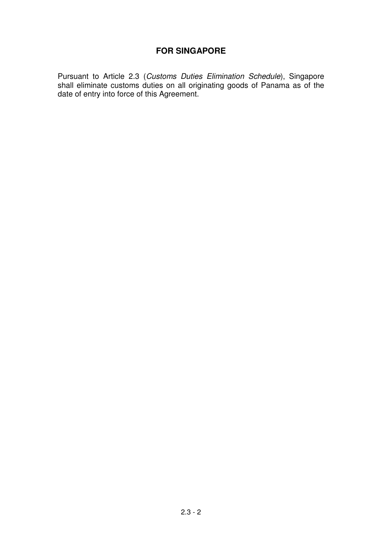# **FOR SINGAPORE**

Pursuant to Article 2.3 (Customs Duties Elimination Schedule), Singapore shall eliminate customs duties on all originating goods of Panama as of the date of entry into force of this Agreement.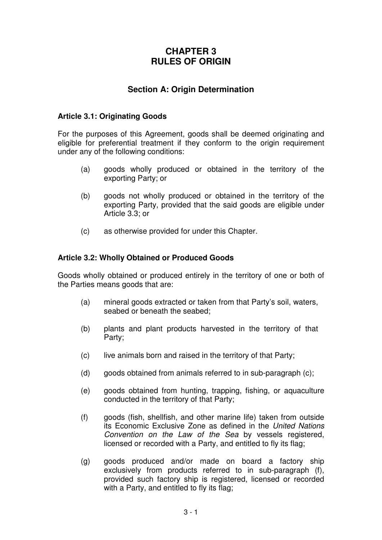# **CHAPTER 3 RULES OF ORIGIN**

# **Section A: Origin Determination**

### **Article 3.1: Originating Goods**

For the purposes of this Agreement, goods shall be deemed originating and eligible for preferential treatment if they conform to the origin requirement under any of the following conditions:

- (a) goods wholly produced or obtained in the territory of the exporting Party; or
- (b) goods not wholly produced or obtained in the territory of the exporting Party, provided that the said goods are eligible under Article 3.3; or
- (c) as otherwise provided for under this Chapter.

### **Article 3.2: Wholly Obtained or Produced Goods**

Goods wholly obtained or produced entirely in the territory of one or both of the Parties means goods that are:

- (a) mineral goods extracted or taken from that Party's soil, waters, seabed or beneath the seabed;
- (b) plants and plant products harvested in the territory of that Party;
- (c) live animals born and raised in the territory of that Party;
- (d) goods obtained from animals referred to in sub-paragraph (c);
- (e) goods obtained from hunting, trapping, fishing, or aquaculture conducted in the territory of that Party;
- (f) goods (fish, shellfish, and other marine life) taken from outside its Economic Exclusive Zone as defined in the United Nations Convention on the Law of the Sea by vessels registered, licensed or recorded with a Party, and entitled to fly its flag;
- (g) goods produced and/or made on board a factory ship exclusively from products referred to in sub-paragraph (f), provided such factory ship is registered, licensed or recorded with a Party, and entitled to fly its flag;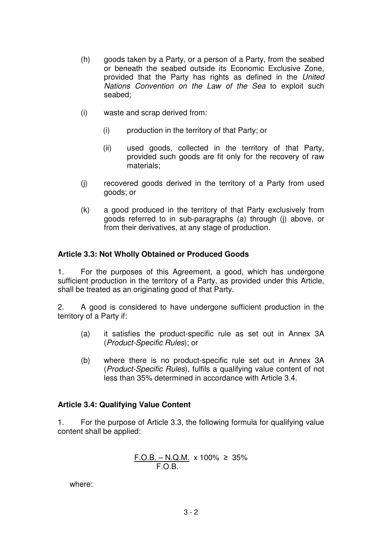- (h) goods taken by a Party, or a person of a Party, from the seabed or beneath the seabed outside its Economic Exclusive Zone, provided that the Party has rights as defined in the United Nations Convention on the Law of the Sea to exploit such seabed;
- (i) waste and scrap derived from:
	- (i) production in the territory of that Party; or
	- (ii) used goods, collected in the territory of that Party, provided such goods are fit only for the recovery of raw materials;
- (j) recovered goods derived in the territory of a Party from used goods; or
- (k) a good produced in the territory of that Party exclusively from goods referred to in sub-paragraphs (a) through (j) above, or from their derivatives, at any stage of production.

### **Article 3.3: Not Wholly Obtained or Produced Goods**

1. For the purposes of this Agreement, a good, which has undergone sufficient production in the territory of a Party, as provided under this Article, shall be treated as an originating good of that Party.

2. A good is considered to have undergone sufficient production in the territory of a Party if:

- (a) it satisfies the product-specific rule as set out in Annex 3A (Product-Specific Rules); or
- (b) where there is no product-specific rule set out in Annex 3A (Product-Specific Rules), fulfils a qualifying value content of not less than 35% determined in accordance with Article 3.4.

### **Article 3.4: Qualifying Value Content**

1. For the purpose of Article 3.3, the following formula for qualifying value content shall be applied:

$$
\frac{F.O.B. - N.Q.M.}{F.O.B.} \times 100\% \ge 35\%
$$

where: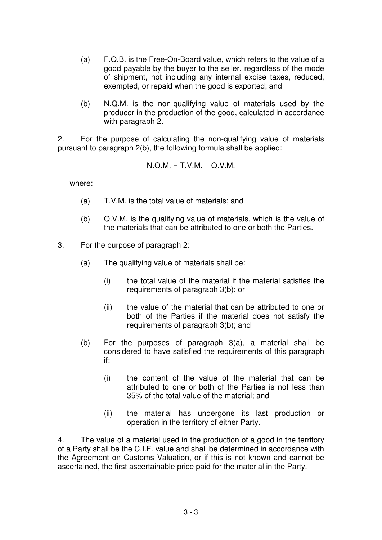- (a) F.O.B. is the Free-On-Board value, which refers to the value of a good payable by the buyer to the seller, regardless of the mode of shipment, not including any internal excise taxes, reduced, exempted, or repaid when the good is exported; and
- (b) N.Q.M. is the non-qualifying value of materials used by the producer in the production of the good, calculated in accordance with paragraph 2.

2. For the purpose of calculating the non-qualifying value of materials pursuant to paragraph 2(b), the following formula shall be applied:

$$
N.Q.M. = T.V.M. - Q.V.M.
$$

where:

- (a) T.V.M. is the total value of materials; and
- (b) Q.V.M. is the qualifying value of materials, which is the value of the materials that can be attributed to one or both the Parties.
- 3. For the purpose of paragraph 2:
	- (a) The qualifying value of materials shall be:
		- (i) the total value of the material if the material satisfies the requirements of paragraph 3(b); or
		- (ii) the value of the material that can be attributed to one or both of the Parties if the material does not satisfy the requirements of paragraph 3(b); and
	- (b) For the purposes of paragraph 3(a), a material shall be considered to have satisfied the requirements of this paragraph if:
		- (i) the content of the value of the material that can be attributed to one or both of the Parties is not less than 35% of the total value of the material; and
		- (ii) the material has undergone its last production or operation in the territory of either Party.

4. The value of a material used in the production of a good in the territory of a Party shall be the C.I.F. value and shall be determined in accordance with the Agreement on Customs Valuation, or if this is not known and cannot be ascertained, the first ascertainable price paid for the material in the Party.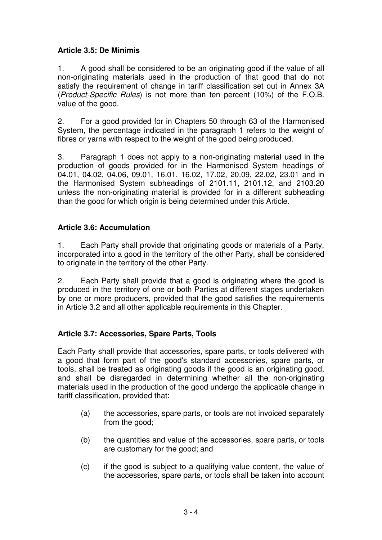## **Article 3.5: De Minimis**

1. A good shall be considered to be an originating good if the value of all non-originating materials used in the production of that good that do not satisfy the requirement of change in tariff classification set out in Annex 3A (Product-Specific Rules) is not more than ten percent (10%) of the F.O.B. value of the good.

2. For a good provided for in Chapters 50 through 63 of the Harmonised System, the percentage indicated in the paragraph 1 refers to the weight of fibres or yarns with respect to the weight of the good being produced.

3. Paragraph 1 does not apply to a non-originating material used in the production of goods provided for in the Harmonised System headings of 04.01, 04.02, 04.06, 09.01, 16.01, 16.02, 17.02, 20.09, 22.02, 23.01 and in the Harmonised System subheadings of 2101.11, 2101.12, and 2103.20 unless the non-originating material is provided for in a different subheading than the good for which origin is being determined under this Article.

# **Article 3.6: Accumulation**

1. Each Party shall provide that originating goods or materials of a Party, incorporated into a good in the territory of the other Party, shall be considered to originate in the territory of the other Party.

2. Each Party shall provide that a good is originating where the good is produced in the territory of one or both Parties at different stages undertaken by one or more producers, provided that the good satisfies the requirements in Article 3.2 and all other applicable requirements in this Chapter.

# **Article 3.7: Accessories, Spare Parts, Tools**

Each Party shall provide that accessories, spare parts, or tools delivered with a good that form part of the good's standard accessories, spare parts, or tools, shall be treated as originating goods if the good is an originating good, and shall be disregarded in determining whether all the non-originating materials used in the production of the good undergo the applicable change in tariff classification, provided that:

- (a) the accessories, spare parts, or tools are not invoiced separately from the good;
- (b) the quantities and value of the accessories, spare parts, or tools are customary for the good; and
- (c) if the good is subject to a qualifying value content, the value of the accessories, spare parts, or tools shall be taken into account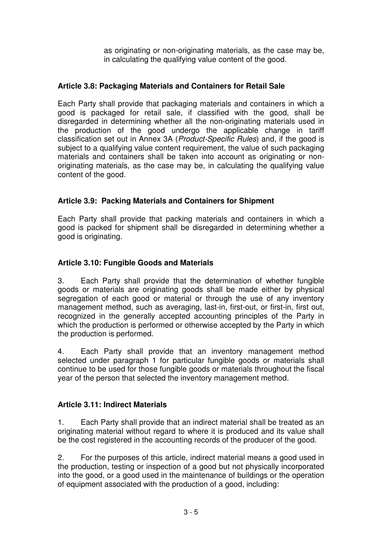as originating or non-originating materials, as the case may be, in calculating the qualifying value content of the good.

# **Article 3.8: Packaging Materials and Containers for Retail Sale**

Each Party shall provide that packaging materials and containers in which a good is packaged for retail sale, if classified with the good, shall be disregarded in determining whether all the non-originating materials used in the production of the good undergo the applicable change in tariff classification set out in Annex 3A (Product-Specific Rules) and, if the good is subject to a qualifying value content requirement, the value of such packaging materials and containers shall be taken into account as originating or nonoriginating materials, as the case may be, in calculating the qualifying value content of the good.

# **Article 3.9: Packing Materials and Containers for Shipment**

Each Party shall provide that packing materials and containers in which a good is packed for shipment shall be disregarded in determining whether a good is originating.

# **Article 3.10: Fungible Goods and Materials**

3. Each Party shall provide that the determination of whether fungible goods or materials are originating goods shall be made either by physical segregation of each good or material or through the use of any inventory management method, such as averaging, last-in, first-out, or first-in, first out, recognized in the generally accepted accounting principles of the Party in which the production is performed or otherwise accepted by the Party in which the production is performed.

4. Each Party shall provide that an inventory management method selected under paragraph 1 for particular fungible goods or materials shall continue to be used for those fungible goods or materials throughout the fiscal year of the person that selected the inventory management method.

## **Article 3.11: Indirect Materials**

1. Each Party shall provide that an indirect material shall be treated as an originating material without regard to where it is produced and its value shall be the cost registered in the accounting records of the producer of the good.

2. For the purposes of this article, indirect material means a good used in the production, testing or inspection of a good but not physically incorporated into the good, or a good used in the maintenance of buildings or the operation of equipment associated with the production of a good, including: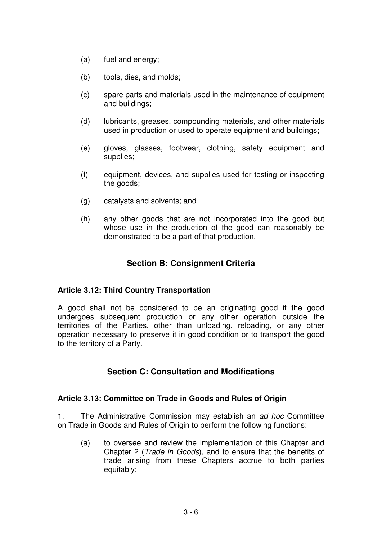- (a) fuel and energy;
- (b) tools, dies, and molds;
- (c) spare parts and materials used in the maintenance of equipment and buildings;
- (d) lubricants, greases, compounding materials, and other materials used in production or used to operate equipment and buildings;
- (e) gloves, glasses, footwear, clothing, safety equipment and supplies;
- (f) equipment, devices, and supplies used for testing or inspecting the goods;
- (g) catalysts and solvents; and
- (h) any other goods that are not incorporated into the good but whose use in the production of the good can reasonably be demonstrated to be a part of that production.

# **Section B: Consignment Criteria**

## **Article 3.12: Third Country Transportation**

A good shall not be considered to be an originating good if the good undergoes subsequent production or any other operation outside the territories of the Parties, other than unloading, reloading, or any other operation necessary to preserve it in good condition or to transport the good to the territory of a Party.

# **Section C: Consultation and Modifications**

### **Article 3.13: Committee on Trade in Goods and Rules of Origin**

1. The Administrative Commission may establish an ad hoc Committee on Trade in Goods and Rules of Origin to perform the following functions:

(a) to oversee and review the implementation of this Chapter and Chapter 2 (Trade in Goods), and to ensure that the benefits of trade arising from these Chapters accrue to both parties equitably;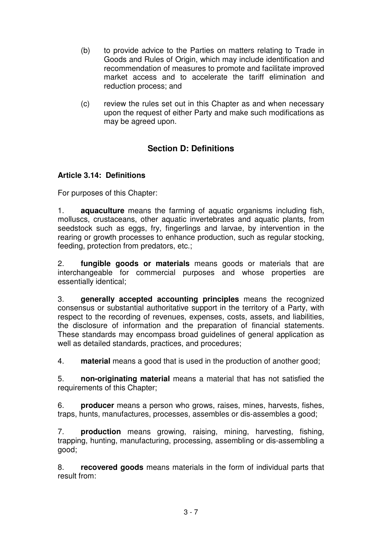- (b) to provide advice to the Parties on matters relating to Trade in Goods and Rules of Origin, which may include identification and recommendation of measures to promote and facilitate improved market access and to accelerate the tariff elimination and reduction process; and
- (c) review the rules set out in this Chapter as and when necessary upon the request of either Party and make such modifications as may be agreed upon.

# **Section D: Definitions**

# **Article 3.14: Definitions**

For purposes of this Chapter:

1. **aquaculture** means the farming of aquatic organisms including fish, molluscs, crustaceans, other aquatic invertebrates and aquatic plants, from seedstock such as eggs, fry, fingerlings and larvae, by intervention in the rearing or growth processes to enhance production, such as regular stocking, feeding, protection from predators, etc.;

2. **fungible goods or materials** means goods or materials that are interchangeable for commercial purposes and whose properties are essentially identical;

3. **generally accepted accounting principles** means the recognized consensus or substantial authoritative support in the territory of a Party, with respect to the recording of revenues, expenses, costs, assets, and liabilities, the disclosure of information and the preparation of financial statements. These standards may encompass broad guidelines of general application as well as detailed standards, practices, and procedures;

4. **material** means a good that is used in the production of another good;

5. **non-originating material** means a material that has not satisfied the requirements of this Chapter;

6. **producer** means a person who grows, raises, mines, harvests, fishes, traps, hunts, manufactures, processes, assembles or dis-assembles a good;

7. **production** means growing, raising, mining, harvesting, fishing, trapping, hunting, manufacturing, processing, assembling or dis-assembling a good;

8. **recovered goods** means materials in the form of individual parts that result from: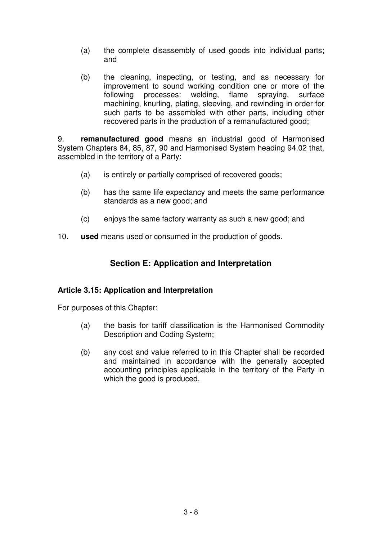- (a) the complete disassembly of used goods into individual parts; and
- (b) the cleaning, inspecting, or testing, and as necessary for improvement to sound working condition one or more of the following processes: welding, flame spraying, surface machining, knurling, plating, sleeving, and rewinding in order for such parts to be assembled with other parts, including other recovered parts in the production of a remanufactured good;

9. **remanufactured good** means an industrial good of Harmonised System Chapters 84, 85, 87, 90 and Harmonised System heading 94.02 that, assembled in the territory of a Party:

- (a) is entirely or partially comprised of recovered goods;
- (b) has the same life expectancy and meets the same performance standards as a new good; and
- (c) enjoys the same factory warranty as such a new good; and
- 10. **used** means used or consumed in the production of goods.

# **Section E: Application and Interpretation**

## **Article 3.15: Application and Interpretation**

For purposes of this Chapter:

- (a) the basis for tariff classification is the Harmonised Commodity Description and Coding System;
- (b) any cost and value referred to in this Chapter shall be recorded and maintained in accordance with the generally accepted accounting principles applicable in the territory of the Party in which the good is produced.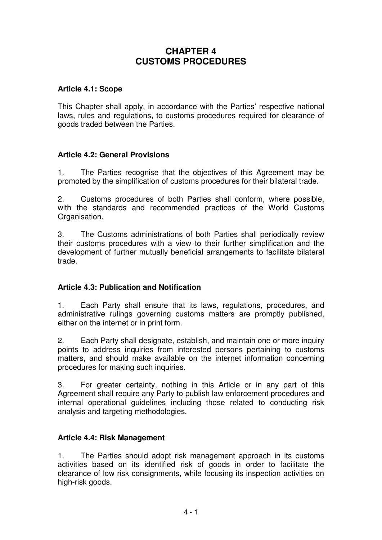# **CHAPTER 4 CUSTOMS PROCEDURES**

### **Article 4.1: Scope**

This Chapter shall apply, in accordance with the Parties' respective national laws, rules and regulations, to customs procedures required for clearance of goods traded between the Parties.

### **Article 4.2: General Provisions**

1. The Parties recognise that the objectives of this Agreement may be promoted by the simplification of customs procedures for their bilateral trade.

2. Customs procedures of both Parties shall conform, where possible, with the standards and recommended practices of the World Customs Organisation.

3. The Customs administrations of both Parties shall periodically review their customs procedures with a view to their further simplification and the development of further mutually beneficial arrangements to facilitate bilateral trade.

## **Article 4.3: Publication and Notification**

1. Each Party shall ensure that its laws, regulations, procedures, and administrative rulings governing customs matters are promptly published, either on the internet or in print form.

2. Each Party shall designate, establish, and maintain one or more inquiry points to address inquiries from interested persons pertaining to customs matters, and should make available on the internet information concerning procedures for making such inquiries.

3. For greater certainty, nothing in this Article or in any part of this Agreement shall require any Party to publish law enforcement procedures and internal operational guidelines including those related to conducting risk analysis and targeting methodologies.

### **Article 4.4: Risk Management**

1. The Parties should adopt risk management approach in its customs activities based on its identified risk of goods in order to facilitate the clearance of low risk consignments, while focusing its inspection activities on high-risk goods.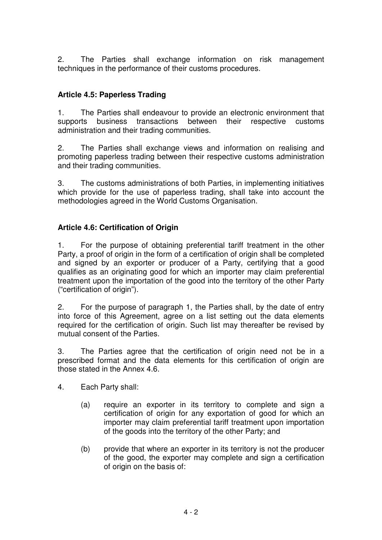2. The Parties shall exchange information on risk management techniques in the performance of their customs procedures.

# **Article 4.5: Paperless Trading**

1. The Parties shall endeavour to provide an electronic environment that supports business transactions between their respective customs administration and their trading communities.

2. The Parties shall exchange views and information on realising and promoting paperless trading between their respective customs administration and their trading communities.

3. The customs administrations of both Parties, in implementing initiatives which provide for the use of paperless trading, shall take into account the methodologies agreed in the World Customs Organisation.

# **Article 4.6: Certification of Origin**

1. For the purpose of obtaining preferential tariff treatment in the other Party, a proof of origin in the form of a certification of origin shall be completed and signed by an exporter or producer of a Party, certifying that a good qualifies as an originating good for which an importer may claim preferential treatment upon the importation of the good into the territory of the other Party ("certification of origin").

2. For the purpose of paragraph 1, the Parties shall, by the date of entry into force of this Agreement, agree on a list setting out the data elements required for the certification of origin. Such list may thereafter be revised by mutual consent of the Parties.

3. The Parties agree that the certification of origin need not be in a prescribed format and the data elements for this certification of origin are those stated in the Annex 4.6.

- 4. Each Party shall:
	- (a) require an exporter in its territory to complete and sign a certification of origin for any exportation of good for which an importer may claim preferential tariff treatment upon importation of the goods into the territory of the other Party; and
	- (b) provide that where an exporter in its territory is not the producer of the good, the exporter may complete and sign a certification of origin on the basis of: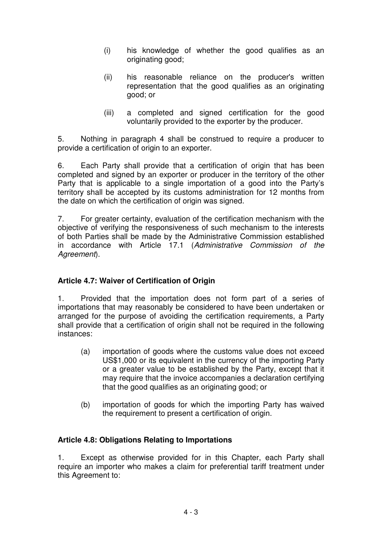- (i) his knowledge of whether the good qualifies as an originating good;
- (ii) his reasonable reliance on the producer's written representation that the good qualifies as an originating good; or
- (iii) a completed and signed certification for the good voluntarily provided to the exporter by the producer.

5. Nothing in paragraph 4 shall be construed to require a producer to provide a certification of origin to an exporter.

6. Each Party shall provide that a certification of origin that has been completed and signed by an exporter or producer in the territory of the other Party that is applicable to a single importation of a good into the Party's territory shall be accepted by its customs administration for 12 months from the date on which the certification of origin was signed.

7. For greater certainty, evaluation of the certification mechanism with the objective of verifying the responsiveness of such mechanism to the interests of both Parties shall be made by the Administrative Commission established in accordance with Article 17.1 (Administrative Commission of the Agreement).

## **Article 4.7: Waiver of Certification of Origin**

1. Provided that the importation does not form part of a series of importations that may reasonably be considered to have been undertaken or arranged for the purpose of avoiding the certification requirements, a Party shall provide that a certification of origin shall not be required in the following instances:

- (a) importation of goods where the customs value does not exceed US\$1,000 or its equivalent in the currency of the importing Party or a greater value to be established by the Party, except that it may require that the invoice accompanies a declaration certifying that the good qualifies as an originating good; or
- (b) importation of goods for which the importing Party has waived the requirement to present a certification of origin.

## **Article 4.8: Obligations Relating to Importations**

1. Except as otherwise provided for in this Chapter, each Party shall require an importer who makes a claim for preferential tariff treatment under this Agreement to: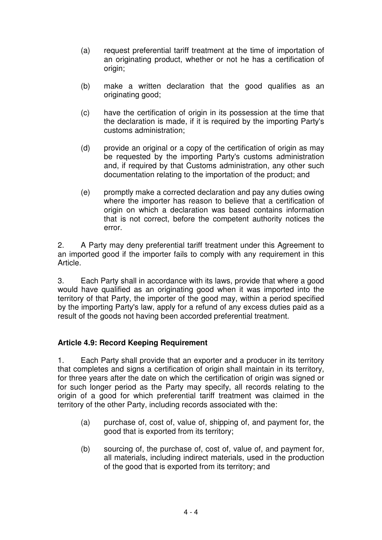- (a) request preferential tariff treatment at the time of importation of an originating product, whether or not he has a certification of origin;
- (b) make a written declaration that the good qualifies as an originating good;
- (c) have the certification of origin in its possession at the time that the declaration is made, if it is required by the importing Party's customs administration;
- (d) provide an original or a copy of the certification of origin as may be requested by the importing Party's customs administration and, if required by that Customs administration, any other such documentation relating to the importation of the product; and
- (e) promptly make a corrected declaration and pay any duties owing where the importer has reason to believe that a certification of origin on which a declaration was based contains information that is not correct, before the competent authority notices the error.

2. A Party may deny preferential tariff treatment under this Agreement to an imported good if the importer fails to comply with any requirement in this Article.

3. Each Party shall in accordance with its laws, provide that where a good would have qualified as an originating good when it was imported into the territory of that Party, the importer of the good may, within a period specified by the importing Party's law, apply for a refund of any excess duties paid as a result of the goods not having been accorded preferential treatment.

## **Article 4.9: Record Keeping Requirement**

1. Each Party shall provide that an exporter and a producer in its territory that completes and signs a certification of origin shall maintain in its territory, for three years after the date on which the certification of origin was signed or for such longer period as the Party may specify, all records relating to the origin of a good for which preferential tariff treatment was claimed in the territory of the other Party, including records associated with the:

- (a) purchase of, cost of, value of, shipping of, and payment for, the good that is exported from its territory;
- (b) sourcing of, the purchase of, cost of, value of, and payment for, all materials, including indirect materials, used in the production of the good that is exported from its territory; and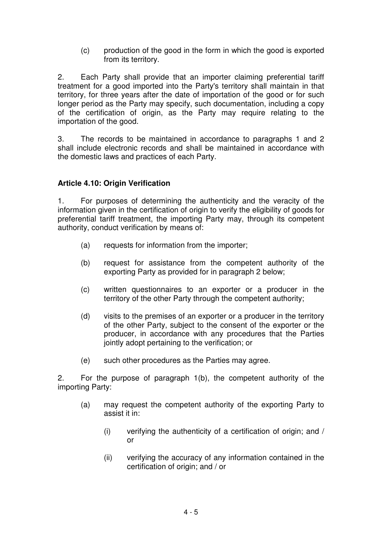(c) production of the good in the form in which the good is exported from its territory.

2. Each Party shall provide that an importer claiming preferential tariff treatment for a good imported into the Party's territory shall maintain in that territory, for three years after the date of importation of the good or for such longer period as the Party may specify, such documentation, including a copy of the certification of origin, as the Party may require relating to the importation of the good.

3. The records to be maintained in accordance to paragraphs 1 and 2 shall include electronic records and shall be maintained in accordance with the domestic laws and practices of each Party.

### **Article 4.10: Origin Verification**

1. For purposes of determining the authenticity and the veracity of the information given in the certification of origin to verify the eligibility of goods for preferential tariff treatment, the importing Party may, through its competent authority, conduct verification by means of:

- (a) requests for information from the importer;
- (b) request for assistance from the competent authority of the exporting Party as provided for in paragraph 2 below;
- (c) written questionnaires to an exporter or a producer in the territory of the other Party through the competent authority;
- (d) visits to the premises of an exporter or a producer in the territory of the other Party, subject to the consent of the exporter or the producer, in accordance with any procedures that the Parties jointly adopt pertaining to the verification; or
- (e) such other procedures as the Parties may agree.

2. For the purpose of paragraph 1(b), the competent authority of the importing Party:

- (a) may request the competent authority of the exporting Party to assist it in:
	- (i) verifying the authenticity of a certification of origin; and / or
	- (ii) verifying the accuracy of any information contained in the certification of origin; and / or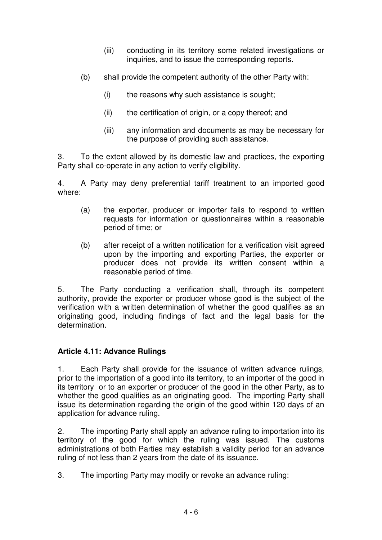- (iii) conducting in its territory some related investigations or inquiries, and to issue the corresponding reports.
- (b) shall provide the competent authority of the other Party with:
	- (i) the reasons why such assistance is sought;
	- (ii) the certification of origin, or a copy thereof; and
	- (iii) any information and documents as may be necessary for the purpose of providing such assistance.

3. To the extent allowed by its domestic law and practices, the exporting Party shall co-operate in any action to verify eligibility.

4. A Party may deny preferential tariff treatment to an imported good where:

- (a) the exporter, producer or importer fails to respond to written requests for information or questionnaires within a reasonable period of time; or
- (b) after receipt of a written notification for a verification visit agreed upon by the importing and exporting Parties, the exporter or producer does not provide its written consent within a reasonable period of time.

5. The Party conducting a verification shall, through its competent authority, provide the exporter or producer whose good is the subject of the verification with a written determination of whether the good qualifies as an originating good, including findings of fact and the legal basis for the determination.

## **Article 4.11: Advance Rulings**

1. Each Party shall provide for the issuance of written advance rulings, prior to the importation of a good into its territory, to an importer of the good in its territory or to an exporter or producer of the good in the other Party, as to whether the good qualifies as an originating good. The importing Party shall issue its determination regarding the origin of the good within 120 days of an application for advance ruling.

2. The importing Party shall apply an advance ruling to importation into its territory of the good for which the ruling was issued. The customs administrations of both Parties may establish a validity period for an advance ruling of not less than 2 years from the date of its issuance.

3. The importing Party may modify or revoke an advance ruling: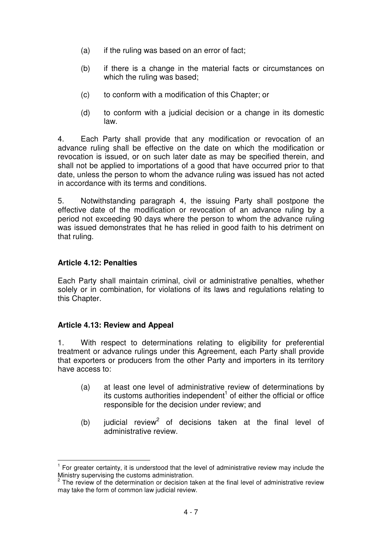- (a) if the ruling was based on an error of fact;
- (b) if there is a change in the material facts or circumstances on which the ruling was based;
- (c) to conform with a modification of this Chapter; or
- (d) to conform with a judicial decision or a change in its domestic law.

4. Each Party shall provide that any modification or revocation of an advance ruling shall be effective on the date on which the modification or revocation is issued, or on such later date as may be specified therein, and shall not be applied to importations of a good that have occurred prior to that date, unless the person to whom the advance ruling was issued has not acted in accordance with its terms and conditions.

5. Notwithstanding paragraph 4, the issuing Party shall postpone the effective date of the modification or revocation of an advance ruling by a period not exceeding 90 days where the person to whom the advance ruling was issued demonstrates that he has relied in good faith to his detriment on that ruling.

### **Article 4.12: Penalties**

 $\overline{a}$ 

Each Party shall maintain criminal, civil or administrative penalties, whether solely or in combination, for violations of its laws and regulations relating to this Chapter.

## **Article 4.13: Review and Appeal**

1. With respect to determinations relating to eligibility for preferential treatment or advance rulings under this Agreement, each Party shall provide that exporters or producers from the other Party and importers in its territory have access to:

- (a) at least one level of administrative review of determinations by its customs authorities independent<sup>1</sup> of either the official or office responsible for the decision under review; and
- (b) judicial review<sup>2</sup> of decisions taken at the final level of administrative review.

 $1$  For greater certainty, it is understood that the level of administrative review may include the Ministry supervising the customs administration.

 $2$  The review of the determination or decision taken at the final level of administrative review may take the form of common law judicial review.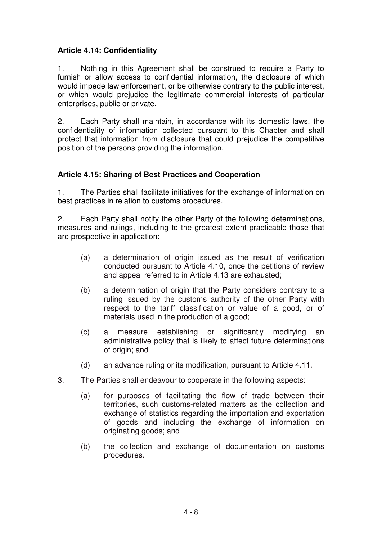### **Article 4.14: Confidentiality**

1. Nothing in this Agreement shall be construed to require a Party to furnish or allow access to confidential information, the disclosure of which would impede law enforcement, or be otherwise contrary to the public interest, or which would prejudice the legitimate commercial interests of particular enterprises, public or private.

2. Each Party shall maintain, in accordance with its domestic laws, the confidentiality of information collected pursuant to this Chapter and shall protect that information from disclosure that could prejudice the competitive position of the persons providing the information.

### **Article 4.15: Sharing of Best Practices and Cooperation**

1. The Parties shall facilitate initiatives for the exchange of information on best practices in relation to customs procedures.

2. Each Party shall notify the other Party of the following determinations, measures and rulings, including to the greatest extent practicable those that are prospective in application:

- (a) a determination of origin issued as the result of verification conducted pursuant to Article 4.10, once the petitions of review and appeal referred to in Article 4.13 are exhausted;
- (b) a determination of origin that the Party considers contrary to a ruling issued by the customs authority of the other Party with respect to the tariff classification or value of a good, or of materials used in the production of a good;
- (c) a measure establishing or significantly modifying an administrative policy that is likely to affect future determinations of origin; and
- (d) an advance ruling or its modification, pursuant to Article 4.11.
- 3. The Parties shall endeavour to cooperate in the following aspects:
	- (a) for purposes of facilitating the flow of trade between their territories, such customs-related matters as the collection and exchange of statistics regarding the importation and exportation of goods and including the exchange of information on originating goods; and
	- (b) the collection and exchange of documentation on customs procedures.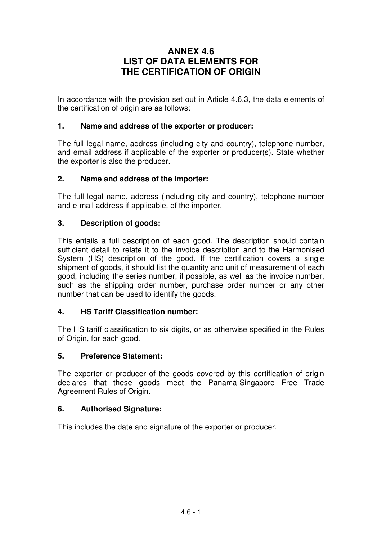# **ANNEX 4.6 LIST OF DATA ELEMENTS FOR THE CERTIFICATION OF ORIGIN**

In accordance with the provision set out in Article 4.6.3, the data elements of the certification of origin are as follows:

## **1. Name and address of the exporter or producer:**

The full legal name, address (including city and country), telephone number, and email address if applicable of the exporter or producer(s). State whether the exporter is also the producer.

### **2. Name and address of the importer:**

The full legal name, address (including city and country), telephone number and e-mail address if applicable, of the importer.

### **3. Description of goods:**

This entails a full description of each good. The description should contain sufficient detail to relate it to the invoice description and to the Harmonised System (HS) description of the good. If the certification covers a single shipment of goods, it should list the quantity and unit of measurement of each good, including the series number, if possible, as well as the invoice number, such as the shipping order number, purchase order number or any other number that can be used to identify the goods.

### **4. HS Tariff Classification number:**

The HS tariff classification to six digits, or as otherwise specified in the Rules of Origin, for each good.

### **5. Preference Statement:**

The exporter or producer of the goods covered by this certification of origin declares that these goods meet the Panama-Singapore Free Trade Agreement Rules of Origin.

### **6. Authorised Signature:**

This includes the date and signature of the exporter or producer.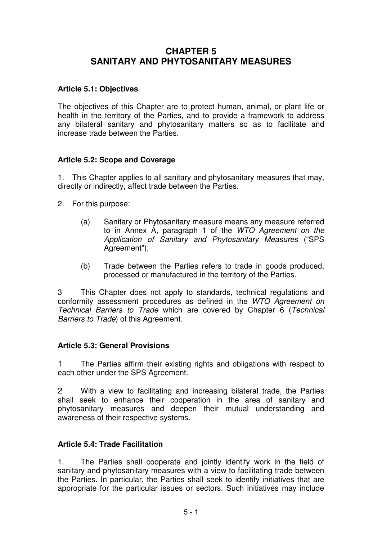# **CHAPTER 5 SANITARY AND PHYTOSANITARY MEASURES**

### **Article 5.1: Objectives**

The objectives of this Chapter are to protect human, animal, or plant life or health in the territory of the Parties, and to provide a framework to address any bilateral sanitary and phytosanitary matters so as to facilitate and increase trade between the Parties.

### **Article 5.2: Scope and Coverage**

1. This Chapter applies to all sanitary and phytosanitary measures that may, directly or indirectly, affect trade between the Parties.

- 2. For this purpose:
	- (a) Sanitary or Phytosanitary measure means any measure referred to in Annex A, paragraph 1 of the WTO Agreement on the Application of Sanitary and Phytosanitary Measures ("SPS Agreement");
	- (b) Trade between the Parties refers to trade in goods produced, processed or manufactured in the territory of the Parties.

3 This Chapter does not apply to standards, technical regulations and conformity assessment procedures as defined in the WTO Agreement on Technical Barriers to Trade which are covered by Chapter 6 (Technical Barriers to Trade) of this Agreement.

### **Article 5.3: General Provisions**

1 The Parties affirm their existing rights and obligations with respect to each other under the SPS Agreement.

2 With a view to facilitating and increasing bilateral trade, the Parties shall seek to enhance their cooperation in the area of sanitary and phytosanitary measures and deepen their mutual understanding and awareness of their respective systems.

### **Article 5.4: Trade Facilitation**

1. The Parties shall cooperate and jointly identify work in the field of sanitary and phytosanitary measures with a view to facilitating trade between the Parties. In particular, the Parties shall seek to identify initiatives that are appropriate for the particular issues or sectors. Such initiatives may include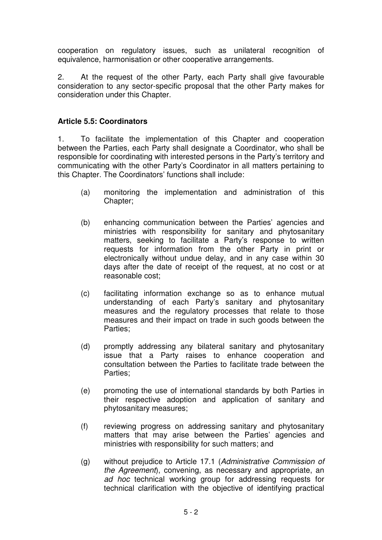cooperation on regulatory issues, such as unilateral recognition of equivalence, harmonisation or other cooperative arrangements.

2. At the request of the other Party, each Party shall give favourable consideration to any sector-specific proposal that the other Party makes for consideration under this Chapter.

### **Article 5.5: Coordinators**

1. To facilitate the implementation of this Chapter and cooperation between the Parties, each Party shall designate a Coordinator, who shall be responsible for coordinating with interested persons in the Party's territory and communicating with the other Party's Coordinator in all matters pertaining to this Chapter. The Coordinators' functions shall include:

- (a) monitoring the implementation and administration of this Chapter;
- (b) enhancing communication between the Parties' agencies and ministries with responsibility for sanitary and phytosanitary matters, seeking to facilitate a Party's response to written requests for information from the other Party in print or electronically without undue delay, and in any case within 30 days after the date of receipt of the request, at no cost or at reasonable cost;
- (c) facilitating information exchange so as to enhance mutual understanding of each Party's sanitary and phytosanitary measures and the regulatory processes that relate to those measures and their impact on trade in such goods between the Parties;
- (d) promptly addressing any bilateral sanitary and phytosanitary issue that a Party raises to enhance cooperation and consultation between the Parties to facilitate trade between the Parties;
- (e) promoting the use of international standards by both Parties in their respective adoption and application of sanitary and phytosanitary measures;
- (f) reviewing progress on addressing sanitary and phytosanitary matters that may arise between the Parties' agencies and ministries with responsibility for such matters; and
- (g) without prejudice to Article 17.1 (Administrative Commission of the Agreement), convening, as necessary and appropriate, an ad hoc technical working group for addressing requests for technical clarification with the objective of identifying practical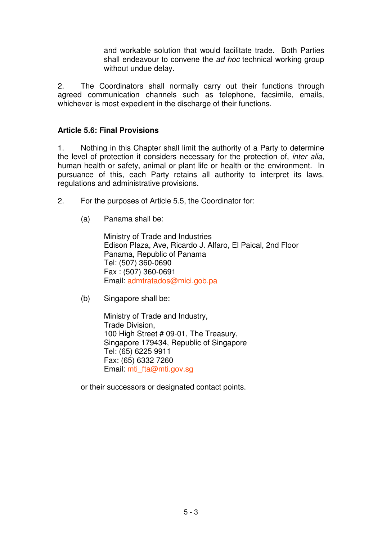and workable solution that would facilitate trade. Both Parties shall endeavour to convene the ad hoc technical working group without undue delay.

2. The Coordinators shall normally carry out their functions through agreed communication channels such as telephone, facsimile, emails, whichever is most expedient in the discharge of their functions.

### **Article 5.6: Final Provisions**

1. Nothing in this Chapter shall limit the authority of a Party to determine the level of protection it considers necessary for the protection of, inter alia, human health or safety, animal or plant life or health or the environment. In pursuance of this, each Party retains all authority to interpret its laws, regulations and administrative provisions.

- 2. For the purposes of Article 5.5, the Coordinator for:
	- (a) Panama shall be:

Ministry of Trade and Industries Edison Plaza, Ave, Ricardo J. Alfaro, El Paical, 2nd Floor Panama, Republic of Panama Tel: (507) 360-0690 Fax : (507) 360-0691 Email: admtratados@mici.gob.pa

(b) Singapore shall be:

Ministry of Trade and Industry, Trade Division, 100 High Street # 09-01, The Treasury, Singapore 179434, Republic of Singapore Tel: (65) 6225 9911 Fax: (65) 6332 7260 Email: mti\_fta@mti.gov.sg

or their successors or designated contact points.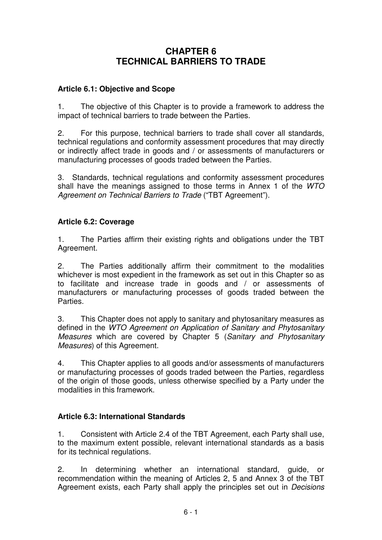# **CHAPTER 6 TECHNICAL BARRIERS TO TRADE**

## **Article 6.1: Objective and Scope**

1. The objective of this Chapter is to provide a framework to address the impact of technical barriers to trade between the Parties.

2. For this purpose, technical barriers to trade shall cover all standards, technical regulations and conformity assessment procedures that may directly or indirectly affect trade in goods and / or assessments of manufacturers or manufacturing processes of goods traded between the Parties.

3. Standards, technical regulations and conformity assessment procedures shall have the meanings assigned to those terms in Annex 1 of the WTO Agreement on Technical Barriers to Trade ("TBT Agreement").

## **Article 6.2: Coverage**

1. The Parties affirm their existing rights and obligations under the TBT Agreement.

2. The Parties additionally affirm their commitment to the modalities whichever is most expedient in the framework as set out in this Chapter so as to facilitate and increase trade in goods and / or assessments of manufacturers or manufacturing processes of goods traded between the Parties.

3. This Chapter does not apply to sanitary and phytosanitary measures as defined in the WTO Agreement on Application of Sanitary and Phytosanitary Measures which are covered by Chapter 5 (Sanitary and Phytosanitary Measures) of this Agreement.

4. This Chapter applies to all goods and/or assessments of manufacturers or manufacturing processes of goods traded between the Parties, regardless of the origin of those goods, unless otherwise specified by a Party under the modalities in this framework.

## **Article 6.3: International Standards**

1. Consistent with Article 2.4 of the TBT Agreement, each Party shall use, to the maximum extent possible, relevant international standards as a basis for its technical regulations.

2. In determining whether an international standard, guide, or recommendation within the meaning of Articles 2, 5 and Annex 3 of the TBT Agreement exists, each Party shall apply the principles set out in Decisions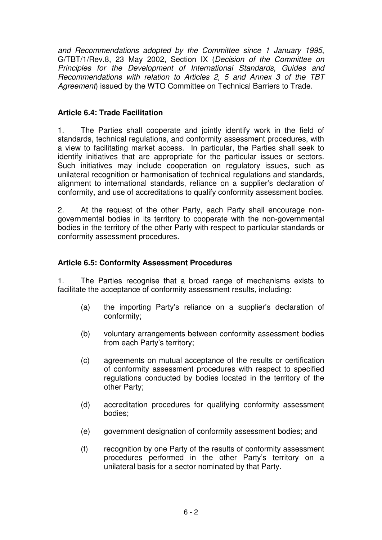and Recommendations adopted by the Committee since 1 January 1995, G/TBT/1/Rev.8, 23 May 2002, Section IX (Decision of the Committee on Principles for the Development of International Standards, Guides and Recommendations with relation to Articles 2, 5 and Annex 3 of the TBT Agreement) issued by the WTO Committee on Technical Barriers to Trade.

## **Article 6.4: Trade Facilitation**

1. The Parties shall cooperate and jointly identify work in the field of standards, technical regulations, and conformity assessment procedures, with a view to facilitating market access. In particular, the Parties shall seek to identify initiatives that are appropriate for the particular issues or sectors. Such initiatives may include cooperation on regulatory issues, such as unilateral recognition or harmonisation of technical regulations and standards, alignment to international standards, reliance on a supplier's declaration of conformity, and use of accreditations to qualify conformity assessment bodies.

2. At the request of the other Party, each Party shall encourage nongovernmental bodies in its territory to cooperate with the non-governmental bodies in the territory of the other Party with respect to particular standards or conformity assessment procedures.

## **Article 6.5: Conformity Assessment Procedures**

1. The Parties recognise that a broad range of mechanisms exists to facilitate the acceptance of conformity assessment results, including:

- (a) the importing Party's reliance on a supplier's declaration of conformity;
- (b) voluntary arrangements between conformity assessment bodies from each Party's territory;
- (c) agreements on mutual acceptance of the results or certification of conformity assessment procedures with respect to specified regulations conducted by bodies located in the territory of the other Party;
- (d) accreditation procedures for qualifying conformity assessment bodies;
- (e) government designation of conformity assessment bodies; and
- (f) recognition by one Party of the results of conformity assessment procedures performed in the other Party's territory on a unilateral basis for a sector nominated by that Party.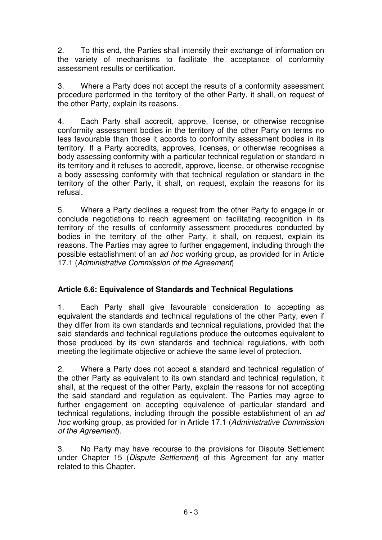2. To this end, the Parties shall intensify their exchange of information on the variety of mechanisms to facilitate the acceptance of conformity assessment results or certification.

3. Where a Party does not accept the results of a conformity assessment procedure performed in the territory of the other Party, it shall, on request of the other Party, explain its reasons.

4. Each Party shall accredit, approve, license, or otherwise recognise conformity assessment bodies in the territory of the other Party on terms no less favourable than those it accords to conformity assessment bodies in its territory. If a Party accredits, approves, licenses, or otherwise recognises a body assessing conformity with a particular technical regulation or standard in its territory and it refuses to accredit, approve, license, or otherwise recognise a body assessing conformity with that technical regulation or standard in the territory of the other Party, it shall, on request, explain the reasons for its refusal.

5. Where a Party declines a request from the other Party to engage in or conclude negotiations to reach agreement on facilitating recognition in its territory of the results of conformity assessment procedures conducted by bodies in the territory of the other Party, it shall, on request, explain its reasons. The Parties may agree to further engagement, including through the possible establishment of an ad hoc working group, as provided for in Article 17.1 (Administrative Commission of the Agreement)

# **Article 6.6: Equivalence of Standards and Technical Regulations**

1. Each Party shall give favourable consideration to accepting as equivalent the standards and technical regulations of the other Party, even if they differ from its own standards and technical regulations, provided that the said standards and technical regulations produce the outcomes equivalent to those produced by its own standards and technical regulations, with both meeting the legitimate objective or achieve the same level of protection.

2. Where a Party does not accept a standard and technical regulation of the other Party as equivalent to its own standard and technical regulation, it shall, at the request of the other Party, explain the reasons for not accepting the said standard and regulation as equivalent. The Parties may agree to further engagement on accepting equivalence of particular standard and technical regulations, including through the possible establishment of an ad hoc working group, as provided for in Article 17.1 (Administrative Commission of the Agreement).

3. No Party may have recourse to the provisions for Dispute Settlement under Chapter 15 (Dispute Settlement) of this Agreement for any matter related to this Chapter.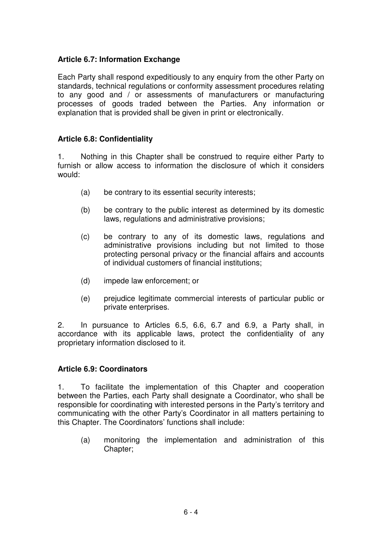## **Article 6.7: Information Exchange**

Each Party shall respond expeditiously to any enquiry from the other Party on standards, technical regulations or conformity assessment procedures relating to any good and / or assessments of manufacturers or manufacturing processes of goods traded between the Parties. Any information or explanation that is provided shall be given in print or electronically.

## **Article 6.8: Confidentiality**

1. Nothing in this Chapter shall be construed to require either Party to furnish or allow access to information the disclosure of which it considers would:

- (a) be contrary to its essential security interests;
- (b) be contrary to the public interest as determined by its domestic laws, regulations and administrative provisions;
- (c) be contrary to any of its domestic laws, regulations and administrative provisions including but not limited to those protecting personal privacy or the financial affairs and accounts of individual customers of financial institutions;
- (d) impede law enforcement; or
- (e) prejudice legitimate commercial interests of particular public or private enterprises.

2. In pursuance to Articles 6.5, 6.6, 6.7 and 6.9, a Party shall, in accordance with its applicable laws, protect the confidentiality of any proprietary information disclosed to it.

## **Article 6.9: Coordinators**

1. To facilitate the implementation of this Chapter and cooperation between the Parties, each Party shall designate a Coordinator, who shall be responsible for coordinating with interested persons in the Party's territory and communicating with the other Party's Coordinator in all matters pertaining to this Chapter. The Coordinators' functions shall include:

(a) monitoring the implementation and administration of this Chapter;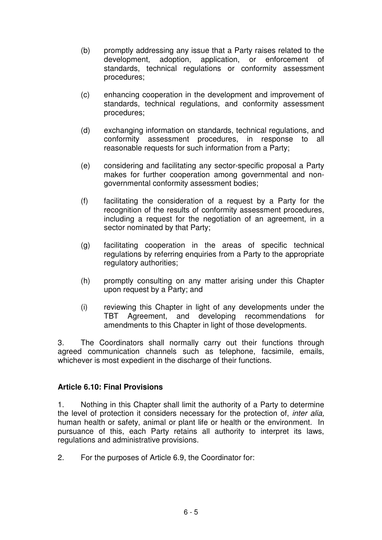- (b) promptly addressing any issue that a Party raises related to the development, adoption, application, or enforcement of standards, technical regulations or conformity assessment procedures;
- (c) enhancing cooperation in the development and improvement of standards, technical regulations, and conformity assessment procedures;
- (d) exchanging information on standards, technical regulations, and conformity assessment procedures, in response to all reasonable requests for such information from a Party;
- (e) considering and facilitating any sector-specific proposal a Party makes for further cooperation among governmental and nongovernmental conformity assessment bodies;
- (f) facilitating the consideration of a request by a Party for the recognition of the results of conformity assessment procedures, including a request for the negotiation of an agreement, in a sector nominated by that Party;
- (g) facilitating cooperation in the areas of specific technical regulations by referring enquiries from a Party to the appropriate regulatory authorities;
- (h) promptly consulting on any matter arising under this Chapter upon request by a Party; and
- (i) reviewing this Chapter in light of any developments under the TBT Agreement, and developing recommendations for amendments to this Chapter in light of those developments.

3. The Coordinators shall normally carry out their functions through agreed communication channels such as telephone, facsimile, emails, whichever is most expedient in the discharge of their functions.

## **Article 6.10: Final Provisions**

1. Nothing in this Chapter shall limit the authority of a Party to determine the level of protection it considers necessary for the protection of, inter alia, human health or safety, animal or plant life or health or the environment. In pursuance of this, each Party retains all authority to interpret its laws, regulations and administrative provisions.

2. For the purposes of Article 6.9, the Coordinator for: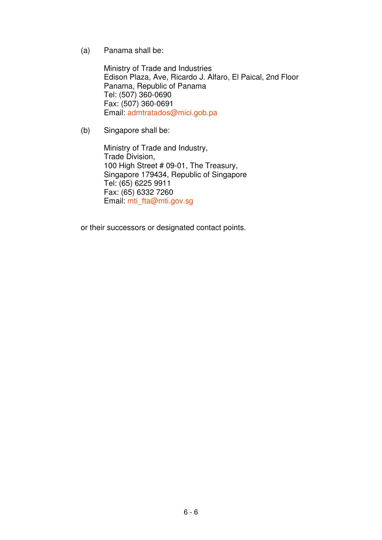(a) Panama shall be:

Ministry of Trade and Industries Edison Plaza, Ave, Ricardo J. Alfaro, El Paical, 2nd Floor Panama, Republic of Panama Tel: (507) 360-0690 Fax: (507) 360-0691 Email: admtratados@mici.gob.pa

(b) Singapore shall be:

 Ministry of Trade and Industry, Trade Division, 100 High Street # 09-01, The Treasury, Singapore 179434, Republic of Singapore Tel: (65) 6225 9911 Fax: (65) 6332 7260 Email: mti\_fta@mti.gov.sg

or their successors or designated contact points.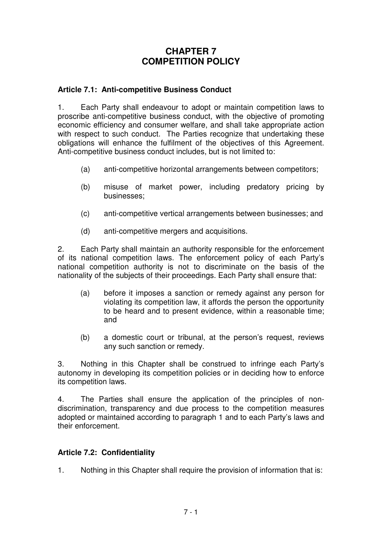# **CHAPTER 7 COMPETITION POLICY**

## **Article 7.1: Anti-competitive Business Conduct**

1. Each Party shall endeavour to adopt or maintain competition laws to proscribe anti-competitive business conduct, with the objective of promoting economic efficiency and consumer welfare, and shall take appropriate action with respect to such conduct. The Parties recognize that undertaking these obligations will enhance the fulfilment of the objectives of this Agreement. Anti-competitive business conduct includes, but is not limited to:

- (a) anti-competitive horizontal arrangements between competitors;
- (b) misuse of market power, including predatory pricing by businesses;
- (c) anti-competitive vertical arrangements between businesses; and
- (d) anti-competitive mergers and acquisitions.

2. Each Party shall maintain an authority responsible for the enforcement of its national competition laws. The enforcement policy of each Party's national competition authority is not to discriminate on the basis of the nationality of the subjects of their proceedings. Each Party shall ensure that:

- (a) before it imposes a sanction or remedy against any person for violating its competition law, it affords the person the opportunity to be heard and to present evidence, within a reasonable time; and
- (b) a domestic court or tribunal, at the person's request, reviews any such sanction or remedy.

3. Nothing in this Chapter shall be construed to infringe each Party's autonomy in developing its competition policies or in deciding how to enforce its competition laws.

4. The Parties shall ensure the application of the principles of nondiscrimination, transparency and due process to the competition measures adopted or maintained according to paragraph 1 and to each Party's laws and their enforcement.

## **Article 7.2: Confidentiality**

1. Nothing in this Chapter shall require the provision of information that is: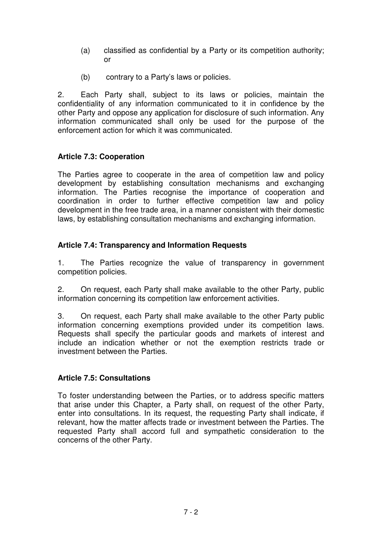- (a) classified as confidential by a Party or its competition authority; or
- (b) contrary to a Party's laws or policies.

2. Each Party shall, subject to its laws or policies, maintain the confidentiality of any information communicated to it in confidence by the other Party and oppose any application for disclosure of such information. Any information communicated shall only be used for the purpose of the enforcement action for which it was communicated.

## **Article 7.3: Cooperation**

The Parties agree to cooperate in the area of competition law and policy development by establishing consultation mechanisms and exchanging information. The Parties recognise the importance of cooperation and coordination in order to further effective competition law and policy development in the free trade area, in a manner consistent with their domestic laws, by establishing consultation mechanisms and exchanging information.

## **Article 7.4: Transparency and Information Requests**

1. The Parties recognize the value of transparency in government competition policies.

2. On request, each Party shall make available to the other Party, public information concerning its competition law enforcement activities.

3. On request, each Party shall make available to the other Party public information concerning exemptions provided under its competition laws. Requests shall specify the particular goods and markets of interest and include an indication whether or not the exemption restricts trade or investment between the Parties.

## **Article 7.5: Consultations**

To foster understanding between the Parties, or to address specific matters that arise under this Chapter, a Party shall, on request of the other Party, enter into consultations. In its request, the requesting Party shall indicate, if relevant, how the matter affects trade or investment between the Parties. The requested Party shall accord full and sympathetic consideration to the concerns of the other Party.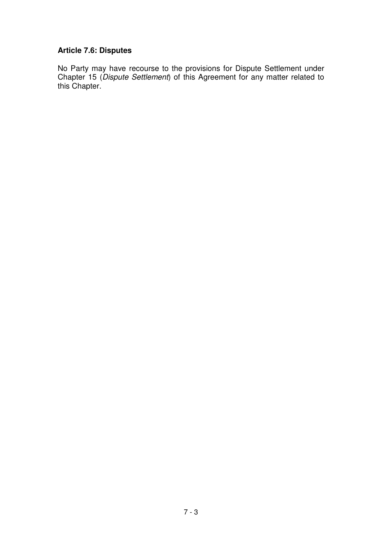# **Article 7.6: Disputes**

No Party may have recourse to the provisions for Dispute Settlement under Chapter 15 (Dispute Settlement) of this Agreement for any matter related to this Chapter.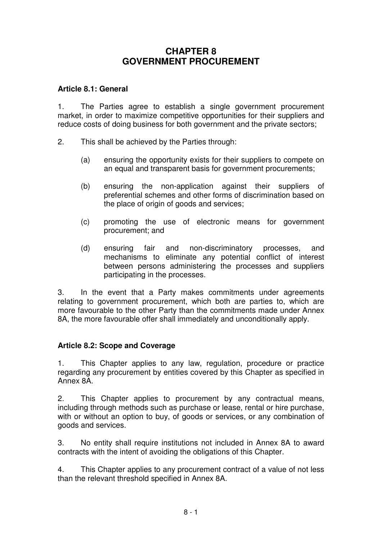# **CHAPTER 8 GOVERNMENT PROCUREMENT**

### **Article 8.1: General**

1. The Parties agree to establish a single government procurement market, in order to maximize competitive opportunities for their suppliers and reduce costs of doing business for both government and the private sectors;

- 2. This shall be achieved by the Parties through:
	- (a) ensuring the opportunity exists for their suppliers to compete on an equal and transparent basis for government procurements;
	- (b) ensuring the non-application against their suppliers of preferential schemes and other forms of discrimination based on the place of origin of goods and services;
	- (c) promoting the use of electronic means for government procurement; and
	- (d) ensuring fair and non-discriminatory processes, and mechanisms to eliminate any potential conflict of interest between persons administering the processes and suppliers participating in the processes.

3. In the event that a Party makes commitments under agreements relating to government procurement, which both are parties to, which are more favourable to the other Party than the commitments made under Annex 8A, the more favourable offer shall immediately and unconditionally apply.

## **Article 8.2: Scope and Coverage**

1. This Chapter applies to any law, regulation, procedure or practice regarding any procurement by entities covered by this Chapter as specified in Annex 8A.

2. This Chapter applies to procurement by any contractual means, including through methods such as purchase or lease, rental or hire purchase, with or without an option to buy, of goods or services, or any combination of goods and services.

3. No entity shall require institutions not included in Annex 8A to award contracts with the intent of avoiding the obligations of this Chapter.

4. This Chapter applies to any procurement contract of a value of not less than the relevant threshold specified in Annex 8A.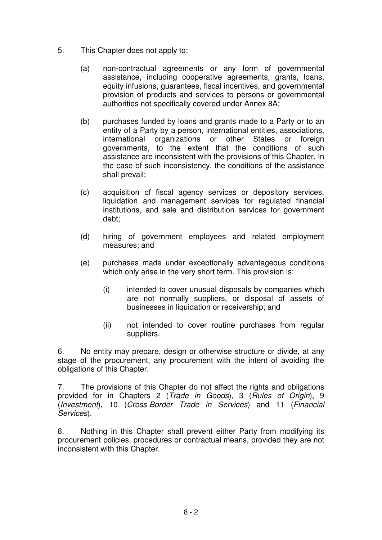- 5. This Chapter does not apply to:
	- (a) non-contractual agreements or any form of governmental assistance, including cooperative agreements, grants, loans, equity infusions, guarantees, fiscal incentives, and governmental provision of products and services to persons or governmental authorities not specifically covered under Annex 8A;
	- (b) purchases funded by loans and grants made to a Party or to an entity of a Party by a person, international entities, associations, international organizations or other States or foreign governments, to the extent that the conditions of such assistance are inconsistent with the provisions of this Chapter. In the case of such inconsistency, the conditions of the assistance shall prevail;
	- (c) acquisition of fiscal agency services or depository services, liquidation and management services for regulated financial institutions, and sale and distribution services for government debt;
	- (d) hiring of government employees and related employment measures; and
	- (e) purchases made under exceptionally advantageous conditions which only arise in the very short term. This provision is:
		- (i) intended to cover unusual disposals by companies which are not normally suppliers, or disposal of assets of businesses in liquidation or receivership; and
		- (ii) not intended to cover routine purchases from regular suppliers.

6. No entity may prepare, design or otherwise structure or divide, at any stage of the procurement, any procurement with the intent of avoiding the obligations of this Chapter.

7. The provisions of this Chapter do not affect the rights and obligations provided for in Chapters 2 (Trade in Goods), 3 (Rules of Origin), 9 (Investment), 10 (Cross-Border Trade in Services) and 11 (Financial Services).

8. Nothing in this Chapter shall prevent either Party from modifying its procurement policies, procedures or contractual means, provided they are not inconsistent with this Chapter.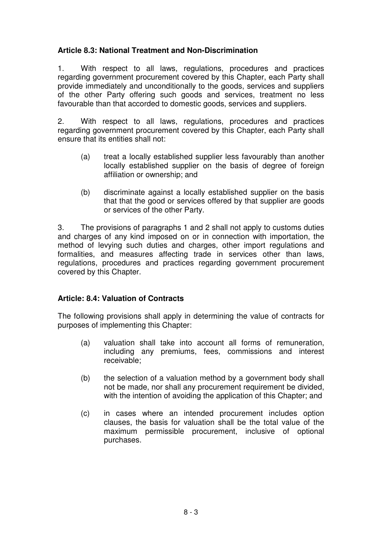## **Article 8.3: National Treatment and Non-Discrimination**

1. With respect to all laws, regulations, procedures and practices regarding government procurement covered by this Chapter, each Party shall provide immediately and unconditionally to the goods, services and suppliers of the other Party offering such goods and services, treatment no less favourable than that accorded to domestic goods, services and suppliers.

2. With respect to all laws, regulations, procedures and practices regarding government procurement covered by this Chapter, each Party shall ensure that its entities shall not:

- (a) treat a locally established supplier less favourably than another locally established supplier on the basis of degree of foreign affiliation or ownership; and
- (b) discriminate against a locally established supplier on the basis that that the good or services offered by that supplier are goods or services of the other Party.

3. The provisions of paragraphs 1 and 2 shall not apply to customs duties and charges of any kind imposed on or in connection with importation, the method of levying such duties and charges, other import regulations and formalities, and measures affecting trade in services other than laws, regulations, procedures and practices regarding government procurement covered by this Chapter.

## **Article: 8.4: Valuation of Contracts**

The following provisions shall apply in determining the value of contracts for purposes of implementing this Chapter:

- (a) valuation shall take into account all forms of remuneration, including any premiums, fees, commissions and interest receivable;
- (b) the selection of a valuation method by a government body shall not be made, nor shall any procurement requirement be divided, with the intention of avoiding the application of this Chapter; and
- (c) in cases where an intended procurement includes option clauses, the basis for valuation shall be the total value of the maximum permissible procurement, inclusive of optional purchases.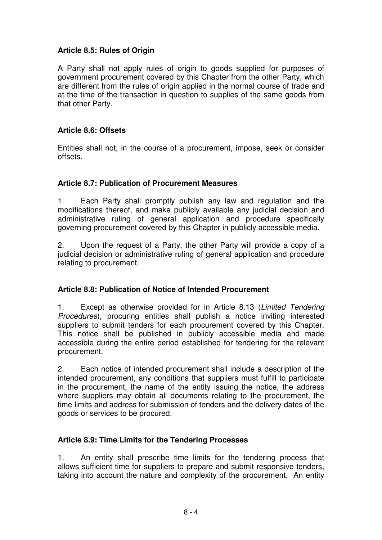## **Article 8.5: Rules of Origin**

A Party shall not apply rules of origin to goods supplied for purposes of government procurement covered by this Chapter from the other Party, which are different from the rules of origin applied in the normal course of trade and at the time of the transaction in question to supplies of the same goods from that other Party.

## **Article 8.6: Offsets**

Entities shall not, in the course of a procurement, impose, seek or consider offsets.

## **Article 8.7: Publication of Procurement Measures**

1. Each Party shall promptly publish any law and regulation and the modifications thereof, and make publicly available any judicial decision and administrative ruling of general application and procedure specifically governing procurement covered by this Chapter in publicly accessible media.

2. Upon the request of a Party, the other Party will provide a copy of a judicial decision or administrative ruling of general application and procedure relating to procurement.

## **Article 8.8: Publication of Notice of Intended Procurement**

1. Except as otherwise provided for in Article 8.13 (Limited Tendering Procedures), procuring entities shall publish a notice inviting interested suppliers to submit tenders for each procurement covered by this Chapter. This notice shall be published in publicly accessible media and made accessible during the entire period established for tendering for the relevant procurement.

2. Each notice of intended procurement shall include a description of the intended procurement, any conditions that suppliers must fulfill to participate in the procurement, the name of the entity issuing the notice, the address where suppliers may obtain all documents relating to the procurement, the time limits and address for submission of tenders and the delivery dates of the goods or services to be procured.

## **Article 8.9: Time Limits for the Tendering Processes**

1. An entity shall prescribe time limits for the tendering process that allows sufficient time for suppliers to prepare and submit responsive tenders, taking into account the nature and complexity of the procurement. An entity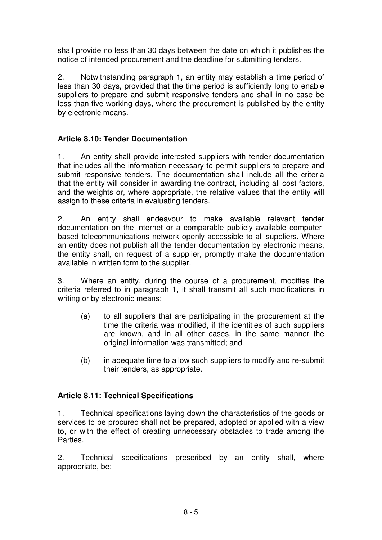shall provide no less than 30 days between the date on which it publishes the notice of intended procurement and the deadline for submitting tenders.

2. Notwithstanding paragraph 1, an entity may establish a time period of less than 30 days, provided that the time period is sufficiently long to enable suppliers to prepare and submit responsive tenders and shall in no case be less than five working days, where the procurement is published by the entity by electronic means.

## **Article 8.10: Tender Documentation**

1. An entity shall provide interested suppliers with tender documentation that includes all the information necessary to permit suppliers to prepare and submit responsive tenders. The documentation shall include all the criteria that the entity will consider in awarding the contract, including all cost factors, and the weights or, where appropriate, the relative values that the entity will assign to these criteria in evaluating tenders.

2. An entity shall endeavour to make available relevant tender documentation on the internet or a comparable publicly available computerbased telecommunications network openly accessible to all suppliers. Where an entity does not publish all the tender documentation by electronic means, the entity shall, on request of a supplier, promptly make the documentation available in written form to the supplier.

3. Where an entity, during the course of a procurement, modifies the criteria referred to in paragraph 1, it shall transmit all such modifications in writing or by electronic means:

- (a) to all suppliers that are participating in the procurement at the time the criteria was modified, if the identities of such suppliers are known, and in all other cases, in the same manner the original information was transmitted; and
- (b) in adequate time to allow such suppliers to modify and re-submit their tenders, as appropriate.

## **Article 8.11: Technical Specifications**

1. Technical specifications laying down the characteristics of the goods or services to be procured shall not be prepared, adopted or applied with a view to, or with the effect of creating unnecessary obstacles to trade among the Parties.

2. Technical specifications prescribed by an entity shall, where appropriate, be: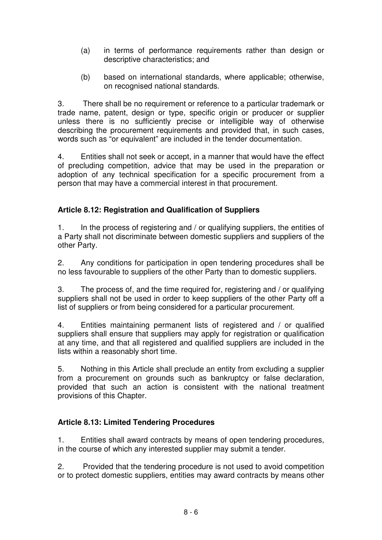- (a) in terms of performance requirements rather than design or descriptive characteristics; and
- (b) based on international standards, where applicable; otherwise, on recognised national standards.

3. There shall be no requirement or reference to a particular trademark or trade name, patent, design or type, specific origin or producer or supplier unless there is no sufficiently precise or intelligible way of otherwise describing the procurement requirements and provided that, in such cases, words such as "or equivalent" are included in the tender documentation.

4. Entities shall not seek or accept, in a manner that would have the effect of precluding competition, advice that may be used in the preparation or adoption of any technical specification for a specific procurement from a person that may have a commercial interest in that procurement.

## **Article 8.12: Registration and Qualification of Suppliers**

1. In the process of registering and / or qualifying suppliers, the entities of a Party shall not discriminate between domestic suppliers and suppliers of the other Party.

2. Any conditions for participation in open tendering procedures shall be no less favourable to suppliers of the other Party than to domestic suppliers.

3. The process of, and the time required for, registering and / or qualifying suppliers shall not be used in order to keep suppliers of the other Party off a list of suppliers or from being considered for a particular procurement.

4. Entities maintaining permanent lists of registered and / or qualified suppliers shall ensure that suppliers may apply for registration or qualification at any time, and that all registered and qualified suppliers are included in the lists within a reasonably short time.

5. Nothing in this Article shall preclude an entity from excluding a supplier from a procurement on grounds such as bankruptcy or false declaration, provided that such an action is consistent with the national treatment provisions of this Chapter.

## **Article 8.13: Limited Tendering Procedures**

1. Entities shall award contracts by means of open tendering procedures, in the course of which any interested supplier may submit a tender.

2. Provided that the tendering procedure is not used to avoid competition or to protect domestic suppliers, entities may award contracts by means other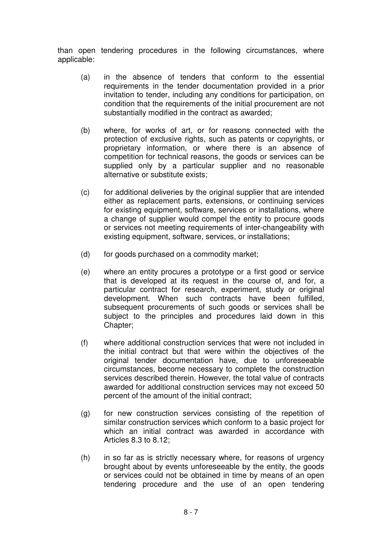than open tendering procedures in the following circumstances, where applicable:

- (a) in the absence of tenders that conform to the essential requirements in the tender documentation provided in a prior invitation to tender, including any conditions for participation, on condition that the requirements of the initial procurement are not substantially modified in the contract as awarded;
- (b) where, for works of art, or for reasons connected with the protection of exclusive rights, such as patents or copyrights, or proprietary information, or where there is an absence of competition for technical reasons, the goods or services can be supplied only by a particular supplier and no reasonable alternative or substitute exists;
- (c) for additional deliveries by the original supplier that are intended either as replacement parts, extensions, or continuing services for existing equipment, software, services or installations, where a change of supplier would compel the entity to procure goods or services not meeting requirements of inter-changeability with existing equipment, software, services, or installations;
- (d) for goods purchased on a commodity market;
- (e) where an entity procures a prototype or a first good or service that is developed at its request in the course of, and for, a particular contract for research, experiment, study or original development. When such contracts have been fulfilled, subsequent procurements of such goods or services shall be subject to the principles and procedures laid down in this Chapter;
- (f) where additional construction services that were not included in the initial contract but that were within the objectives of the original tender documentation have, due to unforeseeable circumstances, become necessary to complete the construction services described therein. However, the total value of contracts awarded for additional construction services may not exceed 50 percent of the amount of the initial contract;
- (g) for new construction services consisting of the repetition of similar construction services which conform to a basic project for which an initial contract was awarded in accordance with Articles 8.3 to 8.12;
- (h) in so far as is strictly necessary where, for reasons of urgency brought about by events unforeseeable by the entity, the goods or services could not be obtained in time by means of an open tendering procedure and the use of an open tendering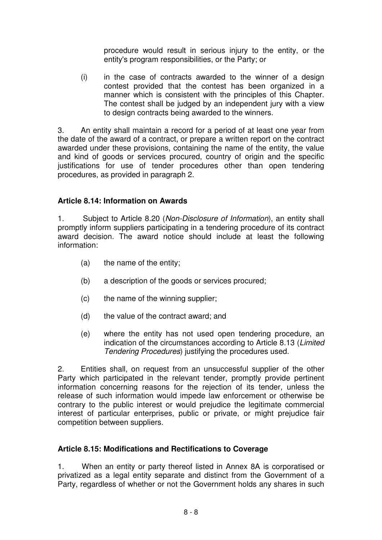procedure would result in serious injury to the entity, or the entity's program responsibilities, or the Party; or

(i) in the case of contracts awarded to the winner of a design contest provided that the contest has been organized in a manner which is consistent with the principles of this Chapter. The contest shall be judged by an independent jury with a view to design contracts being awarded to the winners.

3. An entity shall maintain a record for a period of at least one year from the date of the award of a contract, or prepare a written report on the contract awarded under these provisions, containing the name of the entity, the value and kind of goods or services procured, country of origin and the specific justifications for use of tender procedures other than open tendering procedures, as provided in paragraph 2.

## **Article 8.14: Information on Awards**

1. Subject to Article 8.20 (Non-Disclosure of Information), an entity shall promptly inform suppliers participating in a tendering procedure of its contract award decision. The award notice should include at least the following information:

- (a) the name of the entity;
- (b) a description of the goods or services procured;
- (c) the name of the winning supplier;
- (d) the value of the contract award; and
- (e) where the entity has not used open tendering procedure, an indication of the circumstances according to Article 8.13 (Limited Tendering Procedures) justifying the procedures used.

2. Entities shall, on request from an unsuccessful supplier of the other Party which participated in the relevant tender, promptly provide pertinent information concerning reasons for the rejection of its tender, unless the release of such information would impede law enforcement or otherwise be contrary to the public interest or would prejudice the legitimate commercial interest of particular enterprises, public or private, or might prejudice fair competition between suppliers.

## **Article 8.15: Modifications and Rectifications to Coverage**

1. When an entity or party thereof listed in Annex 8A is corporatised or privatized as a legal entity separate and distinct from the Government of a Party, regardless of whether or not the Government holds any shares in such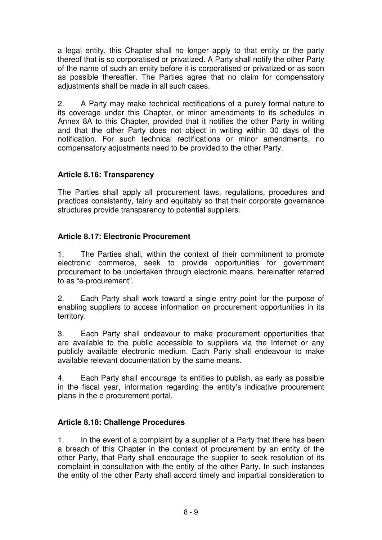a legal entity, this Chapter shall no longer apply to that entity or the party thereof that is so corporatised or privatized. A Party shall notify the other Party of the name of such an entity before it is corporatised or privatized or as soon as possible thereafter. The Parties agree that no claim for compensatory adjustments shall be made in all such cases.

2. A Party may make technical rectifications of a purely formal nature to its coverage under this Chapter, or minor amendments to its schedules in Annex 8A to this Chapter, provided that it notifies the other Party in writing and that the other Party does not object in writing within 30 days of the notification. For such technical rectifications or minor amendments, no compensatory adjustments need to be provided to the other Party.

## **Article 8.16: Transparency**

The Parties shall apply all procurement laws, regulations, procedures and practices consistently, fairly and equitably so that their corporate governance structures provide transparency to potential suppliers.

## **Article 8.17: Electronic Procurement**

1. The Parties shall, within the context of their commitment to promote electronic commerce, seek to provide opportunities for government procurement to be undertaken through electronic means, hereinafter referred to as "e-procurement".

2. Each Party shall work toward a single entry point for the purpose of enabling suppliers to access information on procurement opportunities in its territory.

3. Each Party shall endeavour to make procurement opportunities that are available to the public accessible to suppliers via the Internet or any publicly available electronic medium. Each Party shall endeavour to make available relevant documentation by the same means.

4. Each Party shall encourage its entities to publish, as early as possible in the fiscal year, information regarding the entity's indicative procurement plans in the e-procurement portal.

## **Article 8.18: Challenge Procedures**

1. In the event of a complaint by a supplier of a Party that there has been a breach of this Chapter in the context of procurement by an entity of the other Party, that Party shall encourage the supplier to seek resolution of its complaint in consultation with the entity of the other Party. In such instances the entity of the other Party shall accord timely and impartial consideration to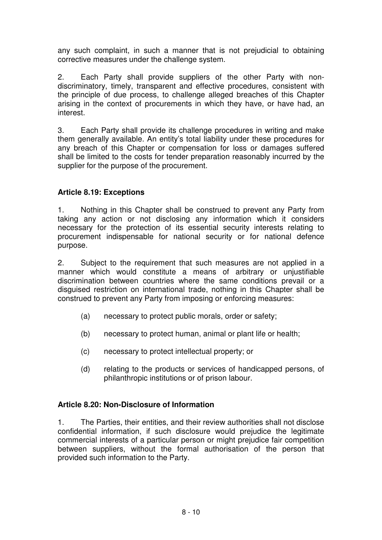any such complaint, in such a manner that is not prejudicial to obtaining corrective measures under the challenge system.

2. Each Party shall provide suppliers of the other Party with nondiscriminatory, timely, transparent and effective procedures, consistent with the principle of due process, to challenge alleged breaches of this Chapter arising in the context of procurements in which they have, or have had, an interest.

3. Each Party shall provide its challenge procedures in writing and make them generally available. An entity's total liability under these procedures for any breach of this Chapter or compensation for loss or damages suffered shall be limited to the costs for tender preparation reasonably incurred by the supplier for the purpose of the procurement.

## **Article 8.19: Exceptions**

1. Nothing in this Chapter shall be construed to prevent any Party from taking any action or not disclosing any information which it considers necessary for the protection of its essential security interests relating to procurement indispensable for national security or for national defence purpose.

2. Subject to the requirement that such measures are not applied in a manner which would constitute a means of arbitrary or unjustifiable discrimination between countries where the same conditions prevail or a disguised restriction on international trade, nothing in this Chapter shall be construed to prevent any Party from imposing or enforcing measures:

- (a) necessary to protect public morals, order or safety;
- (b) necessary to protect human, animal or plant life or health;
- (c) necessary to protect intellectual property; or
- (d) relating to the products or services of handicapped persons, of philanthropic institutions or of prison labour.

## **Article 8.20: Non-Disclosure of Information**

1. The Parties, their entities, and their review authorities shall not disclose confidential information, if such disclosure would prejudice the legitimate commercial interests of a particular person or might prejudice fair competition between suppliers, without the formal authorisation of the person that provided such information to the Party.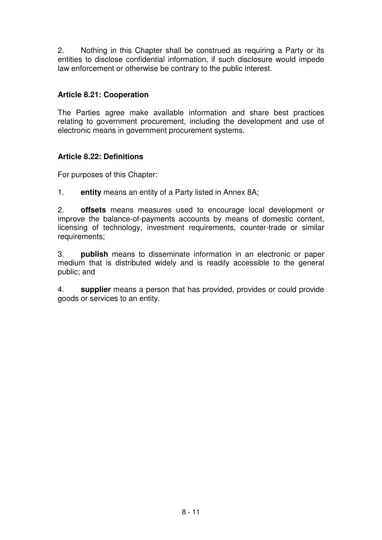2. Nothing in this Chapter shall be construed as requiring a Party or its entities to disclose confidential information, if such disclosure would impede law enforcement or otherwise be contrary to the public interest.

## **Article 8.21: Cooperation**

The Parties agree make available information and share best practices relating to government procurement, including the development and use of electronic means in government procurement systems.

## **Article 8.22: Definitions**

For purposes of this Chapter:

1. **entity** means an entity of a Party listed in Annex 8A;

2. **offsets** means measures used to encourage local development or improve the balance-of-payments accounts by means of domestic content, licensing of technology, investment requirements, counter-trade or similar requirements:

3. **publish** means to disseminate information in an electronic or paper medium that is distributed widely and is readily accessible to the general public; and

4. **supplier** means a person that has provided, provides or could provide goods or services to an entity.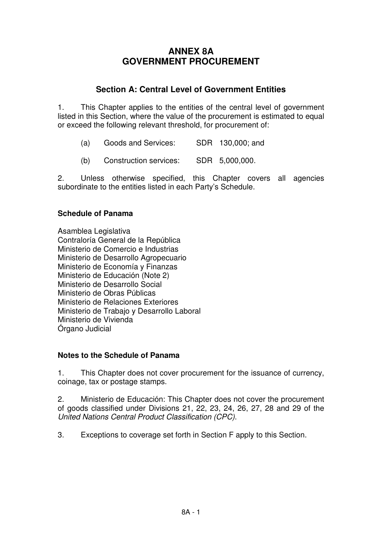# **ANNEX 8A GOVERNMENT PROCUREMENT**

# **Section A: Central Level of Government Entities**

1. This Chapter applies to the entities of the central level of government listed in this Section, where the value of the procurement is estimated to equal or exceed the following relevant threshold, for procurement of:

- (a) Goods and Services: SDR 130,000; and
- (b) Construction services: SDR 5,000,000.

2. Unless otherwise specified, this Chapter covers all agencies subordinate to the entities listed in each Party's Schedule.

## **Schedule of Panama**

Asamblea Legislativa Contraloría General de la República Ministerio de Comercio e Industrias Ministerio de Desarrollo Agropecuario Ministerio de Economía y Finanzas Ministerio de Educación (Note 2) Ministerio de Desarrollo Social Ministerio de Obras Públicas Ministerio de Relaciones Exteriores Ministerio de Trabajo y Desarrollo Laboral Ministerio de Vivienda Órgano Judicial

#### **Notes to the Schedule of Panama**

1. This Chapter does not cover procurement for the issuance of currency, coinage, tax or postage stamps.

2. Ministerio de Educación: This Chapter does not cover the procurement of goods classified under Divisions 21, 22, 23, 24, 26, 27, 28 and 29 of the United Nations Central Product Classification (CPC).

3. Exceptions to coverage set forth in Section F apply to this Section.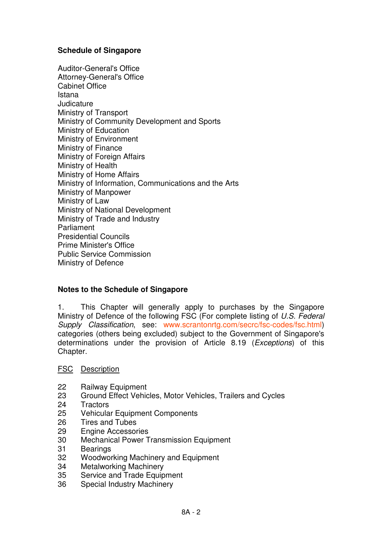## **Schedule of Singapore**

Auditor-General's Office Attorney-General's Office Cabinet Office Istana **Judicature** Ministry of Transport Ministry of Community Development and Sports Ministry of Education Ministry of Environment Ministry of Finance Ministry of Foreign Affairs Ministry of Health Ministry of Home Affairs Ministry of Information, Communications and the Arts Ministry of Manpower Ministry of Law Ministry of National Development Ministry of Trade and Industry Parliament Presidential Councils Prime Minister's Office Public Service Commission Ministry of Defence

## **Notes to the Schedule of Singapore**

1. This Chapter will generally apply to purchases by the Singapore Ministry of Defence of the following FSC (For complete listing of U.S. Federal Supply Classification, see: www.scrantonrtg.com/secrc/fsc-codes/fsc.html) categories (others being excluded) subject to the Government of Singapore's determinations under the provision of Article 8.19 (Exceptions) of this Chapter.

#### FSC Description

- 22 Railway Equipment
- 23 Ground Effect Vehicles, Motor Vehicles, Trailers and Cycles
- 24 Tractors
- 25 Vehicular Equipment Components
- 26 Tires and Tubes
- 29 Engine Accessories
- 30 Mechanical Power Transmission Equipment
- 31 Bearings
- 32 Woodworking Machinery and Equipment
- 34 Metalworking Machinery
- 35 Service and Trade Equipment
- 36 Special Industry Machinery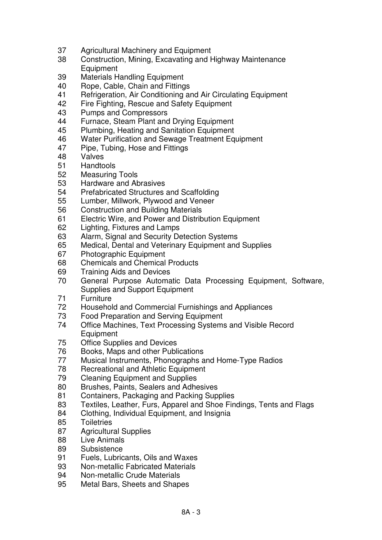- 37 Agricultural Machinery and Equipment
- 38 Construction, Mining, Excavating and Highway Maintenance **Equipment**
- 39 Materials Handling Equipment
- 40 Rope, Cable, Chain and Fittings
- 41 Refrigeration, Air Conditioning and Air Circulating Equipment
- 42 Fire Fighting, Rescue and Safety Equipment
- 43 Pumps and Compressors
- 44 Furnace, Steam Plant and Drying Equipment
- 45 Plumbing, Heating and Sanitation Equipment
- 46 Water Purification and Sewage Treatment Equipment
- 47 Pipe, Tubing, Hose and Fittings
- 48 Valves
- 51 Handtools
- 52 Measuring Tools
- 53 Hardware and Abrasives
- 54 Prefabricated Structures and Scaffolding
- 55 Lumber, Millwork, Plywood and Veneer
- 56 Construction and Building Materials
- 61 Electric Wire, and Power and Distribution Equipment
- 62 Lighting, Fixtures and Lamps
- 63 Alarm, Signal and Security Detection Systems
- 65 Medical, Dental and Veterinary Equipment and Supplies
- 67 Photographic Equipment
- 68 Chemicals and Chemical Products
- 69 Training Aids and Devices
- 70 General Purpose Automatic Data Processing Equipment, Software, Supplies and Support Equipment
- 71 Furniture
- 72 Household and Commercial Furnishings and Appliances
- 73 Food Preparation and Serving Equipment
- 74 Office Machines, Text Processing Systems and Visible Record **Equipment**
- 75 Office Supplies and Devices
- 76 Books, Maps and other Publications
- 77 Musical Instruments, Phonographs and Home-Type Radios
- 78 Recreational and Athletic Equipment
- 79 Cleaning Equipment and Supplies
- 80 Brushes, Paints, Sealers and Adhesives
- 81 Containers, Packaging and Packing Supplies
- 83 Textiles, Leather, Furs, Apparel and Shoe Findings, Tents and Flags
- 84 Clothing, Individual Equipment, and Insignia
- 85 Toiletries
- 87 Agricultural Supplies
- 88 Live Animals
- 89 Subsistence
- 91 Fuels, Lubricants, Oils and Waxes
- 93 Non-metallic Fabricated Materials
- 94 Non-metallic Crude Materials
- 95 Metal Bars, Sheets and Shapes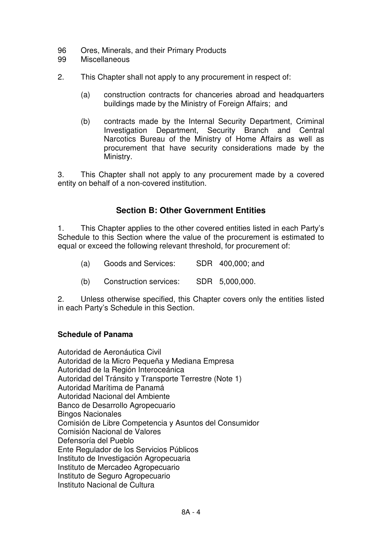- 96 Ores, Minerals, and their Primary Products
- 99 Miscellaneous
- 2. This Chapter shall not apply to any procurement in respect of:
	- (a) construction contracts for chanceries abroad and headquarters buildings made by the Ministry of Foreign Affairs; and
	- (b) contracts made by the Internal Security Department, Criminal Investigation Department, Security Branch and Central Narcotics Bureau of the Ministry of Home Affairs as well as procurement that have security considerations made by the Ministry.

3. This Chapter shall not apply to any procurement made by a covered entity on behalf of a non-covered institution.

## **Section B: Other Government Entities**

1. This Chapter applies to the other covered entities listed in each Party's Schedule to this Section where the value of the procurement is estimated to equal or exceed the following relevant threshold, for procurement of:

- (a) Goods and Services: SDR 400,000; and
- (b) Construction services: SDR 5,000,000.

2. Unless otherwise specified, this Chapter covers only the entities listed in each Party's Schedule in this Section.

#### **Schedule of Panama**

Autoridad de Aeronáutica Civil Autoridad de la Micro Pequeña y Mediana Empresa Autoridad de la Región Interoceánica Autoridad del Tránsito y Transporte Terrestre (Note 1) Autoridad Marítima de Panamá Autoridad Nacional del Ambiente Banco de Desarrollo Agropecuario Bingos Nacionales Comisión de Libre Competencia y Asuntos del Consumidor Comisión Nacional de Valores Defensoría del Pueblo Ente Regulador de los Servicios Públicos Instituto de Investigación Agropecuaria Instituto de Mercadeo Agropecuario Instituto de Seguro Agropecuario Instituto Nacional de Cultura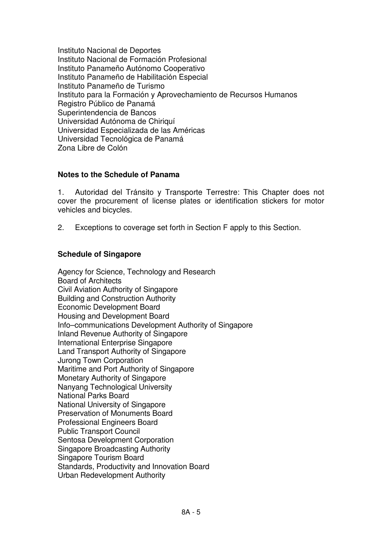Instituto Nacional de Deportes Instituto Nacional de Formación Profesional Instituto Panameño Autónomo Cooperativo Instituto Panameño de Habilitación Especial Instituto Panameño de Turismo Instituto para la Formación y Aprovechamiento de Recursos Humanos Registro Público de Panamá Superintendencia de Bancos Universidad Autónoma de Chiriquí Universidad Especializada de las Américas Universidad Tecnológica de Panamá Zona Libre de Colón

## **Notes to the Schedule of Panama**

1. Autoridad del Tránsito y Transporte Terrestre: This Chapter does not cover the procurement of license plates or identification stickers for motor vehicles and bicycles.

2. Exceptions to coverage set forth in Section F apply to this Section.

# **Schedule of Singapore**

Agency for Science, Technology and Research Board of Architects Civil Aviation Authority of Singapore Building and Construction Authority Economic Development Board Housing and Development Board Info–communications Development Authority of Singapore Inland Revenue Authority of Singapore International Enterprise Singapore Land Transport Authority of Singapore Jurong Town Corporation Maritime and Port Authority of Singapore Monetary Authority of Singapore Nanyang Technological University National Parks Board National University of Singapore Preservation of Monuments Board Professional Engineers Board Public Transport Council Sentosa Development Corporation Singapore Broadcasting Authority Singapore Tourism Board Standards, Productivity and Innovation Board Urban Redevelopment Authority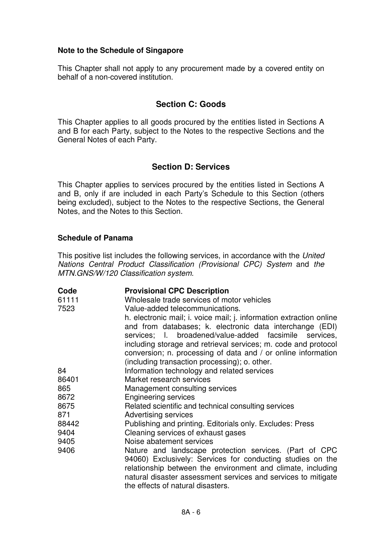## **Note to the Schedule of Singapore**

This Chapter shall not apply to any procurement made by a covered entity on behalf of a non-covered institution.

# **Section C: Goods**

This Chapter applies to all goods procured by the entities listed in Sections A and B for each Party, subject to the Notes to the respective Sections and the General Notes of each Party.

## **Section D: Services**

This Chapter applies to services procured by the entities listed in Sections A and B, only if are included in each Party's Schedule to this Section (others being excluded), subject to the Notes to the respective Sections, the General Notes, and the Notes to this Section.

#### **Schedule of Panama**

This positive list includes the following services, in accordance with the United Nations Central Product Classification (Provisional CPC) System and the MTN.GNS/W/120 Classification system.

| Code                  | <b>Provisional CPC Description</b>                                                                                                                                                                                                                                                                                           |
|-----------------------|------------------------------------------------------------------------------------------------------------------------------------------------------------------------------------------------------------------------------------------------------------------------------------------------------------------------------|
| 61111                 | Wholesale trade services of motor vehicles                                                                                                                                                                                                                                                                                   |
| 7523                  | Value-added telecommunications.                                                                                                                                                                                                                                                                                              |
|                       | h. electronic mail; i. voice mail; j. information extraction online<br>and from databases; k. electronic data interchange (EDI)<br>services; I. broadened/value-added facsimile services,<br>including storage and retrieval services; m. code and protocol<br>conversion; n. processing of data and / or online information |
| 84                    | (including transaction processing); o. other.                                                                                                                                                                                                                                                                                |
|                       | Information technology and related services                                                                                                                                                                                                                                                                                  |
| 86401                 | Market research services                                                                                                                                                                                                                                                                                                     |
| 865                   | Management consulting services                                                                                                                                                                                                                                                                                               |
| 8672                  | <b>Engineering services</b>                                                                                                                                                                                                                                                                                                  |
| 8675<br>871           | Related scientific and technical consulting services<br><b>Advertising services</b>                                                                                                                                                                                                                                          |
| 88442<br>9404<br>9405 | Publishing and printing. Editorials only. Excludes: Press<br>Cleaning services of exhaust gases<br>Noise abatement services                                                                                                                                                                                                  |
| 9406                  | Nature and landscape protection services. (Part of CPC<br>94060) Exclusively: Services for conducting studies on the<br>relationship between the environment and climate, including<br>natural disaster assessment services and services to mitigate<br>the effects of natural disasters.                                    |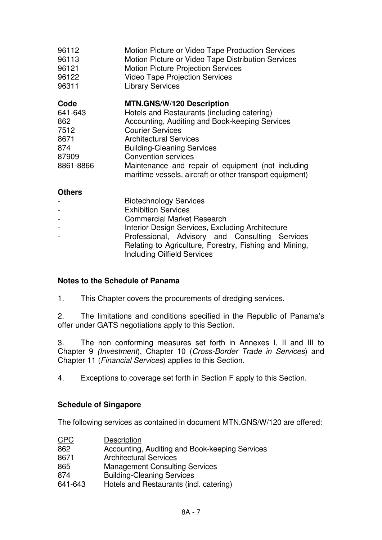| 96112<br>96113<br>96121<br>96122<br>96311 | Motion Picture or Video Tape Production Services<br>Motion Picture or Video Tape Distribution Services<br><b>Motion Picture Projection Services</b><br><b>Video Tape Projection Services</b><br><b>Library Services</b> |
|-------------------------------------------|-------------------------------------------------------------------------------------------------------------------------------------------------------------------------------------------------------------------------|
| Code                                      | <b>MTN.GNS/W/120 Description</b>                                                                                                                                                                                        |
| 641-643                                   | Hotels and Restaurants (including catering)                                                                                                                                                                             |
| 862                                       | Accounting, Auditing and Book-keeping Services                                                                                                                                                                          |
| 7512                                      | <b>Courier Services</b>                                                                                                                                                                                                 |
| 8671                                      | <b>Architectural Services</b>                                                                                                                                                                                           |
| 874                                       | <b>Building-Cleaning Services</b>                                                                                                                                                                                       |
| 87909                                     | <b>Convention services</b>                                                                                                                                                                                              |
| 8861-8866                                 | Maintenance and repair of equipment (not including<br>maritime vessels, aircraft or other transport equipment)                                                                                                          |

## **Others**

| Ξ.                       | <b>Biotechnology Services</b>                                                                                                                  |
|--------------------------|------------------------------------------------------------------------------------------------------------------------------------------------|
| ÷.                       | <b>Exhibition Services</b>                                                                                                                     |
| ÷.                       | <b>Commercial Market Research</b>                                                                                                              |
| $\overline{\phantom{0}}$ | Interior Design Services, Excluding Architecture                                                                                               |
| -                        | Professional, Advisory and Consulting Services<br>Relating to Agriculture, Forestry, Fishing and Mining,<br><b>Including Oilfield Services</b> |
|                          |                                                                                                                                                |

## **Notes to the Schedule of Panama**

1. This Chapter covers the procurements of dredging services.

2. The limitations and conditions specified in the Republic of Panama's offer under GATS negotiations apply to this Section.

3. The non conforming measures set forth in Annexes I, II and III to Chapter 9 (Investment), Chapter 10 (Cross-Border Trade in Services) and Chapter 11 (Financial Services) applies to this Section.

4. Exceptions to coverage set forth in Section F apply to this Section.

## **Schedule of Singapore**

The following services as contained in document MTN.GNS/W/120 are offered:

| CPC     | Description                                    |
|---------|------------------------------------------------|
| 862     | Accounting, Auditing and Book-keeping Services |
| 8671    | <b>Architectural Services</b>                  |
| 865     | <b>Management Consulting Services</b>          |
| 874     | <b>Building-Cleaning Services</b>              |
| 641-643 | Hotels and Restaurants (incl. catering)        |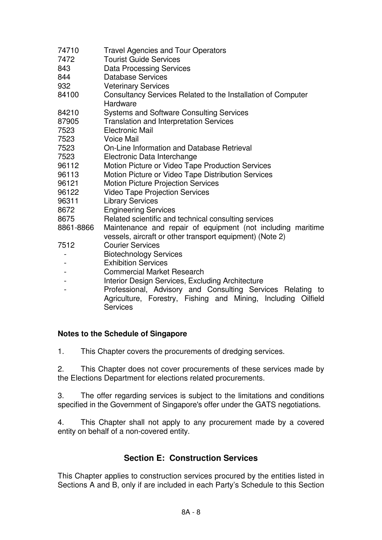- 74710 Travel Agencies and Tour Operators
- 7472 Tourist Guide Services
- 843 Data Processing Services
- 844 Database Services
- 932 Veterinary Services
- 84100 Consultancy Services Related to the Installation of Computer **Hardware**
- 84210 Systems and Software Consulting Services
- 87905 Translation and Interpretation Services
- 7523 Electronic Mail
- 7523 Voice Mail
- 7523 On-Line Information and Database Retrieval
- 7523 Electronic Data Interchange
- 96112 Motion Picture or Video Tape Production Services
- 96113 Motion Picture or Video Tape Distribution Services
- 96121 Motion Picture Projection Services
- 96122 Video Tape Projection Services
- 96311 Library Services
- 8672 Engineering Services
- 8675 Related scientific and technical consulting services
- 8861-8866 Maintenance and repair of equipment (not including maritime vessels, aircraft or other transport equipment) (Note 2)
- 7512 Courier Services
- Biotechnology Services
- Exhibition Services
- Commercial Market Research
- Interior Design Services, Excluding Architecture
- Professional, Advisory and Consulting Services Relating to Agriculture, Forestry, Fishing and Mining, Including Oilfield **Services**

# **Notes to the Schedule of Singapore**

1. This Chapter covers the procurements of dredging services.

2. This Chapter does not cover procurements of these services made by the Elections Department for elections related procurements.

3. The offer regarding services is subject to the limitations and conditions specified in the Government of Singapore's offer under the GATS negotiations.

4. This Chapter shall not apply to any procurement made by a covered entity on behalf of a non-covered entity.

# **Section E: Construction Services**

This Chapter applies to construction services procured by the entities listed in Sections A and B, only if are included in each Party's Schedule to this Section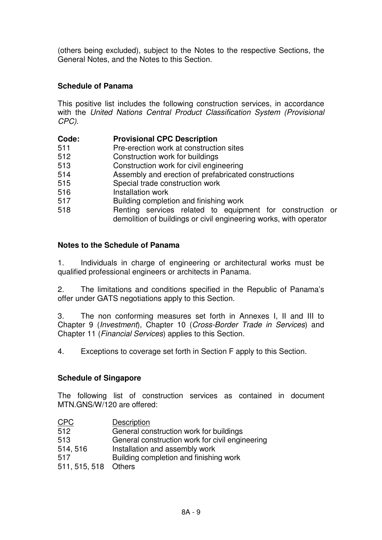(others being excluded), subject to the Notes to the respective Sections, the General Notes, and the Notes to this Section.

## **Schedule of Panama**

This positive list includes the following construction services, in accordance with the United Nations Central Product Classification System (Provisional CPC).

| Code: | <b>Provisional CPC Description</b>                                                                                             |
|-------|--------------------------------------------------------------------------------------------------------------------------------|
| 511   | Pre-erection work at construction sites                                                                                        |
| 512   | Construction work for buildings                                                                                                |
| 513   | Construction work for civil engineering                                                                                        |
| 514   | Assembly and erection of prefabricated constructions                                                                           |
| 515   | Special trade construction work                                                                                                |
| 516   | Installation work                                                                                                              |
| 517   | Building completion and finishing work                                                                                         |
| 518   | Renting services related to equipment for construction or<br>demolition of buildings or civil engineering works, with operator |

#### **Notes to the Schedule of Panama**

1. Individuals in charge of engineering or architectural works must be qualified professional engineers or architects in Panama.

2. The limitations and conditions specified in the Republic of Panama's offer under GATS negotiations apply to this Section.

3. The non conforming measures set forth in Annexes I, II and III to Chapter 9 (Investment), Chapter 10 (Cross-Border Trade in Services) and Chapter 11 (Financial Services) applies to this Section.

4. Exceptions to coverage set forth in Section F apply to this Section.

#### **Schedule of Singapore**

The following list of construction services as contained in document MTN.GNS/W/120 are offered:

| 512<br>General construction work for buildings<br>513<br>Installation and assembly work<br>514, 516<br>Building completion and finishing work<br>517<br>511, 515, 518 Others | CPC | Description<br>General construction work for civil engineering |
|------------------------------------------------------------------------------------------------------------------------------------------------------------------------------|-----|----------------------------------------------------------------|
|------------------------------------------------------------------------------------------------------------------------------------------------------------------------------|-----|----------------------------------------------------------------|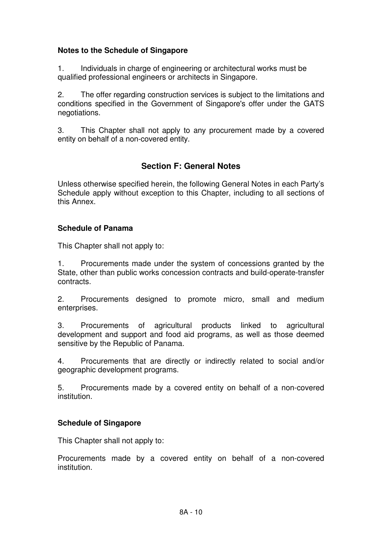## **Notes to the Schedule of Singapore**

1. Individuals in charge of engineering or architectural works must be qualified professional engineers or architects in Singapore.

2. The offer regarding construction services is subject to the limitations and conditions specified in the Government of Singapore's offer under the GATS negotiations.

3. This Chapter shall not apply to any procurement made by a covered entity on behalf of a non-covered entity.

# **Section F: General Notes**

Unless otherwise specified herein, the following General Notes in each Party's Schedule apply without exception to this Chapter, including to all sections of this Annex.

## **Schedule of Panama**

This Chapter shall not apply to:

1. Procurements made under the system of concessions granted by the State, other than public works concession contracts and build-operate-transfer contracts.

2. Procurements designed to promote micro, small and medium enterprises.

3. Procurements of agricultural products linked to agricultural development and support and food aid programs, as well as those deemed sensitive by the Republic of Panama.

4. Procurements that are directly or indirectly related to social and/or geographic development programs.

5. Procurements made by a covered entity on behalf of a non-covered institution.

#### **Schedule of Singapore**

This Chapter shall not apply to:

Procurements made by a covered entity on behalf of a non-covered institution.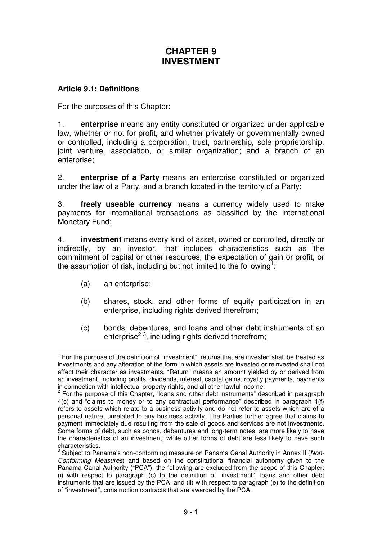# **CHAPTER 9 INVESTMENT**

## **Article 9.1: Definitions**

For the purposes of this Chapter:

1. **enterprise** means any entity constituted or organized under applicable law, whether or not for profit, and whether privately or governmentally owned or controlled, including a corporation, trust, partnership, sole proprietorship, joint venture, association, or similar organization; and a branch of an enterprise;

2. **enterprise of a Party** means an enterprise constituted or organized under the law of a Party, and a branch located in the territory of a Party;

3. **freely useable currency** means a currency widely used to make payments for international transactions as classified by the International Monetary Fund;

4. **investment** means every kind of asset, owned or controlled, directly or indirectly, by an investor, that includes characteristics such as the commitment of capital or other resources, the expectation of gain or profit, or the assumption of risk, including but not limited to the following<sup>1</sup>:

(a) an enterprise;

 $\overline{a}$ 

- (b) shares, stock, and other forms of equity participation in an enterprise, including rights derived therefrom;
- (c) bonds, debentures, and loans and other debt instruments of an enterprise<sup>23</sup>, including rights derived therefrom;

 $<sup>1</sup>$  For the purpose of the definition of "investment", returns that are invested shall be treated as</sup> investments and any alteration of the form in which assets are invested or reinvested shall not affect their character as investments. "Return" means an amount yielded by or derived from an investment, including profits, dividends, interest, capital gains, royalty payments, payments in connection with intellectual property rights, and all other lawful income.

 $2$  For the purpose of this Chapter, "loans and other debt instruments" described in paragraph 4(c) and "claims to money or to any contractual performance" described in paragraph 4(f) refers to assets which relate to a business activity and do not refer to assets which are of a personal nature, unrelated to any business activity. The Parties further agree that claims to payment immediately due resulting from the sale of goods and services are not investments. Some forms of debt, such as bonds, debentures and long-term notes, are more likely to have the characteristics of an investment, while other forms of debt are less likely to have such characteristics.

<sup>&</sup>lt;sup>3</sup> Subject to Panama's non-conforming measure on Panama Canal Authority in Annex II (Non-Conforming Measures) and based on the constitutional financial autonomy given to the Panama Canal Authority ("PCA"), the following are excluded from the scope of this Chapter: (i) with respect to paragraph (c) to the definition of "investment", loans and other debt instruments that are issued by the PCA; and (ii) with respect to paragraph (e) to the definition of "investment", construction contracts that are awarded by the PCA.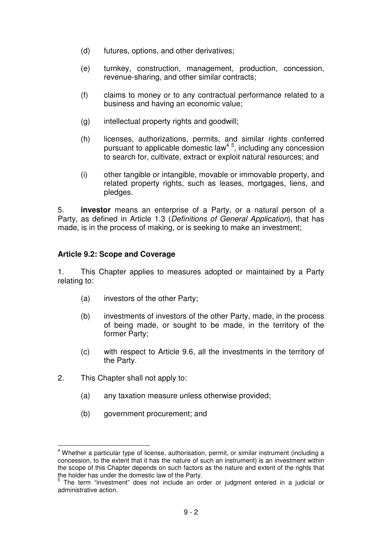- (d) futures, options, and other derivatives;
- (e) turnkey, construction, management, production, concession, revenue-sharing, and other similar contracts;
- (f) claims to money or to any contractual performance related to a business and having an economic value;
- (g) intellectual property rights and goodwill;
- (h) licenses, authorizations, permits, and similar rights conferred pursuant to applicable domestic law<sup>45</sup>, including any concession to search for, cultivate, extract or exploit natural resources; and
- (i) other tangible or intangible, movable or immovable property, and related property rights, such as leases, mortgages, liens, and pledges.

5. **investor** means an enterprise of a Party, or a natural person of a Party, as defined in Article 1.3 (Definitions of General Application), that has made, is in the process of making, or is seeking to make an investment;

## **Article 9.2: Scope and Coverage**

1. This Chapter applies to measures adopted or maintained by a Party relating to:

- (a) investors of the other Party;
- (b) investments of investors of the other Party, made, in the process of being made, or sought to be made, in the territory of the former Party;
- (c) with respect to Article 9.6, all the investments in the territory of the Party.
- 2. This Chapter shall not apply to:

 $\overline{a}$ 

- (a) any taxation measure unless otherwise provided;
- (b) government procurement; and

<sup>&</sup>lt;sup>4</sup> Whether a particular type of license, authorisation, permit, or similar instrument (including a concession, to the extent that it has the nature of such an instrument) is an investment within the scope of this Chapter depends on such factors as the nature and extent of the rights that the holder has under the domestic law of the Party.

<sup>&</sup>lt;sup>5</sup> The term "investment" does not include an order or judgment entered in a judicial or administrative action.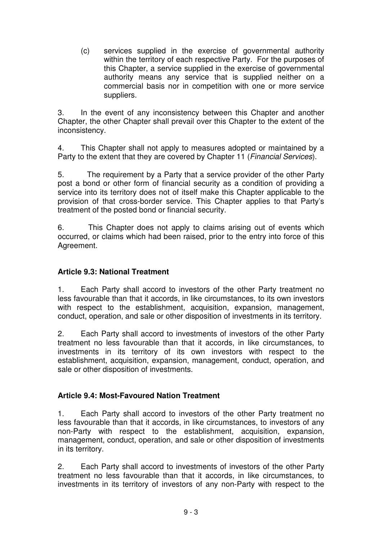(c) services supplied in the exercise of governmental authority within the territory of each respective Party. For the purposes of this Chapter, a service supplied in the exercise of governmental authority means any service that is supplied neither on a commercial basis nor in competition with one or more service suppliers.

3. In the event of any inconsistency between this Chapter and another Chapter, the other Chapter shall prevail over this Chapter to the extent of the inconsistency.

4. This Chapter shall not apply to measures adopted or maintained by a Party to the extent that they are covered by Chapter 11 (Financial Services).

5. The requirement by a Party that a service provider of the other Party post a bond or other form of financial security as a condition of providing a service into its territory does not of itself make this Chapter applicable to the provision of that cross-border service. This Chapter applies to that Party's treatment of the posted bond or financial security.

6. This Chapter does not apply to claims arising out of events which occurred, or claims which had been raised, prior to the entry into force of this Agreement.

## **Article 9.3: National Treatment**

1. Each Party shall accord to investors of the other Party treatment no less favourable than that it accords, in like circumstances, to its own investors with respect to the establishment, acquisition, expansion, management, conduct, operation, and sale or other disposition of investments in its territory.

2. Each Party shall accord to investments of investors of the other Party treatment no less favourable than that it accords, in like circumstances, to investments in its territory of its own investors with respect to the establishment, acquisition, expansion, management, conduct, operation, and sale or other disposition of investments.

## **Article 9.4: Most-Favoured Nation Treatment**

1. Each Party shall accord to investors of the other Party treatment no less favourable than that it accords, in like circumstances, to investors of any non-Party with respect to the establishment, acquisition, expansion, management, conduct, operation, and sale or other disposition of investments in its territory.

2. Each Party shall accord to investments of investors of the other Party treatment no less favourable than that it accords, in like circumstances, to investments in its territory of investors of any non-Party with respect to the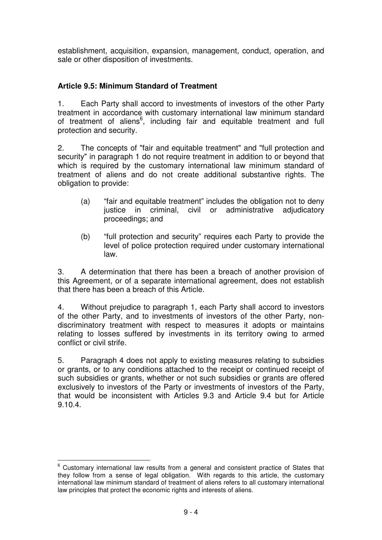establishment, acquisition, expansion, management, conduct, operation, and sale or other disposition of investments.

# **Article 9.5: Minimum Standard of Treatment**

1. Each Party shall accord to investments of investors of the other Party treatment in accordance with customary international law minimum standard of treatment of aliens<sup>6</sup>, including fair and equitable treatment and full protection and security.

2. The concepts of "fair and equitable treatment" and "full protection and security" in paragraph 1 do not require treatment in addition to or beyond that which is required by the customary international law minimum standard of treatment of aliens and do not create additional substantive rights. The obligation to provide:

- (a) "fair and equitable treatment" includes the obligation not to deny justice in criminal, civil or administrative adjudicatory proceedings; and
- (b) "full protection and security" requires each Party to provide the level of police protection required under customary international law.

3. A determination that there has been a breach of another provision of this Agreement, or of a separate international agreement, does not establish that there has been a breach of this Article.

4. Without prejudice to paragraph 1, each Party shall accord to investors of the other Party, and to investments of investors of the other Party, nondiscriminatory treatment with respect to measures it adopts or maintains relating to losses suffered by investments in its territory owing to armed conflict or civil strife.

5. Paragraph 4 does not apply to existing measures relating to subsidies or grants, or to any conditions attached to the receipt or continued receipt of such subsidies or grants, whether or not such subsidies or grants are offered exclusively to investors of the Party or investments of investors of the Party, that would be inconsistent with Articles 9.3 and Article 9.4 but for Article 9.10.4.

 $\overline{a}$ 

<sup>6</sup> Customary international law results from a general and consistent practice of States that they follow from a sense of legal obligation. With regards to this article, the customary international law minimum standard of treatment of aliens refers to all customary international law principles that protect the economic rights and interests of aliens.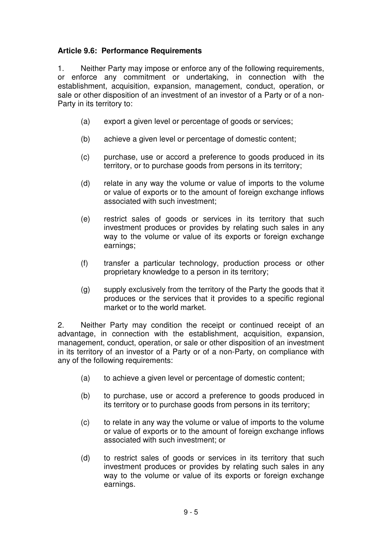## **Article 9.6: Performance Requirements**

1. Neither Party may impose or enforce any of the following requirements, or enforce any commitment or undertaking, in connection with the establishment, acquisition, expansion, management, conduct, operation, or sale or other disposition of an investment of an investor of a Party or of a non-Party in its territory to:

- (a) export a given level or percentage of goods or services;
- (b) achieve a given level or percentage of domestic content;
- (c) purchase, use or accord a preference to goods produced in its territory, or to purchase goods from persons in its territory;
- (d) relate in any way the volume or value of imports to the volume or value of exports or to the amount of foreign exchange inflows associated with such investment;
- (e) restrict sales of goods or services in its territory that such investment produces or provides by relating such sales in any way to the volume or value of its exports or foreign exchange earnings;
- (f) transfer a particular technology, production process or other proprietary knowledge to a person in its territory;
- (g) supply exclusively from the territory of the Party the goods that it produces or the services that it provides to a specific regional market or to the world market.

2. Neither Party may condition the receipt or continued receipt of an advantage, in connection with the establishment, acquisition, expansion, management, conduct, operation, or sale or other disposition of an investment in its territory of an investor of a Party or of a non-Party, on compliance with any of the following requirements:

- (a) to achieve a given level or percentage of domestic content;
- (b) to purchase, use or accord a preference to goods produced in its territory or to purchase goods from persons in its territory;
- (c) to relate in any way the volume or value of imports to the volume or value of exports or to the amount of foreign exchange inflows associated with such investment; or
- (d) to restrict sales of goods or services in its territory that such investment produces or provides by relating such sales in any way to the volume or value of its exports or foreign exchange earnings.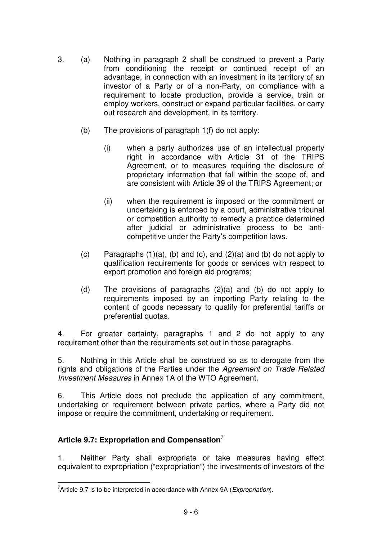- 3. (a) Nothing in paragraph 2 shall be construed to prevent a Party from conditioning the receipt or continued receipt of an advantage, in connection with an investment in its territory of an investor of a Party or of a non-Party, on compliance with a requirement to locate production, provide a service, train or employ workers, construct or expand particular facilities, or carry out research and development, in its territory.
	- (b) The provisions of paragraph 1(f) do not apply:
		- (i) when a party authorizes use of an intellectual property right in accordance with Article 31 of the TRIPS Agreement, or to measures requiring the disclosure of proprietary information that fall within the scope of, and are consistent with Article 39 of the TRIPS Agreement; or
		- (ii) when the requirement is imposed or the commitment or undertaking is enforced by a court, administrative tribunal or competition authority to remedy a practice determined after judicial or administrative process to be anticompetitive under the Party's competition laws.
	- (c) Paragraphs  $(1)(a)$ ,  $(b)$  and  $(c)$ , and  $(2)(a)$  and  $(b)$  do not apply to qualification requirements for goods or services with respect to export promotion and foreign aid programs;
	- (d) The provisions of paragraphs (2)(a) and (b) do not apply to requirements imposed by an importing Party relating to the content of goods necessary to qualify for preferential tariffs or preferential quotas.

4. For greater certainty, paragraphs 1 and 2 do not apply to any requirement other than the requirements set out in those paragraphs.

5. Nothing in this Article shall be construed so as to derogate from the rights and obligations of the Parties under the Agreement on Trade Related Investment Measures in Annex 1A of the WTO Agreement.

6. This Article does not preclude the application of any commitment, undertaking or requirement between private parties, where a Party did not impose or require the commitment, undertaking or requirement.

# **Article 9.7: Expropriation and Compensation**<sup>7</sup>

 $\overline{a}$ 

1. Neither Party shall expropriate or take measures having effect equivalent to expropriation ("expropriation") the investments of investors of the

<sup>&</sup>lt;sup>7</sup> Article 9.7 is to be interpreted in accordance with Annex 9A (*Expropriation*).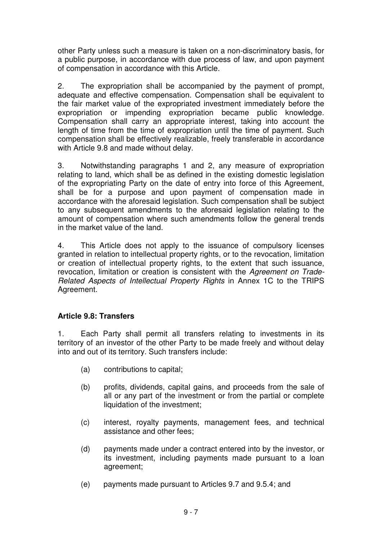other Party unless such a measure is taken on a non-discriminatory basis, for a public purpose, in accordance with due process of law, and upon payment of compensation in accordance with this Article.

2. The expropriation shall be accompanied by the payment of prompt, adequate and effective compensation. Compensation shall be equivalent to the fair market value of the expropriated investment immediately before the expropriation or impending expropriation became public knowledge. Compensation shall carry an appropriate interest, taking into account the length of time from the time of expropriation until the time of payment. Such compensation shall be effectively realizable, freely transferable in accordance with Article 9.8 and made without delay.

3. Notwithstanding paragraphs 1 and 2, any measure of expropriation relating to land, which shall be as defined in the existing domestic legislation of the expropriating Party on the date of entry into force of this Agreement, shall be for a purpose and upon payment of compensation made in accordance with the aforesaid legislation. Such compensation shall be subject to any subsequent amendments to the aforesaid legislation relating to the amount of compensation where such amendments follow the general trends in the market value of the land.

4. This Article does not apply to the issuance of compulsory licenses granted in relation to intellectual property rights, or to the revocation, limitation or creation of intellectual property rights, to the extent that such issuance, revocation, limitation or creation is consistent with the Agreement on Trade-Related Aspects of Intellectual Property Rights in Annex 1C to the TRIPS Agreement.

# **Article 9.8: Transfers**

1. Each Party shall permit all transfers relating to investments in its territory of an investor of the other Party to be made freely and without delay into and out of its territory. Such transfers include:

- (a) contributions to capital;
- (b) profits, dividends, capital gains, and proceeds from the sale of all or any part of the investment or from the partial or complete liquidation of the investment;
- (c) interest, royalty payments, management fees, and technical assistance and other fees;
- (d) payments made under a contract entered into by the investor, or its investment, including payments made pursuant to a loan agreement;
- (e) payments made pursuant to Articles 9.7 and 9.5.4; and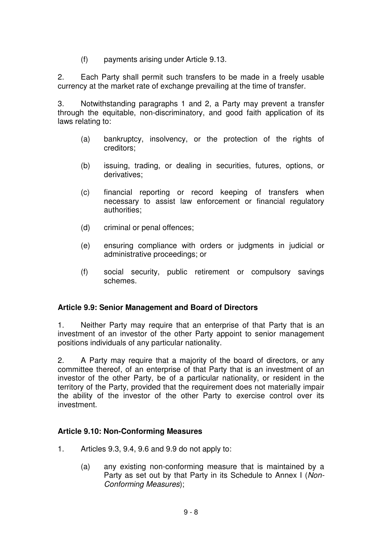(f) payments arising under Article 9.13.

2. Each Party shall permit such transfers to be made in a freely usable currency at the market rate of exchange prevailing at the time of transfer.

3. Notwithstanding paragraphs 1 and 2, a Party may prevent a transfer through the equitable, non-discriminatory, and good faith application of its laws relating to:

- (a) bankruptcy, insolvency, or the protection of the rights of creditors;
- (b) issuing, trading, or dealing in securities, futures, options, or derivatives;
- (c) financial reporting or record keeping of transfers when necessary to assist law enforcement or financial regulatory authorities;
- (d) criminal or penal offences;
- (e) ensuring compliance with orders or judgments in judicial or administrative proceedings; or
- (f) social security, public retirement or compulsory savings schemes.

#### **Article 9.9: Senior Management and Board of Directors**

1. Neither Party may require that an enterprise of that Party that is an investment of an investor of the other Party appoint to senior management positions individuals of any particular nationality.

2. A Party may require that a majority of the board of directors, or any committee thereof, of an enterprise of that Party that is an investment of an investor of the other Party, be of a particular nationality, or resident in the territory of the Party, provided that the requirement does not materially impair the ability of the investor of the other Party to exercise control over its investment.

#### **Article 9.10: Non-Conforming Measures**

- 1. Articles 9.3, 9.4, 9.6 and 9.9 do not apply to:
	- (a) any existing non-conforming measure that is maintained by a Party as set out by that Party in its Schedule to Annex I (Non-Conforming Measures);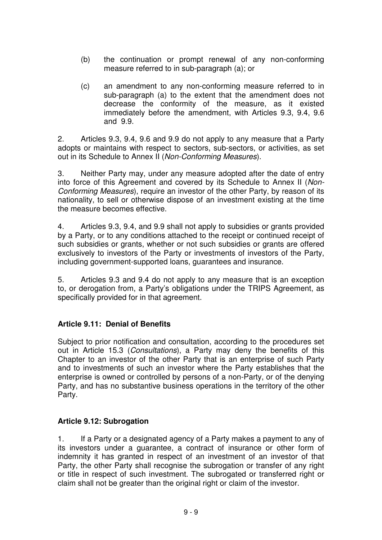- (b) the continuation or prompt renewal of any non-conforming measure referred to in sub-paragraph (a); or
- (c) an amendment to any non-conforming measure referred to in sub-paragraph (a) to the extent that the amendment does not decrease the conformity of the measure, as it existed immediately before the amendment, with Articles 9.3, 9.4, 9.6 and 9.9.

2. Articles 9.3, 9.4, 9.6 and 9.9 do not apply to any measure that a Party adopts or maintains with respect to sectors, sub-sectors, or activities, as set out in its Schedule to Annex II (Non-Conforming Measures).

3. Neither Party may, under any measure adopted after the date of entry into force of this Agreement and covered by its Schedule to Annex II (Non-Conforming Measures), require an investor of the other Party, by reason of its nationality, to sell or otherwise dispose of an investment existing at the time the measure becomes effective.

4. Articles 9.3, 9.4, and 9.9 shall not apply to subsidies or grants provided by a Party, or to any conditions attached to the receipt or continued receipt of such subsidies or grants, whether or not such subsidies or grants are offered exclusively to investors of the Party or investments of investors of the Party, including government-supported loans, guarantees and insurance.

5. Articles 9.3 and 9.4 do not apply to any measure that is an exception to, or derogation from, a Party's obligations under the TRIPS Agreement, as specifically provided for in that agreement.

## **Article 9.11: Denial of Benefits**

Subject to prior notification and consultation, according to the procedures set out in Article 15.3 (Consultations), a Party may deny the benefits of this Chapter to an investor of the other Party that is an enterprise of such Party and to investments of such an investor where the Party establishes that the enterprise is owned or controlled by persons of a non-Party, or of the denying Party, and has no substantive business operations in the territory of the other Party.

## **Article 9.12: Subrogation**

1. If a Party or a designated agency of a Party makes a payment to any of its investors under a guarantee, a contract of insurance or other form of indemnity it has granted in respect of an investment of an investor of that Party, the other Party shall recognise the subrogation or transfer of any right or title in respect of such investment. The subrogated or transferred right or claim shall not be greater than the original right or claim of the investor.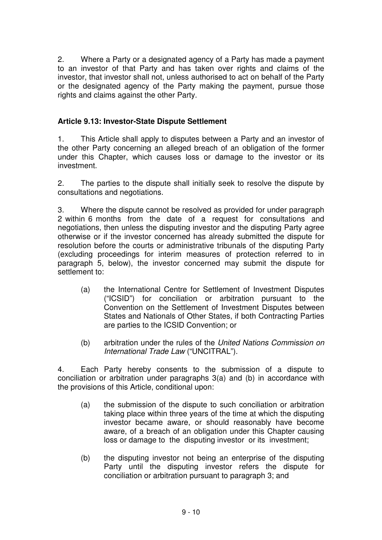2. Where a Party or a designated agency of a Party has made a payment to an investor of that Party and has taken over rights and claims of the investor, that investor shall not, unless authorised to act on behalf of the Party or the designated agency of the Party making the payment, pursue those rights and claims against the other Party.

#### **Article 9.13: Investor-State Dispute Settlement**

1. This Article shall apply to disputes between a Party and an investor of the other Party concerning an alleged breach of an obligation of the former under this Chapter, which causes loss or damage to the investor or its investment.

2. The parties to the dispute shall initially seek to resolve the dispute by consultations and negotiations.

3. Where the dispute cannot be resolved as provided for under paragraph 2 within 6 months from the date of a request for consultations and negotiations, then unless the disputing investor and the disputing Party agree otherwise or if the investor concerned has already submitted the dispute for resolution before the courts or administrative tribunals of the disputing Party (excluding proceedings for interim measures of protection referred to in paragraph 5, below), the investor concerned may submit the dispute for settlement to:

- (a) the International Centre for Settlement of Investment Disputes ("ICSID") for conciliation or arbitration pursuant to the Convention on the Settlement of Investment Disputes between States and Nationals of Other States, if both Contracting Parties are parties to the ICSID Convention; or
- (b) arbitration under the rules of the United Nations Commission on International Trade Law ("UNCITRAL").

4. Each Party hereby consents to the submission of a dispute to conciliation or arbitration under paragraphs 3(a) and (b) in accordance with the provisions of this Article, conditional upon:

- (a) the submission of the dispute to such conciliation or arbitration taking place within three years of the time at which the disputing investor became aware, or should reasonably have become aware, of a breach of an obligation under this Chapter causing loss or damage to the disputing investor or its investment;
- (b) the disputing investor not being an enterprise of the disputing Party until the disputing investor refers the dispute for conciliation or arbitration pursuant to paragraph 3; and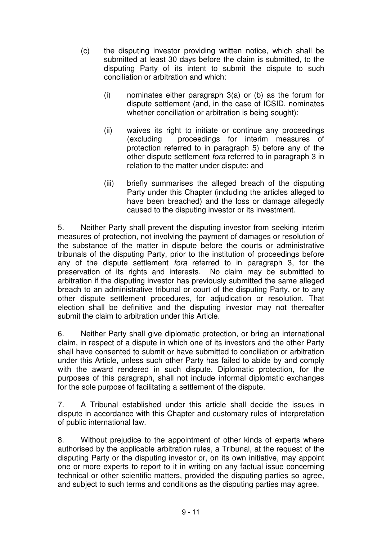- (c) the disputing investor providing written notice, which shall be submitted at least 30 days before the claim is submitted, to the disputing Party of its intent to submit the dispute to such conciliation or arbitration and which:
	- (i) nominates either paragraph 3(a) or (b) as the forum for dispute settlement (and, in the case of ICSID, nominates whether conciliation or arbitration is being sought);
	- (ii) waives its right to initiate or continue any proceedings (excluding proceedings for interim measures of protection referred to in paragraph 5) before any of the other dispute settlement fora referred to in paragraph 3 in relation to the matter under dispute; and
	- (iii) briefly summarises the alleged breach of the disputing Party under this Chapter (including the articles alleged to have been breached) and the loss or damage allegedly caused to the disputing investor or its investment.

5. Neither Party shall prevent the disputing investor from seeking interim measures of protection, not involving the payment of damages or resolution of the substance of the matter in dispute before the courts or administrative tribunals of the disputing Party, prior to the institution of proceedings before any of the dispute settlement fora referred to in paragraph 3, for the preservation of its rights and interests. No claim may be submitted to arbitration if the disputing investor has previously submitted the same alleged breach to an administrative tribunal or court of the disputing Party, or to any other dispute settlement procedures, for adjudication or resolution. That election shall be definitive and the disputing investor may not thereafter submit the claim to arbitration under this Article.

6. Neither Party shall give diplomatic protection, or bring an international claim, in respect of a dispute in which one of its investors and the other Party shall have consented to submit or have submitted to conciliation or arbitration under this Article, unless such other Party has failed to abide by and comply with the award rendered in such dispute. Diplomatic protection, for the purposes of this paragraph, shall not include informal diplomatic exchanges for the sole purpose of facilitating a settlement of the dispute.

7. A Tribunal established under this article shall decide the issues in dispute in accordance with this Chapter and customary rules of interpretation of public international law.

8. Without prejudice to the appointment of other kinds of experts where authorised by the applicable arbitration rules, a Tribunal, at the request of the disputing Party or the disputing investor or, on its own initiative, may appoint one or more experts to report to it in writing on any factual issue concerning technical or other scientific matters, provided the disputing parties so agree, and subject to such terms and conditions as the disputing parties may agree.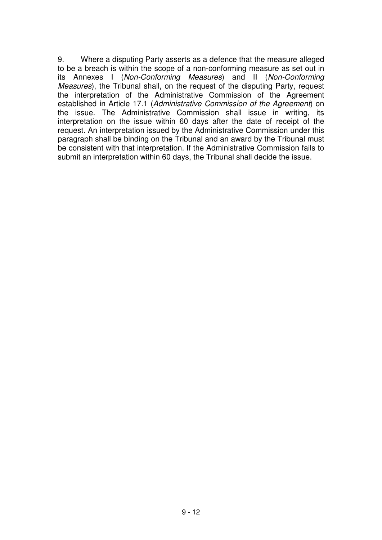9. Where a disputing Party asserts as a defence that the measure alleged to be a breach is within the scope of a non-conforming measure as set out in its Annexes I (Non-Conforming Measures) and II (Non-Conforming Measures), the Tribunal shall, on the request of the disputing Party, request the interpretation of the Administrative Commission of the Agreement established in Article 17.1 (Administrative Commission of the Agreement) on the issue. The Administrative Commission shall issue in writing, its interpretation on the issue within 60 days after the date of receipt of the request. An interpretation issued by the Administrative Commission under this paragraph shall be binding on the Tribunal and an award by the Tribunal must be consistent with that interpretation. If the Administrative Commission fails to submit an interpretation within 60 days, the Tribunal shall decide the issue.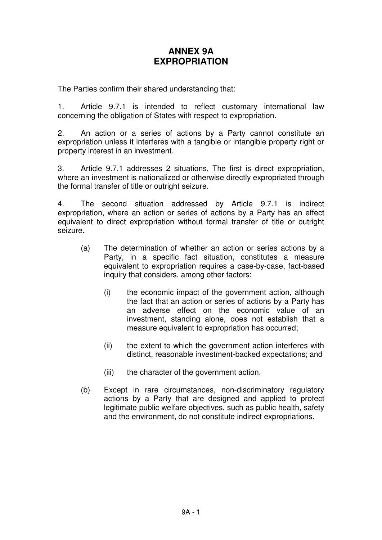# **ANNEX 9A EXPROPRIATION**

The Parties confirm their shared understanding that:

1. Article 9.7.1 is intended to reflect customary international law concerning the obligation of States with respect to expropriation.

2. An action or a series of actions by a Party cannot constitute an expropriation unless it interferes with a tangible or intangible property right or property interest in an investment.

3. Article 9.7.1 addresses 2 situations. The first is direct expropriation, where an investment is nationalized or otherwise directly expropriated through the formal transfer of title or outright seizure.

4. The second situation addressed by Article 9.7.1 is indirect expropriation, where an action or series of actions by a Party has an effect equivalent to direct expropriation without formal transfer of title or outright seizure.

- (a) The determination of whether an action or series actions by a Party, in a specific fact situation, constitutes a measure equivalent to expropriation requires a case-by-case, fact-based inquiry that considers, among other factors:
	- (i) the economic impact of the government action, although the fact that an action or series of actions by a Party has an adverse effect on the economic value of an investment, standing alone, does not establish that a measure equivalent to expropriation has occurred;
	- (ii) the extent to which the government action interferes with distinct, reasonable investment-backed expectations; and
	- (iii) the character of the government action.
- (b) Except in rare circumstances, non-discriminatory regulatory actions by a Party that are designed and applied to protect legitimate public welfare objectives, such as public health, safety and the environment, do not constitute indirect expropriations.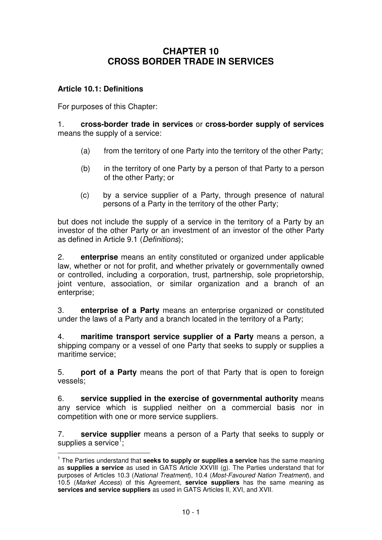# **CHAPTER 10 CROSS BORDER TRADE IN SERVICES**

#### **Article 10.1: Definitions**

For purposes of this Chapter:

1. **cross-border trade in services** or **cross-border supply of services**  means the supply of a service:

- (a) from the territory of one Party into the territory of the other Party;
- (b) in the territory of one Party by a person of that Party to a person of the other Party; or
- (c) by a service supplier of a Party, through presence of natural persons of a Party in the territory of the other Party;

but does not include the supply of a service in the territory of a Party by an investor of the other Party or an investment of an investor of the other Party as defined in Article 9.1 (Definitions);

2. **enterprise** means an entity constituted or organized under applicable law, whether or not for profit, and whether privately or governmentally owned or controlled, including a corporation, trust, partnership, sole proprietorship, joint venture, association, or similar organization and a branch of an enterprise;

3. **enterprise of a Party** means an enterprise organized or constituted under the laws of a Party and a branch located in the territory of a Party;

4. **maritime transport service supplier of a Party** means a person, a shipping company or a vessel of one Party that seeks to supply or supplies a maritime service;

5. **port of a Party** means the port of that Party that is open to foreign vessels;

6. **service supplied in the exercise of governmental authority** means any service which is supplied neither on a commercial basis nor in competition with one or more service suppliers.

7. **service supplier** means a person of a Party that seeks to supply or supplies a service<sup>1</sup>;  $\overline{a}$ 

<sup>&</sup>lt;sup>1</sup> The Parties understand that **seeks to supply or supplies a service** has the same meaning as **supplies a service** as used in GATS Article XXVIII (g). The Parties understand that for purposes of Articles 10.3 (National Treatment), 10.4 (Most-Favoured Nation Treatment), and 10.5 (Market Access) of this Agreement, **service suppliers** has the same meaning as **services and service suppliers** as used in GATS Articles II, XVI, and XVII.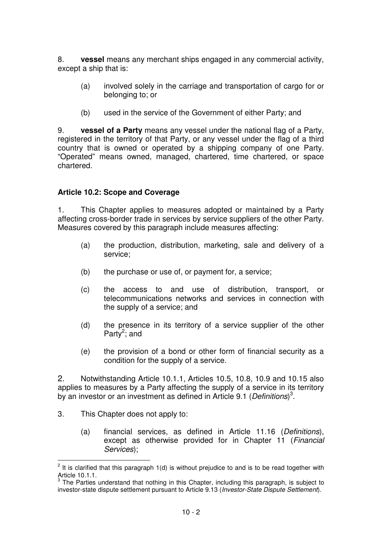8. **vessel** means any merchant ships engaged in any commercial activity, except a ship that is:

- (a) involved solely in the carriage and transportation of cargo for or belonging to; or
- (b) used in the service of the Government of either Party; and

9. **vessel of a Party** means any vessel under the national flag of a Party, registered in the territory of that Party, or any vessel under the flag of a third country that is owned or operated by a shipping company of one Party. "Operated" means owned, managed, chartered, time chartered, or space chartered.

## **Article 10.2: Scope and Coverage**

1. This Chapter applies to measures adopted or maintained by a Party affecting cross-border trade in services by service suppliers of the other Party. Measures covered by this paragraph include measures affecting:

- (a) the production, distribution, marketing, sale and delivery of a service;
- (b) the purchase or use of, or payment for, a service;
- (c) the access to and use of distribution, transport, or telecommunications networks and services in connection with the supply of a service; and
- (d) the presence in its territory of a service supplier of the other Party<sup>2</sup>; and
- (e) the provision of a bond or other form of financial security as a condition for the supply of a service.

2. Notwithstanding Article 10.1.1, Articles 10.5, 10.8, 10.9 and 10.15 also applies to measures by a Party affecting the supply of a service in its territory by an investor or an investment as defined in Article 9.1 (Definitions)<sup>3</sup>.

3. This Chapter does not apply to:

 $\overline{a}$ 

(a) financial services, as defined in Article 11.16 (Definitions), except as otherwise provided for in Chapter 11 (Financial Services);

 $2$  It is clarified that this paragraph 1(d) is without prejudice to and is to be read together with Article 10.1.1.

 $3$  The Parties understand that nothing in this Chapter, including this paragraph, is subject to investor-state dispute settlement pursuant to Article 9.13 (Investor-State Dispute Settlement).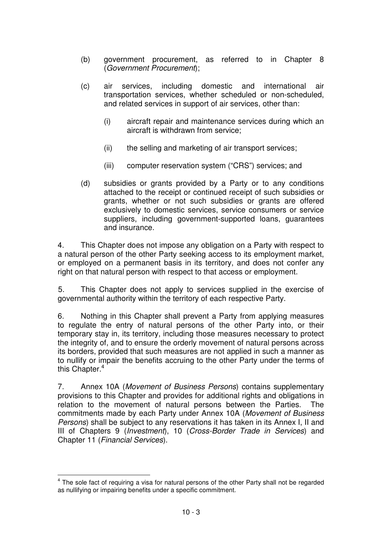- (b) government procurement, as referred to in Chapter 8 (Government Procurement);
- (c) air services, including domestic and international air transportation services, whether scheduled or non-scheduled, and related services in support of air services, other than:
	- (i) aircraft repair and maintenance services during which an aircraft is withdrawn from service;
	- (ii) the selling and marketing of air transport services;
	- (iii) computer reservation system ("CRS") services; and
- (d) subsidies or grants provided by a Party or to any conditions attached to the receipt or continued receipt of such subsidies or grants, whether or not such subsidies or grants are offered exclusively to domestic services, service consumers or service suppliers, including government-supported loans, guarantees and insurance.

4. This Chapter does not impose any obligation on a Party with respect to a natural person of the other Party seeking access to its employment market, or employed on a permanent basis in its territory, and does not confer any right on that natural person with respect to that access or employment.

5. This Chapter does not apply to services supplied in the exercise of governmental authority within the territory of each respective Party.

6. Nothing in this Chapter shall prevent a Party from applying measures to regulate the entry of natural persons of the other Party into, or their temporary stay in, its territory, including those measures necessary to protect the integrity of, and to ensure the orderly movement of natural persons across its borders, provided that such measures are not applied in such a manner as to nullify or impair the benefits accruing to the other Party under the terms of this Chapter.<sup>4</sup>

7. Annex 10A (Movement of Business Persons) contains supplementary provisions to this Chapter and provides for additional rights and obligations in relation to the movement of natural persons between the Parties. The commitments made by each Party under Annex 10A (Movement of Business Persons) shall be subject to any reservations it has taken in its Annex I, II and III of Chapters 9 (Investment), 10 (Cross-Border Trade in Services) and Chapter 11 (Financial Services).

 $\overline{a}$ 

 $4$  The sole fact of requiring a visa for natural persons of the other Party shall not be regarded as nullifying or impairing benefits under a specific commitment.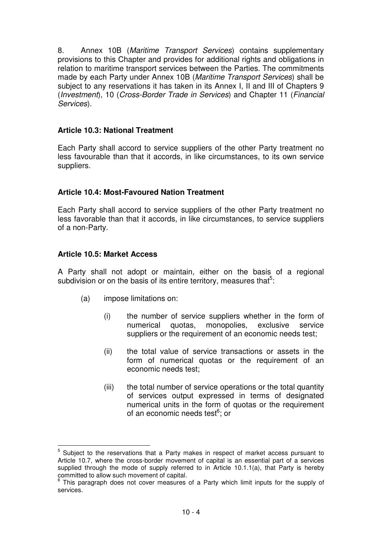8. Annex 10B (Maritime Transport Services) contains supplementary provisions to this Chapter and provides for additional rights and obligations in relation to maritime transport services between the Parties. The commitments made by each Party under Annex 10B (Maritime Transport Services) shall be subject to any reservations it has taken in its Annex I, II and III of Chapters 9 (Investment), 10 (Cross-Border Trade in Services) and Chapter 11 (Financial Services).

## **Article 10.3: National Treatment**

Each Party shall accord to service suppliers of the other Party treatment no less favourable than that it accords, in like circumstances, to its own service suppliers.

#### **Article 10.4: Most-Favoured Nation Treatment**

Each Party shall accord to service suppliers of the other Party treatment no less favorable than that it accords, in like circumstances, to service suppliers of a non-Party.

#### **Article 10.5: Market Access**

 $\overline{a}$ 

A Party shall not adopt or maintain, either on the basis of a regional subdivision or on the basis of its entire territory, measures that<sup>5</sup>:

- (a) impose limitations on:
	- (i) the number of service suppliers whether in the form of numerical quotas, monopolies, exclusive service suppliers or the requirement of an economic needs test;
	- (ii) the total value of service transactions or assets in the form of numerical quotas or the requirement of an economic needs test;
	- (iii) the total number of service operations or the total quantity of services output expressed in terms of designated numerical units in the form of quotas or the requirement of an economic needs test<sup>6</sup>; or

<sup>&</sup>lt;sup>5</sup> Subject to the reservations that a Party makes in respect of market access pursuant to Article 10.7, where the cross-border movement of capital is an essential part of a services supplied through the mode of supply referred to in Article  $10.1.1(a)$ , that Party is hereby committed to allow such movement of capital.

 $6$  This paragraph does not cover measures of a Party which limit inputs for the supply of services.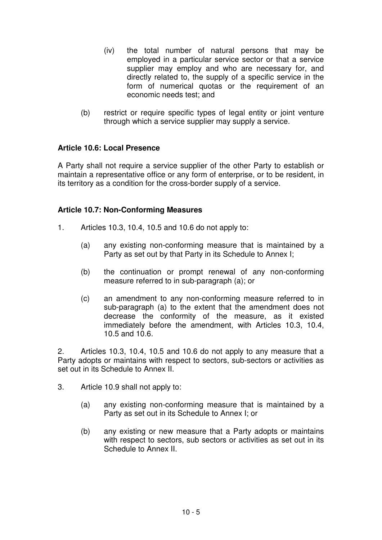- (iv) the total number of natural persons that may be employed in a particular service sector or that a service supplier may employ and who are necessary for, and directly related to, the supply of a specific service in the form of numerical quotas or the requirement of an economic needs test; and
- (b) restrict or require specific types of legal entity or joint venture through which a service supplier may supply a service.

#### **Article 10.6: Local Presence**

A Party shall not require a service supplier of the other Party to establish or maintain a representative office or any form of enterprise, or to be resident, in its territory as a condition for the cross-border supply of a service.

#### **Article 10.7: Non-Conforming Measures**

- 1. Articles 10.3, 10.4, 10.5 and 10.6 do not apply to:
	- (a) any existing non-conforming measure that is maintained by a Party as set out by that Party in its Schedule to Annex I;
	- (b) the continuation or prompt renewal of any non-conforming measure referred to in sub-paragraph (a); or
	- (c) an amendment to any non-conforming measure referred to in sub-paragraph (a) to the extent that the amendment does not decrease the conformity of the measure, as it existed immediately before the amendment, with Articles 10.3, 10.4, 10.5 and 10.6.

2. Articles 10.3, 10.4, 10.5 and 10.6 do not apply to any measure that a Party adopts or maintains with respect to sectors, sub-sectors or activities as set out in its Schedule to Annex II.

- 3. Article 10.9 shall not apply to:
	- (a) any existing non-conforming measure that is maintained by a Party as set out in its Schedule to Annex I; or
	- (b) any existing or new measure that a Party adopts or maintains with respect to sectors, sub sectors or activities as set out in its Schedule to Annex II.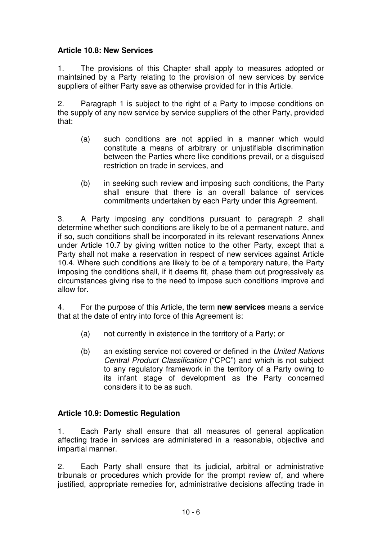## **Article 10.8: New Services**

1. The provisions of this Chapter shall apply to measures adopted or maintained by a Party relating to the provision of new services by service suppliers of either Party save as otherwise provided for in this Article.

2. Paragraph 1 is subject to the right of a Party to impose conditions on the supply of any new service by service suppliers of the other Party, provided that:

- (a) such conditions are not applied in a manner which would constitute a means of arbitrary or unjustifiable discrimination between the Parties where like conditions prevail, or a disguised restriction on trade in services, and
- (b) in seeking such review and imposing such conditions, the Party shall ensure that there is an overall balance of services commitments undertaken by each Party under this Agreement.

3. A Party imposing any conditions pursuant to paragraph 2 shall determine whether such conditions are likely to be of a permanent nature, and if so, such conditions shall be incorporated in its relevant reservations Annex under Article 10.7 by giving written notice to the other Party, except that a Party shall not make a reservation in respect of new services against Article 10.4. Where such conditions are likely to be of a temporary nature, the Party imposing the conditions shall, if it deems fit, phase them out progressively as circumstances giving rise to the need to impose such conditions improve and allow for.

4. For the purpose of this Article, the term **new services** means a service that at the date of entry into force of this Agreement is:

- (a) not currently in existence in the territory of a Party; or
- (b) an existing service not covered or defined in the United Nations Central Product Classification ("CPC") and which is not subject to any regulatory framework in the territory of a Party owing to its infant stage of development as the Party concerned considers it to be as such.

## **Article 10.9: Domestic Regulation**

1. Each Party shall ensure that all measures of general application affecting trade in services are administered in a reasonable, objective and impartial manner.

2. Each Party shall ensure that its judicial, arbitral or administrative tribunals or procedures which provide for the prompt review of, and where justified, appropriate remedies for, administrative decisions affecting trade in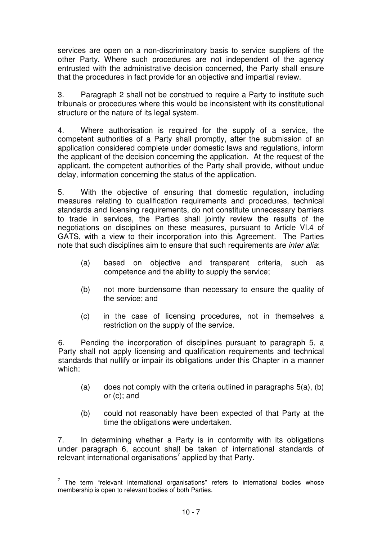services are open on a non-discriminatory basis to service suppliers of the other Party. Where such procedures are not independent of the agency entrusted with the administrative decision concerned, the Party shall ensure that the procedures in fact provide for an objective and impartial review.

3. Paragraph 2 shall not be construed to require a Party to institute such tribunals or procedures where this would be inconsistent with its constitutional structure or the nature of its legal system.

4. Where authorisation is required for the supply of a service, the competent authorities of a Party shall promptly, after the submission of an application considered complete under domestic laws and regulations, inform the applicant of the decision concerning the application. At the request of the applicant, the competent authorities of the Party shall provide, without undue delay, information concerning the status of the application.

5. With the objective of ensuring that domestic regulation, including measures relating to qualification requirements and procedures, technical standards and licensing requirements, do not constitute unnecessary barriers to trade in services, the Parties shall jointly review the results of the negotiations on disciplines on these measures, pursuant to Article VI.4 of GATS, with a view to their incorporation into this Agreement. The Parties note that such disciplines aim to ensure that such requirements are inter alia:

- (a) based on objective and transparent criteria, such as competence and the ability to supply the service;
- (b) not more burdensome than necessary to ensure the quality of the service; and
- (c) in the case of licensing procedures, not in themselves a restriction on the supply of the service.

6. Pending the incorporation of disciplines pursuant to paragraph 5, a Party shall not apply licensing and qualification requirements and technical standards that nullify or impair its obligations under this Chapter in a manner which:

- (a) does not comply with the criteria outlined in paragraphs  $5(a)$ , (b) or (c); and
- (b) could not reasonably have been expected of that Party at the time the obligations were undertaken.

7. In determining whether a Party is in conformity with its obligations under paragraph 6, account shall be taken of international standards of relevant international organisations<sup>7</sup> applied by that Party.

 $\overline{a}$ 

 $7$  The term "relevant international organisations" refers to international bodies whose membership is open to relevant bodies of both Parties.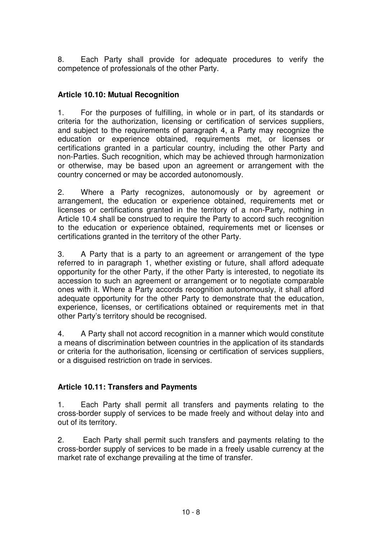8. Each Party shall provide for adequate procedures to verify the competence of professionals of the other Party.

# **Article 10.10: Mutual Recognition**

1. For the purposes of fulfilling, in whole or in part, of its standards or criteria for the authorization, licensing or certification of services suppliers, and subject to the requirements of paragraph 4, a Party may recognize the education or experience obtained, requirements met, or licenses or certifications granted in a particular country, including the other Party and non-Parties. Such recognition, which may be achieved through harmonization or otherwise, may be based upon an agreement or arrangement with the country concerned or may be accorded autonomously.

2. Where a Party recognizes, autonomously or by agreement or arrangement, the education or experience obtained, requirements met or licenses or certifications granted in the territory of a non-Party, nothing in Article 10.4 shall be construed to require the Party to accord such recognition to the education or experience obtained, requirements met or licenses or certifications granted in the territory of the other Party.

3. A Party that is a party to an agreement or arrangement of the type referred to in paragraph 1, whether existing or future, shall afford adequate opportunity for the other Party, if the other Party is interested, to negotiate its accession to such an agreement or arrangement or to negotiate comparable ones with it. Where a Party accords recognition autonomously, it shall afford adequate opportunity for the other Party to demonstrate that the education, experience, licenses, or certifications obtained or requirements met in that other Party's territory should be recognised.

4. A Party shall not accord recognition in a manner which would constitute a means of discrimination between countries in the application of its standards or criteria for the authorisation, licensing or certification of services suppliers, or a disguised restriction on trade in services.

# **Article 10.11: Transfers and Payments**

1. Each Party shall permit all transfers and payments relating to the cross-border supply of services to be made freely and without delay into and out of its territory.

2. Each Party shall permit such transfers and payments relating to the cross-border supply of services to be made in a freely usable currency at the market rate of exchange prevailing at the time of transfer.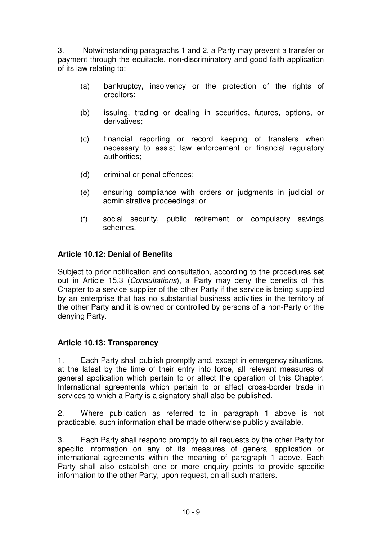3. Notwithstanding paragraphs 1 and 2, a Party may prevent a transfer or payment through the equitable, non-discriminatory and good faith application of its law relating to:

- (a) bankruptcy, insolvency or the protection of the rights of creditors;
- (b) issuing, trading or dealing in securities, futures, options, or derivatives;
- (c) financial reporting or record keeping of transfers when necessary to assist law enforcement or financial regulatory authorities;
- (d) criminal or penal offences;
- (e) ensuring compliance with orders or judgments in judicial or administrative proceedings; or
- (f) social security, public retirement or compulsory savings schemes.

#### **Article 10.12: Denial of Benefits**

Subject to prior notification and consultation, according to the procedures set out in Article 15.3 (Consultations), a Party may deny the benefits of this Chapter to a service supplier of the other Party if the service is being supplied by an enterprise that has no substantial business activities in the territory of the other Party and it is owned or controlled by persons of a non-Party or the denying Party.

#### **Article 10.13: Transparency**

1. Each Party shall publish promptly and, except in emergency situations, at the latest by the time of their entry into force, all relevant measures of general application which pertain to or affect the operation of this Chapter. International agreements which pertain to or affect cross-border trade in services to which a Party is a signatory shall also be published.

2. Where publication as referred to in paragraph 1 above is not practicable, such information shall be made otherwise publicly available.

3. Each Party shall respond promptly to all requests by the other Party for specific information on any of its measures of general application or international agreements within the meaning of paragraph 1 above. Each Party shall also establish one or more enquiry points to provide specific information to the other Party, upon request, on all such matters.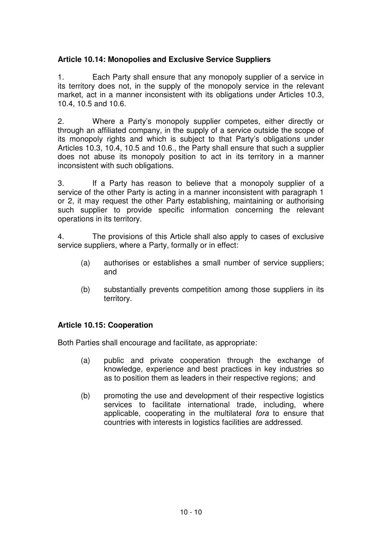## **Article 10.14: Monopolies and Exclusive Service Suppliers**

1. Each Party shall ensure that any monopoly supplier of a service in its territory does not, in the supply of the monopoly service in the relevant market, act in a manner inconsistent with its obligations under Articles 10.3, 10.4, 10.5 and 10.6.

2. Where a Party's monopoly supplier competes, either directly or through an affiliated company, in the supply of a service outside the scope of its monopoly rights and which is subject to that Party's obligations under Articles 10.3, 10.4, 10.5 and 10.6., the Party shall ensure that such a supplier does not abuse its monopoly position to act in its territory in a manner inconsistent with such obligations.

3. If a Party has reason to believe that a monopoly supplier of a service of the other Party is acting in a manner inconsistent with paragraph 1 or 2, it may request the other Party establishing, maintaining or authorising such supplier to provide specific information concerning the relevant operations in its territory.

4. The provisions of this Article shall also apply to cases of exclusive service suppliers, where a Party, formally or in effect:

- (a) authorises or establishes a small number of service suppliers; and
- (b) substantially prevents competition among those suppliers in its territory.

# **Article 10.15: Cooperation**

Both Parties shall encourage and facilitate, as appropriate:

- (a) public and private cooperation through the exchange of knowledge, experience and best practices in key industries so as to position them as leaders in their respective regions; and
- (b) promoting the use and development of their respective logistics services to facilitate international trade, including, where applicable, cooperating in the multilateral fora to ensure that countries with interests in logistics facilities are addressed.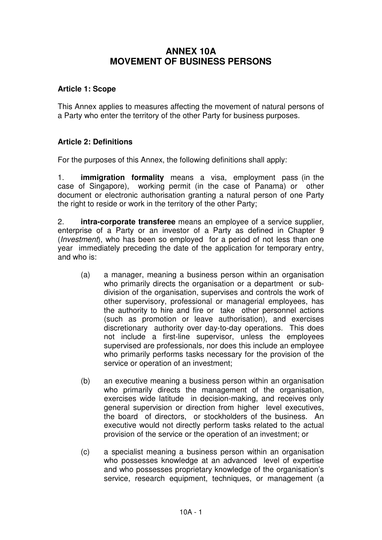# **ANNEX 10A MOVEMENT OF BUSINESS PERSONS**

## **Article 1: Scope**

This Annex applies to measures affecting the movement of natural persons of a Party who enter the territory of the other Party for business purposes.

# **Article 2: Definitions**

For the purposes of this Annex, the following definitions shall apply:

1. **immigration formality** means a visa, employment pass (in the case of Singapore), working permit (in the case of Panama) or other document or electronic authorisation granting a natural person of one Party the right to reside or work in the territory of the other Party;

2. **intra-corporate transferee** means an employee of a service supplier, enterprise of a Party or an investor of a Party as defined in Chapter 9 (Investment), who has been so employed for a period of not less than one year immediately preceding the date of the application for temporary entry, and who is:

- (a) a manager, meaning a business person within an organisation who primarily directs the organisation or a department or subdivision of the organisation, supervises and controls the work of other supervisory, professional or managerial employees, has the authority to hire and fire or take other personnel actions (such as promotion or leave authorisation), and exercises discretionary authority over day-to-day operations. This does not include a first-line supervisor, unless the employees supervised are professionals, nor does this include an employee who primarily performs tasks necessary for the provision of the service or operation of an investment;
- (b) an executive meaning a business person within an organisation who primarily directs the management of the organisation, exercises wide latitude in decision-making, and receives only general supervision or direction from higher level executives, the board of directors, or stockholders of the business. An executive would not directly perform tasks related to the actual provision of the service or the operation of an investment; or
- (c) a specialist meaning a business person within an organisation who possesses knowledge at an advanced level of expertise and who possesses proprietary knowledge of the organisation's service, research equipment, techniques, or management (a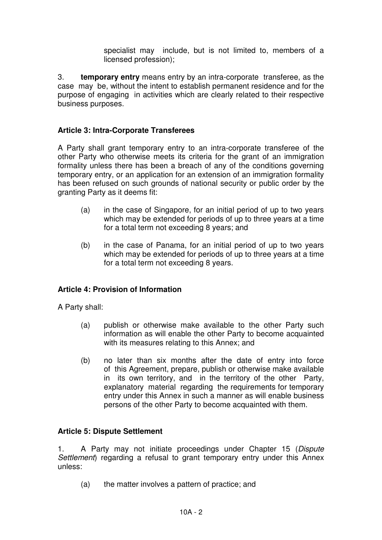specialist may include, but is not limited to, members of a licensed profession);

3. **temporary entry** means entry by an intra-corporate transferee, as the case may be, without the intent to establish permanent residence and for the purpose of engaging in activities which are clearly related to their respective business purposes.

## **Article 3: Intra-Corporate Transferees**

A Party shall grant temporary entry to an intra-corporate transferee of the other Party who otherwise meets its criteria for the grant of an immigration formality unless there has been a breach of any of the conditions governing temporary entry, or an application for an extension of an immigration formality has been refused on such grounds of national security or public order by the granting Party as it deems fit:

- (a) in the case of Singapore, for an initial period of up to two years which may be extended for periods of up to three years at a time for a total term not exceeding 8 years; and
- (b) in the case of Panama, for an initial period of up to two years which may be extended for periods of up to three years at a time for a total term not exceeding 8 years.

## **Article 4: Provision of Information**

A Party shall:

- (a) publish or otherwise make available to the other Party such information as will enable the other Party to become acquainted with its measures relating to this Annex; and
- (b) no later than six months after the date of entry into force of this Agreement, prepare, publish or otherwise make available in its own territory, and in the territory of the other Party, explanatory material regarding the requirements for temporary entry under this Annex in such a manner as will enable business persons of the other Party to become acquainted with them.

## **Article 5: Dispute Settlement**

1. A Party may not initiate proceedings under Chapter 15 (Dispute Settlement) regarding a refusal to grant temporary entry under this Annex unless:

(a) the matter involves a pattern of practice; and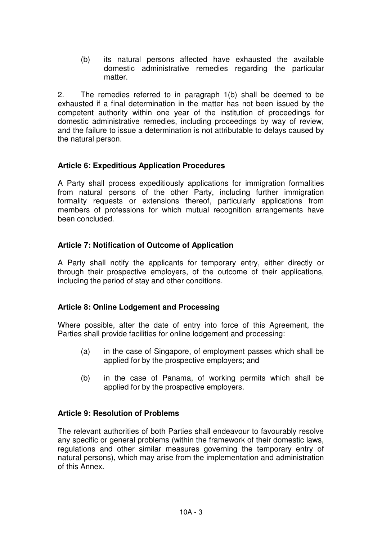(b) its natural persons affected have exhausted the available domestic administrative remedies regarding the particular matter.

2. The remedies referred to in paragraph 1(b) shall be deemed to be exhausted if a final determination in the matter has not been issued by the competent authority within one year of the institution of proceedings for domestic administrative remedies, including proceedings by way of review, and the failure to issue a determination is not attributable to delays caused by the natural person.

## **Article 6: Expeditious Application Procedures**

A Party shall process expeditiously applications for immigration formalities from natural persons of the other Party, including further immigration formality requests or extensions thereof, particularly applications from members of professions for which mutual recognition arrangements have been concluded.

## **Article 7: Notification of Outcome of Application**

A Party shall notify the applicants for temporary entry, either directly or through their prospective employers, of the outcome of their applications, including the period of stay and other conditions.

## **Article 8: Online Lodgement and Processing**

Where possible, after the date of entry into force of this Agreement, the Parties shall provide facilities for online lodgement and processing:

- (a) in the case of Singapore, of employment passes which shall be applied for by the prospective employers; and
- (b) in the case of Panama, of working permits which shall be applied for by the prospective employers.

## **Article 9: Resolution of Problems**

The relevant authorities of both Parties shall endeavour to favourably resolve any specific or general problems (within the framework of their domestic laws, regulations and other similar measures governing the temporary entry of natural persons), which may arise from the implementation and administration of this Annex.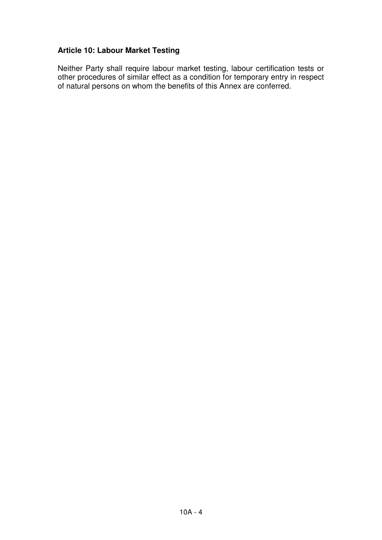## **Article 10: Labour Market Testing**

Neither Party shall require labour market testing, labour certification tests or other procedures of similar effect as a condition for temporary entry in respect of natural persons on whom the benefits of this Annex are conferred.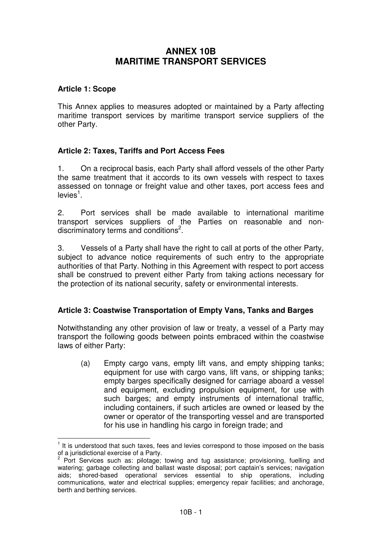# **ANNEX 10B MARITIME TRANSPORT SERVICES**

#### **Article 1: Scope**

 $\overline{a}$ 

This Annex applies to measures adopted or maintained by a Party affecting maritime transport services by maritime transport service suppliers of the other Party.

## **Article 2: Taxes, Tariffs and Port Access Fees**

1. On a reciprocal basis, each Party shall afford vessels of the other Party the same treatment that it accords to its own vessels with respect to taxes assessed on tonnage or freight value and other taxes, port access fees and levies $^1$ .

2. Port services shall be made available to international maritime transport services suppliers of the Parties on reasonable and nondiscriminatory terms and conditions<sup>2</sup>.

3. Vessels of a Party shall have the right to call at ports of the other Party, subject to advance notice requirements of such entry to the appropriate authorities of that Party. Nothing in this Agreement with respect to port access shall be construed to prevent either Party from taking actions necessary for the protection of its national security, safety or environmental interests.

#### **Article 3: Coastwise Transportation of Empty Vans, Tanks and Barges**

Notwithstanding any other provision of law or treaty, a vessel of a Party may transport the following goods between points embraced within the coastwise laws of either Party:

(a) Empty cargo vans, empty lift vans, and empty shipping tanks; equipment for use with cargo vans, lift vans, or shipping tanks; empty barges specifically designed for carriage aboard a vessel and equipment, excluding propulsion equipment, for use with such barges; and empty instruments of international traffic, including containers, if such articles are owned or leased by the owner or operator of the transporting vessel and are transported for his use in handling his cargo in foreign trade; and

 $<sup>1</sup>$  It is understood that such taxes, fees and levies correspond to those imposed on the basis</sup> of a jurisdictional exercise of a Party.<br><sup>2</sup> Part, Santiaca, queb, act, pilotago;

Port Services such as: pilotage; towing and tug assistance; provisioning, fuelling and watering: garbage collecting and ballast waste disposal; port captain's services; navigation aids; shored-based operational services essential to ship operations, including communications, water and electrical supplies; emergency repair facilities; and anchorage, berth and berthing services.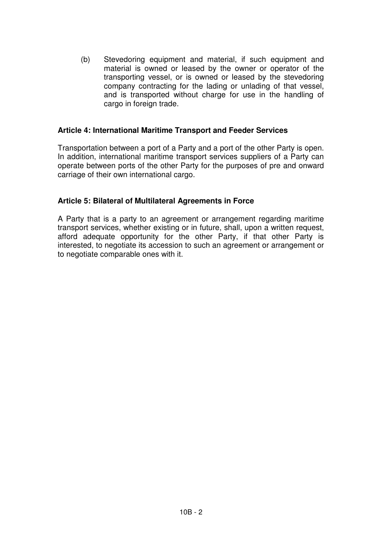(b) Stevedoring equipment and material, if such equipment and material is owned or leased by the owner or operator of the transporting vessel, or is owned or leased by the stevedoring company contracting for the lading or unlading of that vessel, and is transported without charge for use in the handling of cargo in foreign trade.

#### **Article 4: International Maritime Transport and Feeder Services**

Transportation between a port of a Party and a port of the other Party is open. In addition, international maritime transport services suppliers of a Party can operate between ports of the other Party for the purposes of pre and onward carriage of their own international cargo.

#### **Article 5: Bilateral of Multilateral Agreements in Force**

A Party that is a party to an agreement or arrangement regarding maritime transport services, whether existing or in future, shall, upon a written request, afford adequate opportunity for the other Party, if that other Party is interested, to negotiate its accession to such an agreement or arrangement or to negotiate comparable ones with it.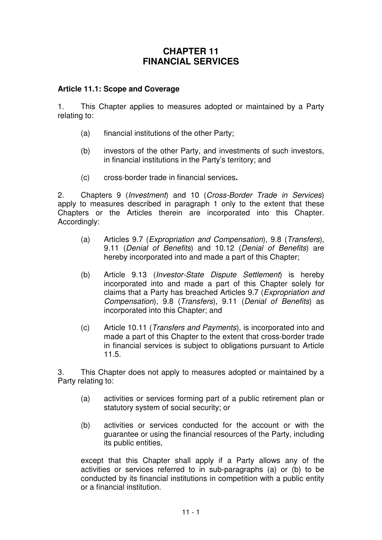# **CHAPTER 11 FINANCIAL SERVICES**

#### **Article 11.1: Scope and Coverage**

1. This Chapter applies to measures adopted or maintained by a Party relating to:

- (a) financial institutions of the other Party;
- (b) investors of the other Party, and investments of such investors, in financial institutions in the Party's territory; and
- (c) cross-border trade in financial services**.**

2. Chapters 9 (Investment) and 10 (Cross-Border Trade in Services) apply to measures described in paragraph 1 only to the extent that these Chapters or the Articles therein are incorporated into this Chapter. Accordingly:

- (a) Articles 9.7 (Expropriation and Compensation), 9.8 (Transfers), 9.11 (Denial of Benefits) and 10.12 (Denial of Benefits) are hereby incorporated into and made a part of this Chapter;
- (b) Article 9.13 (Investor-State Dispute Settlement) is hereby incorporated into and made a part of this Chapter solely for claims that a Party has breached Articles 9.7 (Expropriation and Compensation), 9.8 (Transfers), 9.11 (Denial of Benefits) as incorporated into this Chapter; and
- (c) Article 10.11 (Transfers and Payments), is incorporated into and made a part of this Chapter to the extent that cross-border trade in financial services is subject to obligations pursuant to Article 11.5.

3. This Chapter does not apply to measures adopted or maintained by a Party relating to:

- (a) activities or services forming part of a public retirement plan or statutory system of social security; or
- (b) activities or services conducted for the account or with the guarantee or using the financial resources of the Party, including its public entities,

except that this Chapter shall apply if a Party allows any of the activities or services referred to in sub-paragraphs (a) or (b) to be conducted by its financial institutions in competition with a public entity or a financial institution.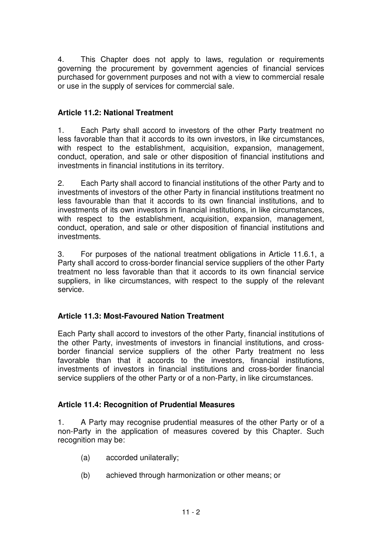4. This Chapter does not apply to laws, regulation or requirements governing the procurement by government agencies of financial services purchased for government purposes and not with a view to commercial resale or use in the supply of services for commercial sale.

## **Article 11.2: National Treatment**

1. Each Party shall accord to investors of the other Party treatment no less favorable than that it accords to its own investors, in like circumstances, with respect to the establishment, acquisition, expansion, management, conduct, operation, and sale or other disposition of financial institutions and investments in financial institutions in its territory.

2. Each Party shall accord to financial institutions of the other Party and to investments of investors of the other Party in financial institutions treatment no less favourable than that it accords to its own financial institutions, and to investments of its own investors in financial institutions, in like circumstances, with respect to the establishment, acquisition, expansion, management, conduct, operation, and sale or other disposition of financial institutions and investments.

3. For purposes of the national treatment obligations in Article 11.6.1, a Party shall accord to cross-border financial service suppliers of the other Party treatment no less favorable than that it accords to its own financial service suppliers, in like circumstances, with respect to the supply of the relevant service.

## **Article 11.3: Most-Favoured Nation Treatment**

Each Party shall accord to investors of the other Party, financial institutions of the other Party, investments of investors in financial institutions, and crossborder financial service suppliers of the other Party treatment no less favorable than that it accords to the investors, financial institutions, investments of investors in financial institutions and cross-border financial service suppliers of the other Party or of a non-Party, in like circumstances.

## **Article 11.4: Recognition of Prudential Measures**

1. A Party may recognise prudential measures of the other Party or of a non-Party in the application of measures covered by this Chapter. Such recognition may be:

- (a) accorded unilaterally;
- (b) achieved through harmonization or other means; or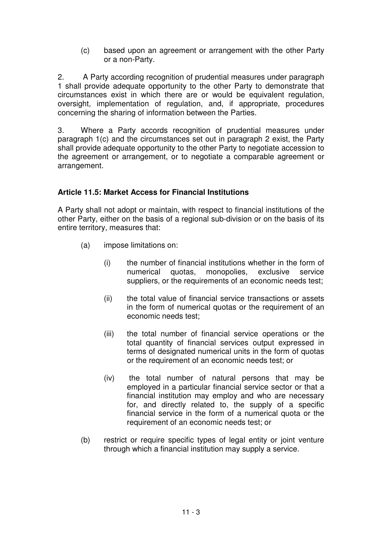(c) based upon an agreement or arrangement with the other Party or a non-Party.

2. A Party according recognition of prudential measures under paragraph 1 shall provide adequate opportunity to the other Party to demonstrate that circumstances exist in which there are or would be equivalent regulation, oversight, implementation of regulation, and, if appropriate, procedures concerning the sharing of information between the Parties.

3. Where a Party accords recognition of prudential measures under paragraph 1(c) and the circumstances set out in paragraph 2 exist, the Party shall provide adequate opportunity to the other Party to negotiate accession to the agreement or arrangement, or to negotiate a comparable agreement or arrangement.

## **Article 11.5: Market Access for Financial Institutions**

A Party shall not adopt or maintain, with respect to financial institutions of the other Party, either on the basis of a regional sub-division or on the basis of its entire territory, measures that:

- (a) impose limitations on:
	- (i) the number of financial institutions whether in the form of numerical quotas, monopolies, exclusive service suppliers, or the requirements of an economic needs test:
	- (ii) the total value of financial service transactions or assets in the form of numerical quotas or the requirement of an economic needs test;
	- (iii) the total number of financial service operations or the total quantity of financial services output expressed in terms of designated numerical units in the form of quotas or the requirement of an economic needs test; or
	- (iv) the total number of natural persons that may be employed in a particular financial service sector or that a financial institution may employ and who are necessary for, and directly related to, the supply of a specific financial service in the form of a numerical quota or the requirement of an economic needs test; or
- (b) restrict or require specific types of legal entity or joint venture through which a financial institution may supply a service.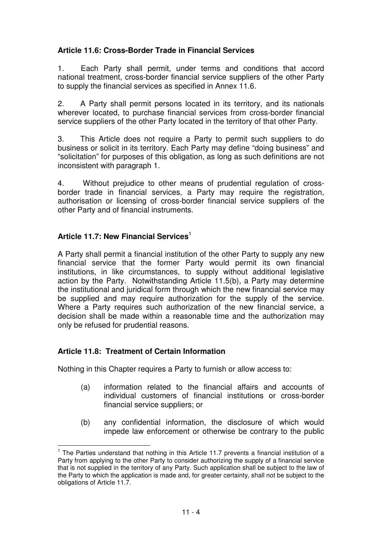# **Article 11.6: Cross-Border Trade in Financial Services**

1. Each Party shall permit, under terms and conditions that accord national treatment, cross-border financial service suppliers of the other Party to supply the financial services as specified in Annex 11.6.

2. A Party shall permit persons located in its territory, and its nationals wherever located, to purchase financial services from cross-border financial service suppliers of the other Party located in the territory of that other Party.

3. This Article does not require a Party to permit such suppliers to do business or solicit in its territory. Each Party may define "doing business" and "solicitation" for purposes of this obligation, as long as such definitions are not inconsistent with paragraph 1.

4. Without prejudice to other means of prudential regulation of crossborder trade in financial services, a Party may require the registration, authorisation or licensing of cross-border financial service suppliers of the other Party and of financial instruments.

## Article 11.7: New Financial Services<sup>1</sup>

A Party shall permit a financial institution of the other Party to supply any new financial service that the former Party would permit its own financial institutions, in like circumstances, to supply without additional legislative action by the Party. Notwithstanding Article 11.5(b), a Party may determine the institutional and juridical form through which the new financial service may be supplied and may require authorization for the supply of the service. Where a Party requires such authorization of the new financial service, a decision shall be made within a reasonable time and the authorization may only be refused for prudential reasons.

## **Article 11.8: Treatment of Certain Information**

 $\overline{a}$ 

Nothing in this Chapter requires a Party to furnish or allow access to:

- (a) information related to the financial affairs and accounts of individual customers of financial institutions or cross-border financial service suppliers; or
- (b) any confidential information, the disclosure of which would impede law enforcement or otherwise be contrary to the public

<sup>&</sup>lt;sup>1</sup> The Parties understand that nothing in this Article 11.7 prevents a financial institution of a Party from applying to the other Party to consider authorizing the supply of a financial service that is not supplied in the territory of any Party. Such application shall be subject to the law of the Party to which the application is made and, for greater certainty, shall not be subject to the obligations of Article 11.7.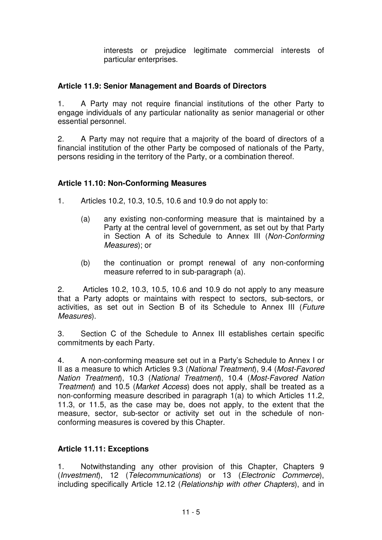interests or prejudice legitimate commercial interests of particular enterprises.

#### **Article 11.9: Senior Management and Boards of Directors**

1. A Party may not require financial institutions of the other Party to engage individuals of any particular nationality as senior managerial or other essential personnel.

2. A Party may not require that a majority of the board of directors of a financial institution of the other Party be composed of nationals of the Party, persons residing in the territory of the Party, or a combination thereof.

#### **Article 11.10: Non-Conforming Measures**

- 1. Articles 10.2, 10.3, 10.5, 10.6 and 10.9 do not apply to:
	- (a) any existing non-conforming measure that is maintained by a Party at the central level of government, as set out by that Party in Section A of its Schedule to Annex III (Non-Conforming Measures); or
	- (b) the continuation or prompt renewal of any non-conforming measure referred to in sub-paragraph (a).

2. Articles 10.2, 10.3, 10.5, 10.6 and 10.9 do not apply to any measure that a Party adopts or maintains with respect to sectors, sub-sectors, or activities, as set out in Section B of its Schedule to Annex III (Future Measures).

3. Section C of the Schedule to Annex III establishes certain specific commitments by each Party.

4. A non-conforming measure set out in a Party's Schedule to Annex I or II as a measure to which Articles 9.3 (National Treatment), 9.4 (Most-Favored Nation Treatment), 10.3 (National Treatment), 10.4 (Most-Favored Nation Treatment) and 10.5 (Market Access) does not apply, shall be treated as a non-conforming measure described in paragraph 1(a) to which Articles 11.2, 11.3, or 11.5, as the case may be, does not apply, to the extent that the measure, sector, sub-sector or activity set out in the schedule of nonconforming measures is covered by this Chapter.

## **Article 11.11: Exceptions**

1. Notwithstanding any other provision of this Chapter, Chapters 9 (Investment), 12 (Telecommunications) or 13 (Electronic Commerce), including specifically Article 12.12 (Relationship with other Chapters), and in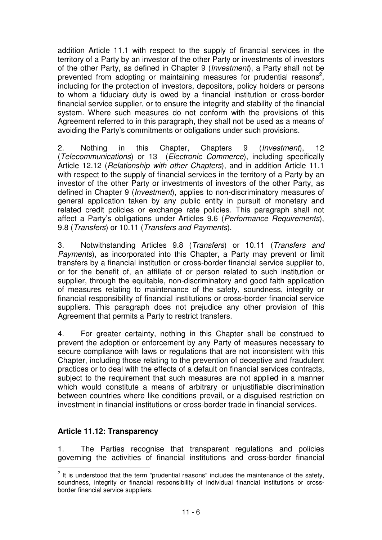addition Article 11.1 with respect to the supply of financial services in the territory of a Party by an investor of the other Party or investments of investors of the other Party, as defined in Chapter 9 (Investment), a Party shall not be prevented from adopting or maintaining measures for prudential reasons<sup>2</sup>, including for the protection of investors, depositors, policy holders or persons to whom a fiduciary duty is owed by a financial institution or cross-border financial service supplier, or to ensure the integrity and stability of the financial system. Where such measures do not conform with the provisions of this Agreement referred to in this paragraph, they shall not be used as a means of avoiding the Party's commitments or obligations under such provisions.

2. Nothing in this Chapter, Chapters 9 (Investment), 12 (Telecommunications) or 13 (Electronic Commerce), including specifically Article 12.12 (Relationship with other Chapters), and in addition Article 11.1 with respect to the supply of financial services in the territory of a Party by an investor of the other Party or investments of investors of the other Party, as defined in Chapter 9 (*Investment*), applies to non-discriminatory measures of general application taken by any public entity in pursuit of monetary and related credit policies or exchange rate policies. This paragraph shall not affect a Party's obligations under Articles 9.6 (Performance Requirements), 9.8 (Transfers) or 10.11 (Transfers and Payments).

3. Notwithstanding Articles 9.8 (Transfers) or 10.11 (Transfers and Payments), as incorporated into this Chapter, a Party may prevent or limit transfers by a financial institution or cross-border financial service supplier to, or for the benefit of, an affiliate of or person related to such institution or supplier, through the equitable, non-discriminatory and good faith application of measures relating to maintenance of the safety, soundness, integrity or financial responsibility of financial institutions or cross-border financial service suppliers. This paragraph does not prejudice any other provision of this Agreement that permits a Party to restrict transfers.

4. For greater certainty, nothing in this Chapter shall be construed to prevent the adoption or enforcement by any Party of measures necessary to secure compliance with laws or regulations that are not inconsistent with this Chapter, including those relating to the prevention of deceptive and fraudulent practices or to deal with the effects of a default on financial services contracts, subject to the requirement that such measures are not applied in a manner which would constitute a means of arbitrary or unjustifiable discrimination between countries where like conditions prevail, or a disguised restriction on investment in financial institutions or cross-border trade in financial services.

#### **Article 11.12: Transparency**

1. The Parties recognise that transparent regulations and policies governing the activities of financial institutions and cross-border financial  $\overline{a}$ 

 $2$  It is understood that the term "prudential reasons" includes the maintenance of the safety, soundness, integrity or financial responsibility of individual financial institutions or crossborder financial service suppliers.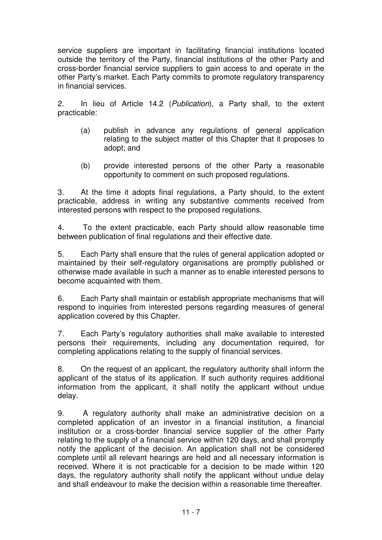service suppliers are important in facilitating financial institutions located outside the territory of the Party, financial institutions of the other Party and cross-border financial service suppliers to gain access to and operate in the other Party's market. Each Party commits to promote regulatory transparency in financial services.

2. In lieu of Article 14.2 (Publication), a Party shall, to the extent practicable:

- (a) publish in advance any regulations of general application relating to the subject matter of this Chapter that it proposes to adopt; and
- (b) provide interested persons of the other Party a reasonable opportunity to comment on such proposed regulations.

3. At the time it adopts final regulations, a Party should, to the extent practicable, address in writing any substantive comments received from interested persons with respect to the proposed regulations.

4. To the extent practicable, each Party should allow reasonable time between publication of final regulations and their effective date.

5. Each Party shall ensure that the rules of general application adopted or maintained by their self-regulatory organisations are promptly published or otherwise made available in such a manner as to enable interested persons to become acquainted with them.

6. Each Party shall maintain or establish appropriate mechanisms that will respond to inquiries from interested persons regarding measures of general application covered by this Chapter.

7. Each Party's regulatory authorities shall make available to interested persons their requirements, including any documentation required, for completing applications relating to the supply of financial services.

8. On the request of an applicant, the regulatory authority shall inform the applicant of the status of its application. If such authority requires additional information from the applicant, it shall notify the applicant without undue delay.

9. A regulatory authority shall make an administrative decision on a completed application of an investor in a financial institution, a financial institution or a cross-border financial service supplier of the other Party relating to the supply of a financial service within 120 days, and shall promptly notify the applicant of the decision. An application shall not be considered complete until all relevant hearings are held and all necessary information is received. Where it is not practicable for a decision to be made within 120 days, the regulatory authority shall notify the applicant without undue delay and shall endeavour to make the decision within a reasonable time thereafter.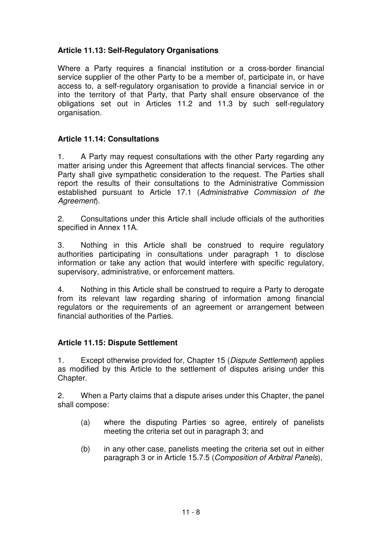## **Article 11.13: Self-Regulatory Organisations**

Where a Party requires a financial institution or a cross-border financial service supplier of the other Party to be a member of, participate in, or have access to, a self-regulatory organisation to provide a financial service in or into the territory of that Party, that Party shall ensure observance of the obligations set out in Articles 11.2 and 11.3 by such self-regulatory organisation.

#### **Article 11.14: Consultations**

1. A Party may request consultations with the other Party regarding any matter arising under this Agreement that affects financial services. The other Party shall give sympathetic consideration to the request. The Parties shall report the results of their consultations to the Administrative Commission established pursuant to Article 17.1 (Administrative Commission of the Agreement).

2. Consultations under this Article shall include officials of the authorities specified in Annex 11A.

3. Nothing in this Article shall be construed to require regulatory authorities participating in consultations under paragraph 1 to disclose information or take any action that would interfere with specific regulatory, supervisory, administrative, or enforcement matters.

4. Nothing in this Article shall be construed to require a Party to derogate from its relevant law regarding sharing of information among financial regulators or the requirements of an agreement or arrangement between financial authorities of the Parties.

#### **Article 11.15: Dispute Settlement**

1. Except otherwise provided for, Chapter 15 (Dispute Settlement) applies as modified by this Article to the settlement of disputes arising under this Chapter.

2. When a Party claims that a dispute arises under this Chapter, the panel shall compose:

- (a) where the disputing Parties so agree, entirely of panelists meeting the criteria set out in paragraph 3; and
- (b) in any other case, panelists meeting the criteria set out in either paragraph 3 or in Article 15.7.5 (Composition of Arbitral Panels),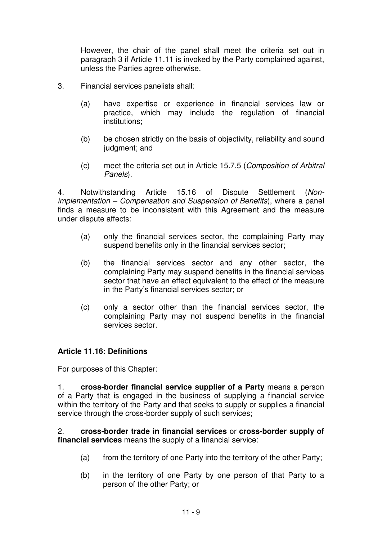However, the chair of the panel shall meet the criteria set out in paragraph 3 if Article 11.11 is invoked by the Party complained against, unless the Parties agree otherwise.

- 3. Financial services panelists shall:
	- (a) have expertise or experience in financial services law or practice, which may include the regulation of financial institutions;
	- (b) be chosen strictly on the basis of objectivity, reliability and sound judgment; and
	- (c) meet the criteria set out in Article 15.7.5 (Composition of Arbitral Panels).

4. Notwithstanding Article 15.16 of Dispute Settlement (Nonimplementation – Compensation and Suspension of Benefits), where a panel finds a measure to be inconsistent with this Agreement and the measure under dispute affects:

- (a) only the financial services sector, the complaining Party may suspend benefits only in the financial services sector;
- (b) the financial services sector and any other sector, the complaining Party may suspend benefits in the financial services sector that have an effect equivalent to the effect of the measure in the Party's financial services sector; or
- (c) only a sector other than the financial services sector, the complaining Party may not suspend benefits in the financial services sector

#### **Article 11.16: Definitions**

For purposes of this Chapter:

1. **cross-border financial service supplier of a Party** means a person of a Party that is engaged in the business of supplying a financial service within the territory of the Party and that seeks to supply or supplies a financial service through the cross-border supply of such services;

2. **cross-border trade in financial services** or **cross-border supply of financial services** means the supply of a financial service:

- (a) from the territory of one Party into the territory of the other Party;
- (b) in the territory of one Party by one person of that Party to a person of the other Party; or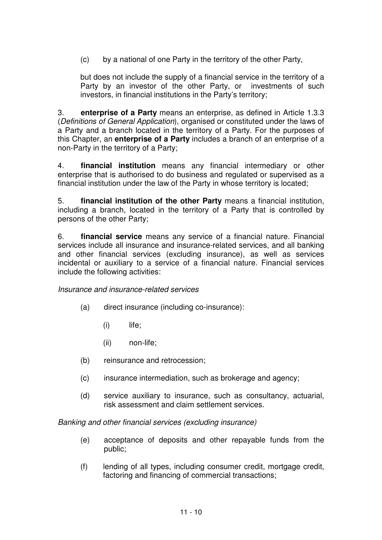(c) by a national of one Party in the territory of the other Party,

but does not include the supply of a financial service in the territory of a Party by an investor of the other Party, or investments of such investors, in financial institutions in the Party's territory;

3. **enterprise of a Party** means an enterprise, as defined in Article 1.3.3 (Definitions of General Application), organised or constituted under the laws of a Party and a branch located in the territory of a Party. For the purposes of this Chapter, an **enterprise of a Party** includes a branch of an enterprise of a non-Party in the territory of a Party;

4. **financial institution** means any financial intermediary or other enterprise that is authorised to do business and regulated or supervised as a financial institution under the law of the Party in whose territory is located;

5. **financial institution of the other Party** means a financial institution, including a branch, located in the territory of a Party that is controlled by persons of the other Party;

6. **financial service** means any service of a financial nature. Financial services include all insurance and insurance-related services, and all banking and other financial services (excluding insurance), as well as services incidental or auxiliary to a service of a financial nature. Financial services include the following activities:

Insurance and insurance-related services

- (a) direct insurance (including co-insurance):
	- (i) life;
	- (ii) non-life;
- (b) reinsurance and retrocession;
- (c) insurance intermediation, such as brokerage and agency;
- (d) service auxiliary to insurance, such as consultancy, actuarial, risk assessment and claim settlement services.

Banking and other financial services (excluding insurance)

- (e) acceptance of deposits and other repayable funds from the public;
- (f) lending of all types, including consumer credit, mortgage credit, factoring and financing of commercial transactions;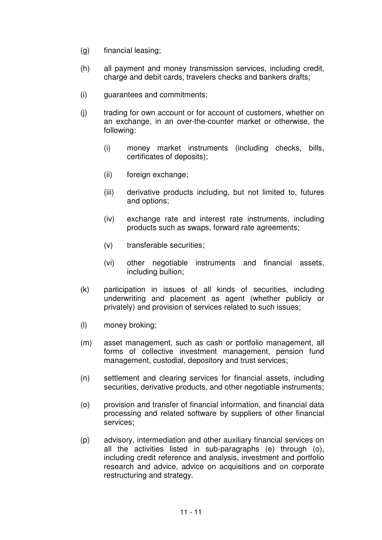- (g) financial leasing;
- (h) all payment and money transmission services, including credit, charge and debit cards, travelers checks and bankers drafts;
- (i) guarantees and commitments;
- (j) trading for own account or for account of customers, whether on an exchange, in an over-the-counter market or otherwise, the following:
	- (i) money market instruments (including checks, bills, certificates of deposits);
	- (ii) foreign exchange;
	- (iii) derivative products including, but not limited to, futures and options;
	- (iv) exchange rate and interest rate instruments, including products such as swaps, forward rate agreements;
	- (v) transferable securities;
	- (vi) other negotiable instruments and financial assets, including bullion;
- (k) participation in issues of all kinds of securities, including underwriting and placement as agent (whether publicly or privately) and provision of services related to such issues;
- (l) money broking;
- (m) asset management, such as cash or portfolio management, all forms of collective investment management, pension fund management, custodial, depository and trust services;
- (n) settlement and clearing services for financial assets, including securities, derivative products, and other negotiable instruments;
- (o) provision and transfer of financial information, and financial data processing and related software by suppliers of other financial services;
- (p) advisory, intermediation and other auxiliary financial services on all the activities listed in sub-paragraphs (e) through (o), including credit reference and analysis, investment and portfolio research and advice, advice on acquisitions and on corporate restructuring and strategy.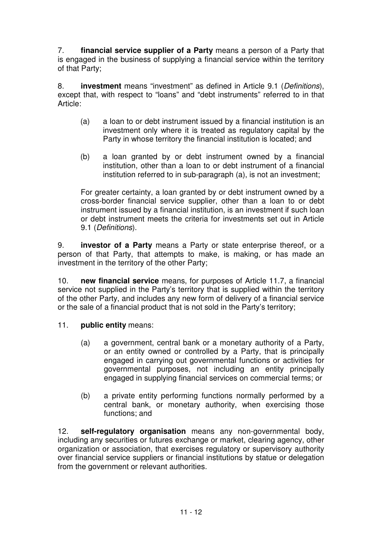7. **financial service supplier of a Party** means a person of a Party that is engaged in the business of supplying a financial service within the territory of that Party;

8. **investment** means "investment" as defined in Article 9.1 (Definitions), except that, with respect to "loans" and "debt instruments" referred to in that Article:

- (a) a loan to or debt instrument issued by a financial institution is an investment only where it is treated as regulatory capital by the Party in whose territory the financial institution is located; and
- (b) a loan granted by or debt instrument owned by a financial institution, other than a loan to or debt instrument of a financial institution referred to in sub-paragraph (a), is not an investment;

For greater certainty, a loan granted by or debt instrument owned by a cross-border financial service supplier, other than a loan to or debt instrument issued by a financial institution, is an investment if such loan or debt instrument meets the criteria for investments set out in Article 9.1 (Definitions).

9. **investor of a Party** means a Party or state enterprise thereof, or a person of that Party, that attempts to make, is making, or has made an investment in the territory of the other Party;

10. **new financial service** means, for purposes of Article 11.7, a financial service not supplied in the Party's territory that is supplied within the territory of the other Party, and includes any new form of delivery of a financial service or the sale of a financial product that is not sold in the Party's territory;

- 11. **public entity** means:
	- (a) a government, central bank or a monetary authority of a Party, or an entity owned or controlled by a Party, that is principally engaged in carrying out governmental functions or activities for governmental purposes, not including an entity principally engaged in supplying financial services on commercial terms; or
	- (b) a private entity performing functions normally performed by a central bank, or monetary authority, when exercising those functions; and

12. **self-regulatory organisation** means any non-governmental body, including any securities or futures exchange or market, clearing agency, other organization or association, that exercises regulatory or supervisory authority over financial service suppliers or financial institutions by statue or delegation from the government or relevant authorities.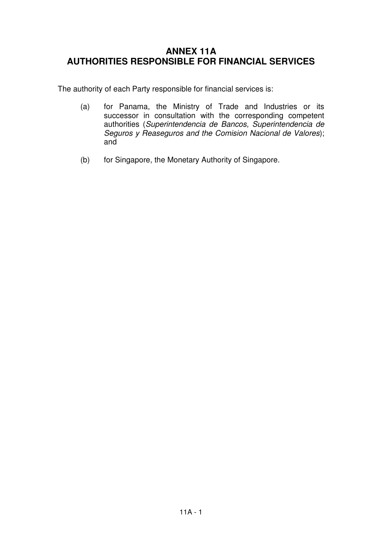# **ANNEX 11A AUTHORITIES RESPONSIBLE FOR FINANCIAL SERVICES**

The authority of each Party responsible for financial services is:

- (a) for Panama, the Ministry of Trade and Industries or its successor in consultation with the corresponding competent authorities (Superintendencia de Bancos, Superintendencia de Seguros y Reaseguros and the Comision Nacional de Valores); and
- (b) for Singapore, the Monetary Authority of Singapore.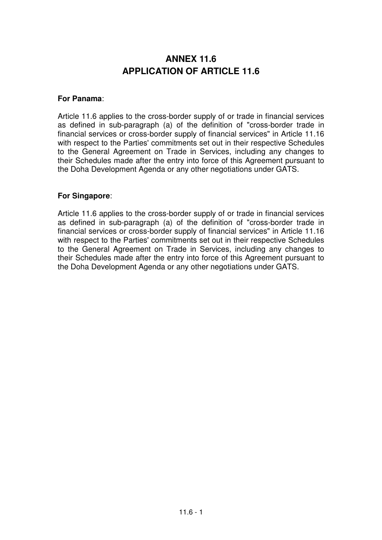# **ANNEX 11.6 APPLICATION OF ARTICLE 11.6**

#### **For Panama**:

Article 11.6 applies to the cross-border supply of or trade in financial services as defined in sub-paragraph (a) of the definition of "cross-border trade in financial services or cross-border supply of financial services" in Article 11.16 with respect to the Parties' commitments set out in their respective Schedules to the General Agreement on Trade in Services, including any changes to their Schedules made after the entry into force of this Agreement pursuant to the Doha Development Agenda or any other negotiations under GATS.

#### **For Singapore**:

Article 11.6 applies to the cross-border supply of or trade in financial services as defined in sub-paragraph (a) of the definition of "cross-border trade in financial services or cross-border supply of financial services" in Article 11.16 with respect to the Parties' commitments set out in their respective Schedules to the General Agreement on Trade in Services, including any changes to their Schedules made after the entry into force of this Agreement pursuant to the Doha Development Agenda or any other negotiations under GATS.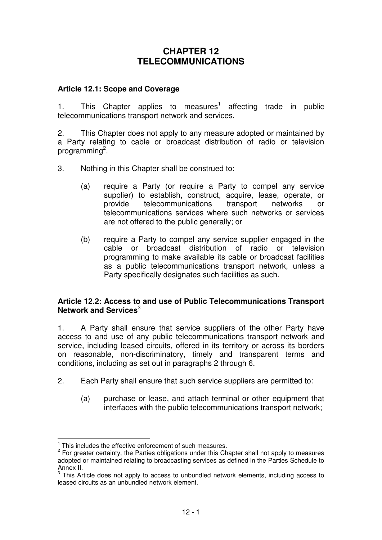# **CHAPTER 12 TELECOMMUNICATIONS**

#### **Article 12.1: Scope and Coverage**

1. This Chapter applies to measures<sup>1</sup> affecting trade in public telecommunications transport network and services.

2. This Chapter does not apply to any measure adopted or maintained by a Party relating to cable or broadcast distribution of radio or television programming<sup>2</sup>.

- 3. Nothing in this Chapter shall be construed to:
	- (a) require a Party (or require a Party to compel any service supplier) to establish, construct, acquire, lease, operate, or provide telecommunications transport networks or telecommunications services where such networks or services are not offered to the public generally; or
	- (b) require a Party to compel any service supplier engaged in the cable or broadcast distribution of radio or television programming to make available its cable or broadcast facilities as a public telecommunications transport network, unless a Party specifically designates such facilities as such.

#### **Article 12.2: Access to and use of Public Telecommunications Transport Network and Services**<sup>3</sup>

1. A Party shall ensure that service suppliers of the other Party have access to and use of any public telecommunications transport network and service, including leased circuits, offered in its territory or across its borders on reasonable, non-discriminatory, timely and transparent terms and conditions, including as set out in paragraphs 2 through 6.

- 2. Each Party shall ensure that such service suppliers are permitted to:
	- (a) purchase or lease, and attach terminal or other equipment that interfaces with the public telecommunications transport network;

 $\overline{a}$ 

<sup>&</sup>lt;sup>1</sup> This includes the effective enforcement of such measures.

 $2$  For greater certainty, the Parties obligations under this Chapter shall not apply to measures adopted or maintained relating to broadcasting services as defined in the Parties Schedule to Annex II.

 $3$  This Article does not apply to access to unbundled network elements, including access to leased circuits as an unbundled network element.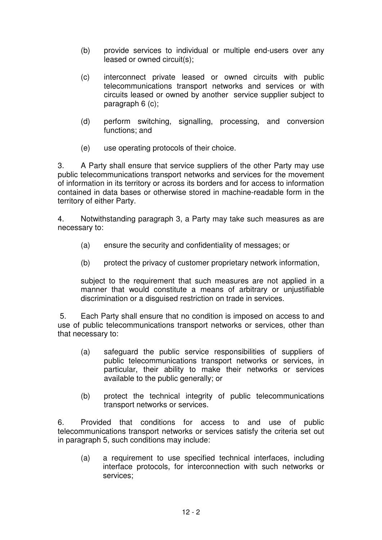- (b) provide services to individual or multiple end-users over any leased or owned circuit(s);
- (c) interconnect private leased or owned circuits with public telecommunications transport networks and services or with circuits leased or owned by another service supplier subject to paragraph 6 (c);
- (d) perform switching, signalling, processing, and conversion functions; and
- (e) use operating protocols of their choice.

3. A Party shall ensure that service suppliers of the other Party may use public telecommunications transport networks and services for the movement of information in its territory or across its borders and for access to information contained in data bases or otherwise stored in machine-readable form in the territory of either Party.

4. Notwithstanding paragraph 3, a Party may take such measures as are necessary to:

- (a) ensure the security and confidentiality of messages; or
- (b) protect the privacy of customer proprietary network information,

subject to the requirement that such measures are not applied in a manner that would constitute a means of arbitrary or unjustifiable discrimination or a disguised restriction on trade in services.

 5. Each Party shall ensure that no condition is imposed on access to and use of public telecommunications transport networks or services, other than that necessary to:

- (a) safeguard the public service responsibilities of suppliers of public telecommunications transport networks or services, in particular, their ability to make their networks or services available to the public generally; or
- (b) protect the technical integrity of public telecommunications transport networks or services.

6. Provided that conditions for access to and use of public telecommunications transport networks or services satisfy the criteria set out in paragraph 5, such conditions may include:

(a) a requirement to use specified technical interfaces, including interface protocols, for interconnection with such networks or services;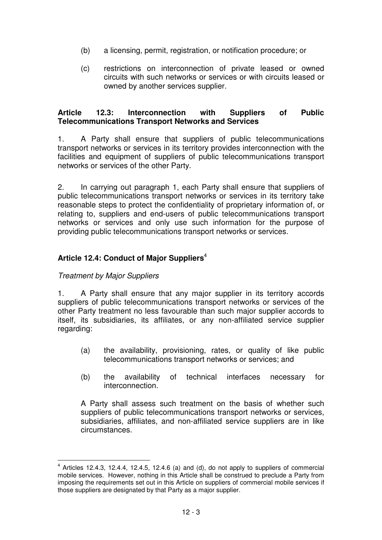- (b) a licensing, permit, registration, or notification procedure; or
- (c) restrictions on interconnection of private leased or owned circuits with such networks or services or with circuits leased or owned by another services supplier.

#### **Article 12.3: Interconnection with Suppliers of Public Telecommunications Transport Networks and Services**

1. A Party shall ensure that suppliers of public telecommunications transport networks or services in its territory provides interconnection with the facilities and equipment of suppliers of public telecommunications transport networks or services of the other Party.

2. In carrying out paragraph 1, each Party shall ensure that suppliers of public telecommunications transport networks or services in its territory take reasonable steps to protect the confidentiality of proprietary information of, or relating to, suppliers and end-users of public telecommunications transport networks or services and only use such information for the purpose of providing public telecommunications transport networks or services.

## Article 12.4: Conduct of Major Suppliers<sup>4</sup>

## Treatment by Major Suppliers

 $\overline{a}$ 

1. A Party shall ensure that any major supplier in its territory accords suppliers of public telecommunications transport networks or services of the other Party treatment no less favourable than such major supplier accords to itself, its subsidiaries, its affiliates, or any non-affiliated service supplier regarding:

- (a) the availability, provisioning, rates, or quality of like public telecommunications transport networks or services; and
- (b) the availability of technical interfaces necessary for interconnection.

A Party shall assess such treatment on the basis of whether such suppliers of public telecommunications transport networks or services, subsidiaries, affiliates, and non-affiliated service suppliers are in like circumstances.

 $4$  Articles 12.4.3, 12.4.4, 12.4.5, 12.4.6 (a) and (d), do not apply to suppliers of commercial mobile services. However, nothing in this Article shall be construed to preclude a Party from imposing the requirements set out in this Article on suppliers of commercial mobile services if those suppliers are designated by that Party as a major supplier.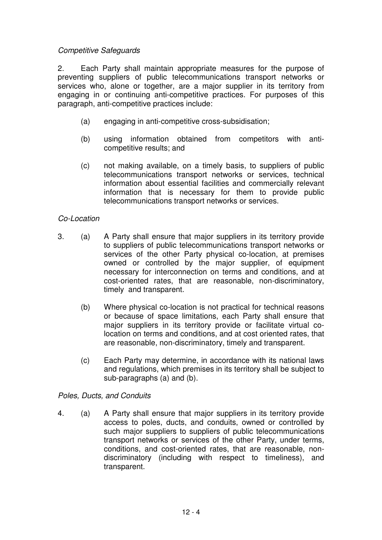#### Competitive Safeguards

2. Each Party shall maintain appropriate measures for the purpose of preventing suppliers of public telecommunications transport networks or services who, alone or together, are a major supplier in its territory from engaging in or continuing anti-competitive practices. For purposes of this paragraph, anti-competitive practices include:

- (a) engaging in anti-competitive cross-subsidisation;
- (b) using information obtained from competitors with anticompetitive results; and
- (c) not making available, on a timely basis, to suppliers of public telecommunications transport networks or services, technical information about essential facilities and commercially relevant information that is necessary for them to provide public telecommunications transport networks or services.

#### Co-Location

- 3. (a) A Party shall ensure that major suppliers in its territory provide to suppliers of public telecommunications transport networks or services of the other Party physical co-location, at premises owned or controlled by the major supplier, of equipment necessary for interconnection on terms and conditions, and at cost-oriented rates, that are reasonable, non-discriminatory, timely and transparent.
	- (b) Where physical co-location is not practical for technical reasons or because of space limitations, each Party shall ensure that major suppliers in its territory provide or facilitate virtual colocation on terms and conditions, and at cost oriented rates, that are reasonable, non-discriminatory, timely and transparent.
	- (c) Each Party may determine, in accordance with its national laws and regulations, which premises in its territory shall be subject to sub-paragraphs (a) and (b).

#### Poles, Ducts, and Conduits

4. (a) A Party shall ensure that major suppliers in its territory provide access to poles, ducts, and conduits, owned or controlled by such major suppliers to suppliers of public telecommunications transport networks or services of the other Party, under terms, conditions, and cost-oriented rates, that are reasonable, nondiscriminatory (including with respect to timeliness), and transparent.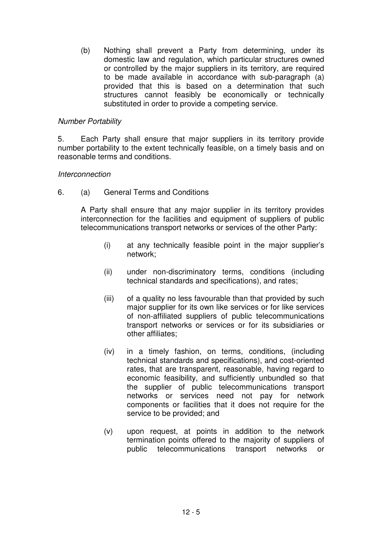(b) Nothing shall prevent a Party from determining, under its domestic law and regulation, which particular structures owned or controlled by the major suppliers in its territory, are required to be made available in accordance with sub-paragraph (a) provided that this is based on a determination that such structures cannot feasibly be economically or technically substituted in order to provide a competing service.

#### Number Portability

5. Each Party shall ensure that major suppliers in its territory provide number portability to the extent technically feasible, on a timely basis and on reasonable terms and conditions.

#### Interconnection

6. (a) General Terms and Conditions

A Party shall ensure that any major supplier in its territory provides interconnection for the facilities and equipment of suppliers of public telecommunications transport networks or services of the other Party:

- (i) at any technically feasible point in the major supplier's network;
- (ii) under non-discriminatory terms, conditions (including technical standards and specifications), and rates;
- (iii) of a quality no less favourable than that provided by such major supplier for its own like services or for like services of non-affiliated suppliers of public telecommunications transport networks or services or for its subsidiaries or other affiliates;
- (iv) in a timely fashion, on terms, conditions, (including technical standards and specifications), and cost-oriented rates, that are transparent, reasonable, having regard to economic feasibility, and sufficiently unbundled so that the supplier of public telecommunications transport networks or services need not pay for network components or facilities that it does not require for the service to be provided; and
- (v) upon request, at points in addition to the network termination points offered to the majority of suppliers of public telecommunications transport networks or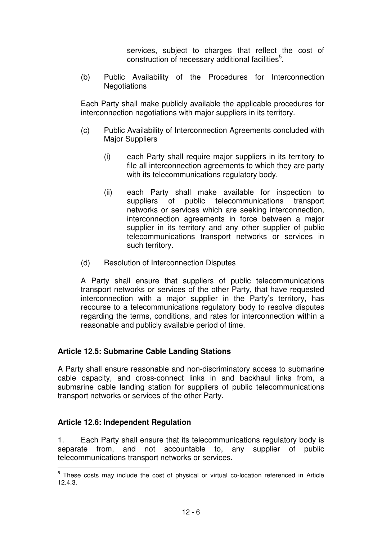services, subject to charges that reflect the cost of construction of necessary additional facilities<sup>5</sup>.

(b) Public Availability of the Procedures for Interconnection **Negotiations** 

Each Party shall make publicly available the applicable procedures for interconnection negotiations with major suppliers in its territory.

- (c) Public Availability of Interconnection Agreements concluded with Major Suppliers
	- (i) each Party shall require major suppliers in its territory to file all interconnection agreements to which they are party with its telecommunications regulatory body.
	- (ii) each Party shall make available for inspection to suppliers of public telecommunications transport networks or services which are seeking interconnection, interconnection agreements in force between a major supplier in its territory and any other supplier of public telecommunications transport networks or services in such territory.
- (d) Resolution of Interconnection Disputes

A Party shall ensure that suppliers of public telecommunications transport networks or services of the other Party, that have requested interconnection with a major supplier in the Party's territory, has recourse to a telecommunications regulatory body to resolve disputes regarding the terms, conditions, and rates for interconnection within a reasonable and publicly available period of time.

## **Article 12.5: Submarine Cable Landing Stations**

A Party shall ensure reasonable and non-discriminatory access to submarine cable capacity, and cross-connect links in and backhaul links from, a submarine cable landing station for suppliers of public telecommunications transport networks or services of the other Party.

#### **Article 12.6: Independent Regulation**

 $\overline{a}$ 

1. Each Party shall ensure that its telecommunications regulatory body is separate from, and not accountable to, any supplier of public telecommunications transport networks or services.

<sup>&</sup>lt;sup>5</sup> These costs may include the cost of physical or virtual co-location referenced in Article 12.4.3.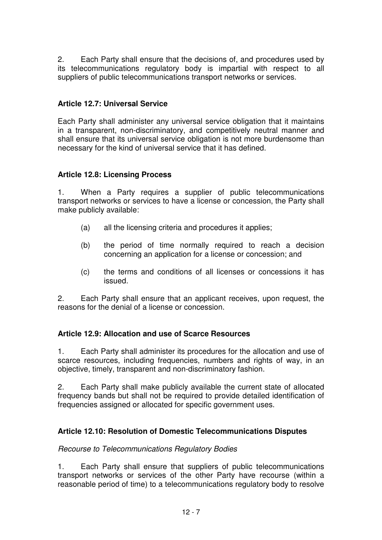2. Each Party shall ensure that the decisions of, and procedures used by its telecommunications regulatory body is impartial with respect to all suppliers of public telecommunications transport networks or services.

## **Article 12.7: Universal Service**

Each Party shall administer any universal service obligation that it maintains in a transparent, non-discriminatory, and competitively neutral manner and shall ensure that its universal service obligation is not more burdensome than necessary for the kind of universal service that it has defined.

#### **Article 12.8: Licensing Process**

1. When a Party requires a supplier of public telecommunications transport networks or services to have a license or concession, the Party shall make publicly available:

- (a) all the licensing criteria and procedures it applies;
- (b) the period of time normally required to reach a decision concerning an application for a license or concession; and
- (c) the terms and conditions of all licenses or concessions it has issued.

2. Each Party shall ensure that an applicant receives, upon request, the reasons for the denial of a license or concession.

## **Article 12.9: Allocation and use of Scarce Resources**

1. Each Party shall administer its procedures for the allocation and use of scarce resources, including frequencies, numbers and rights of way, in an objective, timely, transparent and non-discriminatory fashion.

2. Each Party shall make publicly available the current state of allocated frequency bands but shall not be required to provide detailed identification of frequencies assigned or allocated for specific government uses.

## **Article 12.10: Resolution of Domestic Telecommunications Disputes**

#### Recourse to Telecommunications Regulatory Bodies

1. Each Party shall ensure that suppliers of public telecommunications transport networks or services of the other Party have recourse (within a reasonable period of time) to a telecommunications regulatory body to resolve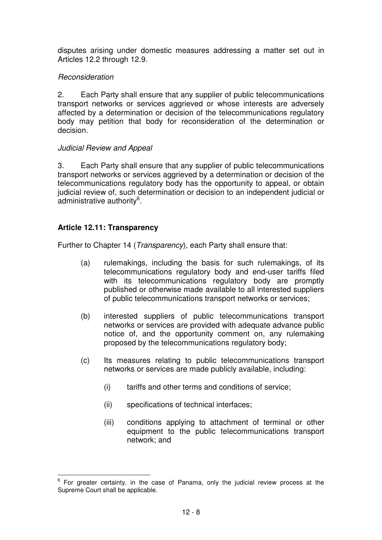disputes arising under domestic measures addressing a matter set out in Articles 12.2 through 12.9.

#### Reconsideration

2. Each Party shall ensure that any supplier of public telecommunications transport networks or services aggrieved or whose interests are adversely affected by a determination or decision of the telecommunications regulatory body may petition that body for reconsideration of the determination or decision.

#### Judicial Review and Appeal

3. Each Party shall ensure that any supplier of public telecommunications transport networks or services aggrieved by a determination or decision of the telecommunications regulatory body has the opportunity to appeal, or obtain judicial review of, such determination or decision to an independent judicial or administrative authority<sup>6</sup>.

## **Article 12.11: Transparency**

 $\overline{a}$ 

Further to Chapter 14 (Transparency), each Party shall ensure that:

- (a) rulemakings, including the basis for such rulemakings, of its telecommunications regulatory body and end-user tariffs filed with its telecommunications regulatory body are promptly published or otherwise made available to all interested suppliers of public telecommunications transport networks or services;
- (b) interested suppliers of public telecommunications transport networks or services are provided with adequate advance public notice of, and the opportunity comment on, any rulemaking proposed by the telecommunications regulatory body;
- (c) Its measures relating to public telecommunications transport networks or services are made publicly available, including:
	- (i) tariffs and other terms and conditions of service;
	- (ii) specifications of technical interfaces;
	- (iii) conditions applying to attachment of terminal or other equipment to the public telecommunications transport network; and

 $6$  For greater certainty, in the case of Panama, only the judicial review process at the Supreme Court shall be applicable.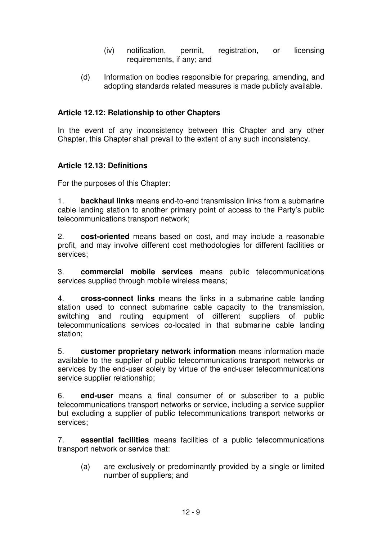- (iv) notification, permit, registration, or licensing requirements, if any; and
- (d) Information on bodies responsible for preparing, amending, and adopting standards related measures is made publicly available.

## **Article 12.12: Relationship to other Chapters**

In the event of any inconsistency between this Chapter and any other Chapter, this Chapter shall prevail to the extent of any such inconsistency.

## **Article 12.13: Definitions**

For the purposes of this Chapter:

1. **backhaul links** means end-to-end transmission links from a submarine cable landing station to another primary point of access to the Party's public telecommunications transport network;

2. **cost-oriented** means based on cost, and may include a reasonable profit, and may involve different cost methodologies for different facilities or services;

3. **commercial mobile services** means public telecommunications services supplied through mobile wireless means;

4. **cross-connect links** means the links in a submarine cable landing station used to connect submarine cable capacity to the transmission, switching and routing equipment of different suppliers of public telecommunications services co-located in that submarine cable landing station;

5. **customer proprietary network information** means information made available to the supplier of public telecommunications transport networks or services by the end-user solely by virtue of the end-user telecommunications service supplier relationship:

6. **end-user** means a final consumer of or subscriber to a public telecommunications transport networks or service, including a service supplier but excluding a supplier of public telecommunications transport networks or services;

7. **essential facilities** means facilities of a public telecommunications transport network or service that:

(a) are exclusively or predominantly provided by a single or limited number of suppliers; and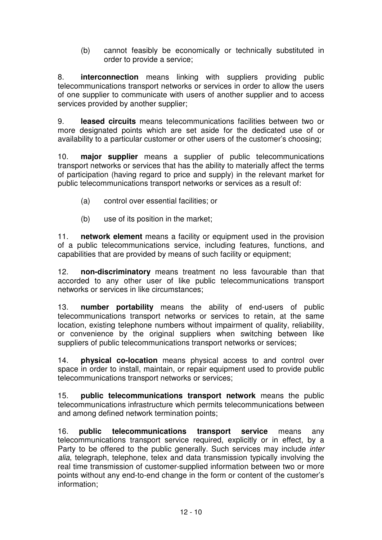(b) cannot feasibly be economically or technically substituted in order to provide a service;

8. **interconnection** means linking with suppliers providing public telecommunications transport networks or services in order to allow the users of one supplier to communicate with users of another supplier and to access services provided by another supplier;

9. **leased circuits** means telecommunications facilities between two or more designated points which are set aside for the dedicated use of or availability to a particular customer or other users of the customer's choosing;

10. **major supplier** means a supplier of public telecommunications transport networks or services that has the ability to materially affect the terms of participation (having regard to price and supply) in the relevant market for public telecommunications transport networks or services as a result of:

- (a) control over essential facilities; or
- (b) use of its position in the market;

11. **network element** means a facility or equipment used in the provision of a public telecommunications service, including features, functions, and capabilities that are provided by means of such facility or equipment;

12. **non-discriminatory** means treatment no less favourable than that accorded to any other user of like public telecommunications transport networks or services in like circumstances;

13. **number portability** means the ability of end-users of public telecommunications transport networks or services to retain, at the same location, existing telephone numbers without impairment of quality, reliability, or convenience by the original suppliers when switching between like suppliers of public telecommunications transport networks or services;

14. **physical co-location** means physical access to and control over space in order to install, maintain, or repair equipment used to provide public telecommunications transport networks or services;

15. **public telecommunications transport network** means the public telecommunications infrastructure which permits telecommunications between and among defined network termination points;

16. **public telecommunications transport service** means any telecommunications transport service required, explicitly or in effect, by a Party to be offered to the public generally. Such services may include *inter* alia, telegraph, telephone, telex and data transmission typically involving the real time transmission of customer-supplied information between two or more points without any end-to-end change in the form or content of the customer's information;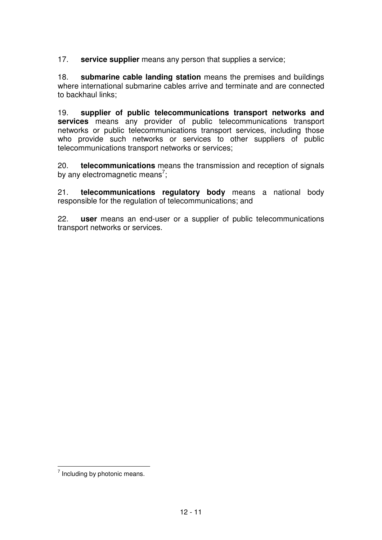17. **service supplier** means any person that supplies a service;

18. **submarine cable landing station** means the premises and buildings where international submarine cables arrive and terminate and are connected to backhaul links;

19. **supplier of public telecommunications transport networks and services** means any provider of public telecommunications transport networks or public telecommunications transport services, including those who provide such networks or services to other suppliers of public telecommunications transport networks or services;

20. **telecommunications** means the transmission and reception of signals by any electromagnetic means<sup>7</sup>;

21. **telecommunications regulatory body** means a national body responsible for the regulation of telecommunications; and

22. **user** means an end-user or a supplier of public telecommunications transport networks or services.

 $\overline{a}$ 

 $<sup>7</sup>$  Including by photonic means.</sup>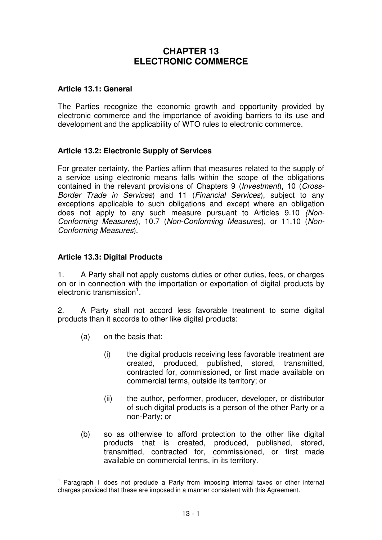# **CHAPTER 13 ELECTRONIC COMMERCE**

#### **Article 13.1: General**

The Parties recognize the economic growth and opportunity provided by electronic commerce and the importance of avoiding barriers to its use and development and the applicability of WTO rules to electronic commerce.

#### **Article 13.2: Electronic Supply of Services**

For greater certainty, the Parties affirm that measures related to the supply of a service using electronic means falls within the scope of the obligations contained in the relevant provisions of Chapters 9 (Investment), 10 (Cross-Border Trade in Services) and 11 (Financial Services), subject to any exceptions applicable to such obligations and except where an obligation does not apply to any such measure pursuant to Articles 9.10 (Non-Conforming Measures), 10.7 (Non-Conforming Measures), or 11.10 (Non-Conforming Measures).

#### **Article 13.3: Digital Products**

1. A Party shall not apply customs duties or other duties, fees, or charges on or in connection with the importation or exportation of digital products by electronic transmission<sup>1</sup>.

2. A Party shall not accord less favorable treatment to some digital products than it accords to other like digital products:

(a) on the basis that:

 $\overline{a}$ 

- (i) the digital products receiving less favorable treatment are created, produced, published, stored, transmitted, contracted for, commissioned, or first made available on commercial terms, outside its territory; or
- (ii) the author, performer, producer, developer, or distributor of such digital products is a person of the other Party or a non-Party; or
- (b) so as otherwise to afford protection to the other like digital products that is created, produced, published, stored, transmitted, contracted for, commissioned, or first made available on commercial terms, in its territory.

<sup>&</sup>lt;sup>1</sup> Paragraph 1 does not preclude a Party from imposing internal taxes or other internal charges provided that these are imposed in a manner consistent with this Agreement.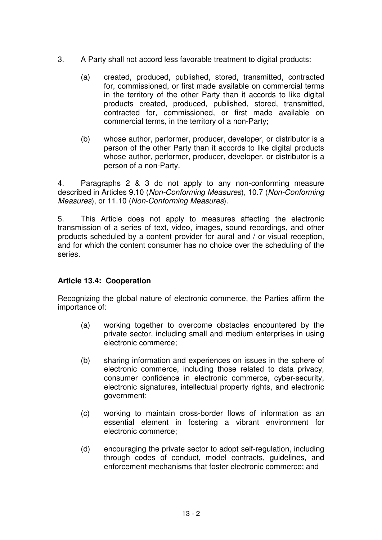- 3. A Party shall not accord less favorable treatment to digital products:
	- (a) created, produced, published, stored, transmitted, contracted for, commissioned, or first made available on commercial terms in the territory of the other Party than it accords to like digital products created, produced, published, stored, transmitted, contracted for, commissioned, or first made available on commercial terms, in the territory of a non-Party;
	- (b) whose author, performer, producer, developer, or distributor is a person of the other Party than it accords to like digital products whose author, performer, producer, developer, or distributor is a person of a non-Party.

4. Paragraphs 2 & 3 do not apply to any non-conforming measure described in Articles 9.10 (Non-Conforming Measures), 10.7 (Non-Conforming Measures), or 11.10 (Non-Conforming Measures).

5. This Article does not apply to measures affecting the electronic transmission of a series of text, video, images, sound recordings, and other products scheduled by a content provider for aural and / or visual reception, and for which the content consumer has no choice over the scheduling of the series.

## **Article 13.4: Cooperation**

Recognizing the global nature of electronic commerce, the Parties affirm the importance of:

- (a) working together to overcome obstacles encountered by the private sector, including small and medium enterprises in using electronic commerce;
- (b) sharing information and experiences on issues in the sphere of electronic commerce, including those related to data privacy, consumer confidence in electronic commerce, cyber-security, electronic signatures, intellectual property rights, and electronic government;
- (c) working to maintain cross-border flows of information as an essential element in fostering a vibrant environment for electronic commerce;
- (d) encouraging the private sector to adopt self-regulation, including through codes of conduct, model contracts, guidelines, and enforcement mechanisms that foster electronic commerce; and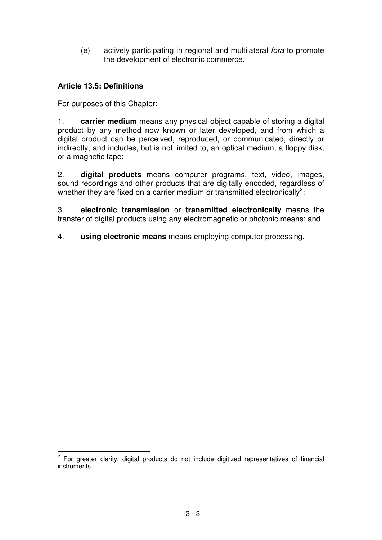(e) actively participating in regional and multilateral fora to promote the development of electronic commerce.

## **Article 13.5: Definitions**

 $\overline{a}$ 

For purposes of this Chapter:

1. **carrier medium** means any physical object capable of storing a digital product by any method now known or later developed, and from which a digital product can be perceived, reproduced, or communicated, directly or indirectly, and includes, but is not limited to, an optical medium, a floppy disk, or a magnetic tape;

2. **digital products** means computer programs, text, video, images, sound recordings and other products that are digitally encoded, regardless of whether they are fixed on a carrier medium or transmitted electronically<sup>2</sup>;

3. **electronic transmission** or **transmitted electronically** means the transfer of digital products using any electromagnetic or photonic means; and

4. **using electronic means** means employing computer processing.

 $2$  For greater clarity, digital products do not include digitized representatives of financial instruments.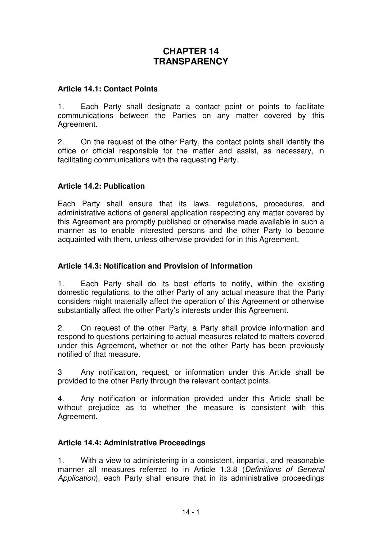# **CHAPTER 14 TRANSPARENCY**

#### **Article 14.1: Contact Points**

1. Each Party shall designate a contact point or points to facilitate communications between the Parties on any matter covered by this Agreement.

2. On the request of the other Party, the contact points shall identify the office or official responsible for the matter and assist, as necessary, in facilitating communications with the requesting Party.

#### **Article 14.2: Publication**

Each Party shall ensure that its laws, regulations, procedures, and administrative actions of general application respecting any matter covered by this Agreement are promptly published or otherwise made available in such a manner as to enable interested persons and the other Party to become acquainted with them, unless otherwise provided for in this Agreement.

#### **Article 14.3: Notification and Provision of Information**

1. Each Party shall do its best efforts to notify, within the existing domestic regulations, to the other Party of any actual measure that the Party considers might materially affect the operation of this Agreement or otherwise substantially affect the other Party's interests under this Agreement.

2. On request of the other Party, a Party shall provide information and respond to questions pertaining to actual measures related to matters covered under this Agreement, whether or not the other Party has been previously notified of that measure.

3 Any notification, request, or information under this Article shall be provided to the other Party through the relevant contact points.

4. Any notification or information provided under this Article shall be without prejudice as to whether the measure is consistent with this Agreement.

#### **Article 14.4: Administrative Proceedings**

1. With a view to administering in a consistent, impartial, and reasonable manner all measures referred to in Article 1.3.8 (Definitions of General Application), each Party shall ensure that in its administrative proceedings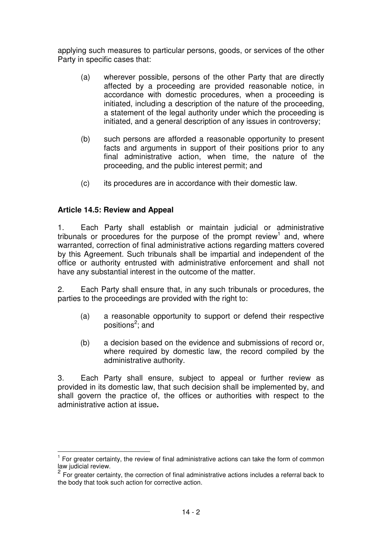applying such measures to particular persons, goods, or services of the other Party in specific cases that:

- (a) wherever possible, persons of the other Party that are directly affected by a proceeding are provided reasonable notice, in accordance with domestic procedures, when a proceeding is initiated, including a description of the nature of the proceeding, a statement of the legal authority under which the proceeding is initiated, and a general description of any issues in controversy;
- (b) such persons are afforded a reasonable opportunity to present facts and arguments in support of their positions prior to any final administrative action, when time, the nature of the proceeding, and the public interest permit; and
- (c) its procedures are in accordance with their domestic law.

## **Article 14.5: Review and Appeal**

 $\overline{a}$ 

1. Each Party shall establish or maintain judicial or administrative tribunals or procedures for the purpose of the prompt review<sup>1</sup> and, where warranted, correction of final administrative actions regarding matters covered by this Agreement. Such tribunals shall be impartial and independent of the office or authority entrusted with administrative enforcement and shall not have any substantial interest in the outcome of the matter.

2. Each Party shall ensure that, in any such tribunals or procedures, the parties to the proceedings are provided with the right to:

- (a) a reasonable opportunity to support or defend their respective positions<sup>2</sup>; and
- (b) a decision based on the evidence and submissions of record or, where required by domestic law, the record compiled by the administrative authority.

3. Each Party shall ensure, subject to appeal or further review as provided in its domestic law, that such decision shall be implemented by, and shall govern the practice of, the offices or authorities with respect to the administrative action at issue**.** 

 $<sup>1</sup>$  For greater certainty, the review of final administrative actions can take the form of common</sup> law judicial review.

 $2\overline{r}$  For greater certainty, the correction of final administrative actions includes a referral back to the body that took such action for corrective action.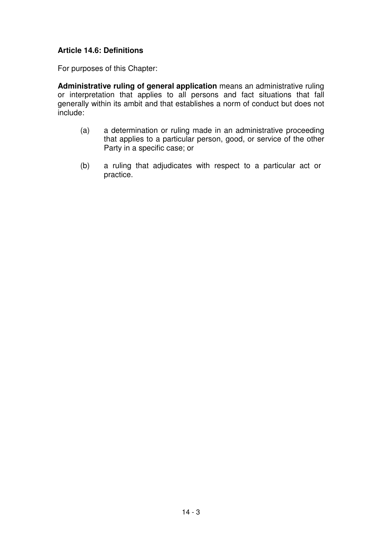## **Article 14.6: Definitions**

For purposes of this Chapter:

**Administrative ruling of general application** means an administrative ruling or interpretation that applies to all persons and fact situations that fall generally within its ambit and that establishes a norm of conduct but does not include:

- (a) a determination or ruling made in an administrative proceeding that applies to a particular person, good, or service of the other Party in a specific case; or
- (b) a ruling that adjudicates with respect to a particular act or practice.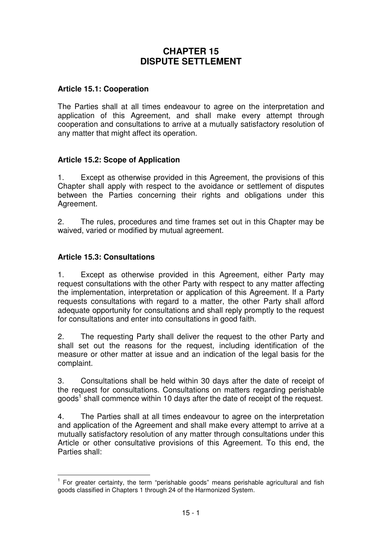# **CHAPTER 15 DISPUTE SETTLEMENT**

#### **Article 15.1: Cooperation**

The Parties shall at all times endeavour to agree on the interpretation and application of this Agreement, and shall make every attempt through cooperation and consultations to arrive at a mutually satisfactory resolution of any matter that might affect its operation.

#### **Article 15.2: Scope of Application**

1. Except as otherwise provided in this Agreement, the provisions of this Chapter shall apply with respect to the avoidance or settlement of disputes between the Parties concerning their rights and obligations under this Agreement.

2. The rules, procedures and time frames set out in this Chapter may be waived, varied or modified by mutual agreement.

#### **Article 15.3: Consultations**

 $\overline{a}$ 

1. Except as otherwise provided in this Agreement, either Party may request consultations with the other Party with respect to any matter affecting the implementation, interpretation or application of this Agreement. If a Party requests consultations with regard to a matter, the other Party shall afford adequate opportunity for consultations and shall reply promptly to the request for consultations and enter into consultations in good faith.

2. The requesting Party shall deliver the request to the other Party and shall set out the reasons for the request, including identification of the measure or other matter at issue and an indication of the legal basis for the complaint.

3. Consultations shall be held within 30 days after the date of receipt of the request for consultations. Consultations on matters regarding perishable goods<sup>1</sup> shall commence within 10 days after the date of receipt of the request.

4. The Parties shall at all times endeavour to agree on the interpretation and application of the Agreement and shall make every attempt to arrive at a mutually satisfactory resolution of any matter through consultations under this Article or other consultative provisions of this Agreement. To this end, the Parties shall:

<sup>&</sup>lt;sup>1</sup> For greater certainty, the term "perishable goods" means perishable agricultural and fish goods classified in Chapters 1 through 24 of the Harmonized System.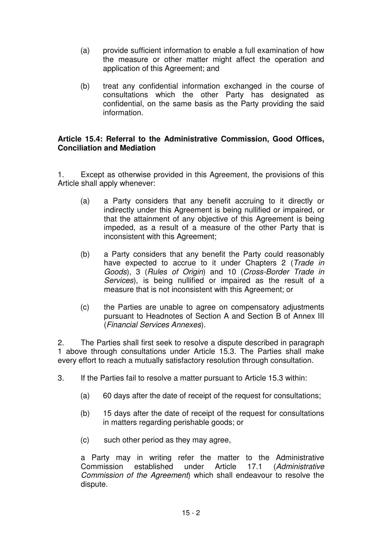- (a) provide sufficient information to enable a full examination of how the measure or other matter might affect the operation and application of this Agreement; and
- (b) treat any confidential information exchanged in the course of consultations which the other Party has designated as confidential, on the same basis as the Party providing the said information.

#### **Article 15.4: Referral to the Administrative Commission, Good Offices, Conciliation and Mediation**

1. Except as otherwise provided in this Agreement, the provisions of this Article shall apply whenever:

- (a) a Party considers that any benefit accruing to it directly or indirectly under this Agreement is being nullified or impaired, or that the attainment of any objective of this Agreement is being impeded, as a result of a measure of the other Party that is inconsistent with this Agreement;
- (b) a Party considers that any benefit the Party could reasonably have expected to accrue to it under Chapters 2 (Trade in Goods), 3 (Rules of Origin) and 10 (Cross-Border Trade in Services), is being nullified or impaired as the result of a measure that is not inconsistent with this Agreement; or
- (c) the Parties are unable to agree on compensatory adjustments pursuant to Headnotes of Section A and Section B of Annex III (Financial Services Annexes).

2. The Parties shall first seek to resolve a dispute described in paragraph 1 above through consultations under Article 15.3. The Parties shall make every effort to reach a mutually satisfactory resolution through consultation.

- 3. If the Parties fail to resolve a matter pursuant to Article 15.3 within:
	- (a) 60 days after the date of receipt of the request for consultations;
	- (b) 15 days after the date of receipt of the request for consultations in matters regarding perishable goods; or
	- (c) such other period as they may agree,

a Party may in writing refer the matter to the Administrative Commission established under Article 17.1 (Administrative Commission of the Agreement) which shall endeavour to resolve the dispute.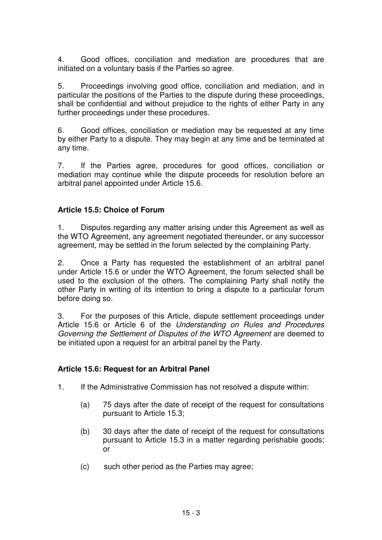4. Good offices, conciliation and mediation are procedures that are initiated on a voluntary basis if the Parties so agree.

5. Proceedings involving good office, conciliation and mediation, and in particular the positions of the Parties to the dispute during these proceedings, shall be confidential and without prejudice to the rights of either Party in any further proceedings under these procedures.

6. Good offices, conciliation or mediation may be requested at any time by either Party to a dispute. They may begin at any time and be terminated at any time.

7. If the Parties agree, procedures for good offices, conciliation or mediation may continue while the dispute proceeds for resolution before an arbitral panel appointed under Article 15.6.

## **Article 15.5: Choice of Forum**

1. Disputes regarding any matter arising under this Agreement as well as the WTO Agreement, any agreement negotiated thereunder, or any successor agreement, may be settled in the forum selected by the complaining Party.

2. Once a Party has requested the establishment of an arbitral panel under Article 15.6 or under the WTO Agreement, the forum selected shall be used to the exclusion of the others. The complaining Party shall notify the other Party in writing of its intention to bring a dispute to a particular forum before doing so.

3. For the purposes of this Article, dispute settlement proceedings under Article 15.6 or Article 6 of the Understanding on Rules and Procedures Governing the Settlement of Disputes of the WTO Agreement are deemed to be initiated upon a request for an arbitral panel by the Party.

## **Article 15.6: Request for an Arbitral Panel**

- 1. If the Administrative Commission has not resolved a dispute within:
	- (a) 75 days after the date of receipt of the request for consultations pursuant to Article 15.3;
	- (b) 30 days after the date of receipt of the request for consultations pursuant to Article 15.3 in a matter regarding perishable goods; or
	- (c) such other period as the Parties may agree;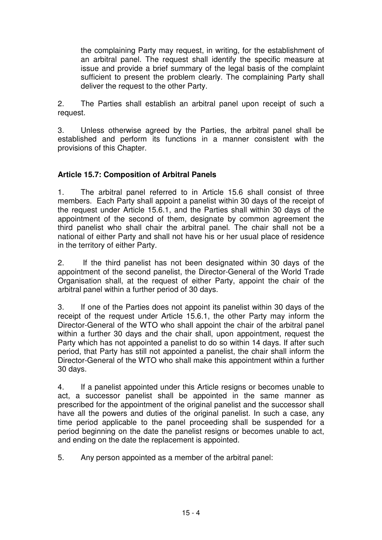the complaining Party may request, in writing, for the establishment of an arbitral panel. The request shall identify the specific measure at issue and provide a brief summary of the legal basis of the complaint sufficient to present the problem clearly. The complaining Party shall deliver the request to the other Party.

2. The Parties shall establish an arbitral panel upon receipt of such a request.

3. Unless otherwise agreed by the Parties, the arbitral panel shall be established and perform its functions in a manner consistent with the provisions of this Chapter.

## **Article 15.7: Composition of Arbitral Panels**

1. The arbitral panel referred to in Article 15.6 shall consist of three members. Each Party shall appoint a panelist within 30 days of the receipt of the request under Article 15.6.1, and the Parties shall within 30 days of the appointment of the second of them, designate by common agreement the third panelist who shall chair the arbitral panel. The chair shall not be a national of either Party and shall not have his or her usual place of residence in the territory of either Party.

2. If the third panelist has not been designated within 30 days of the appointment of the second panelist, the Director-General of the World Trade Organisation shall, at the request of either Party, appoint the chair of the arbitral panel within a further period of 30 days.

3. If one of the Parties does not appoint its panelist within 30 days of the receipt of the request under Article 15.6.1, the other Party may inform the Director-General of the WTO who shall appoint the chair of the arbitral panel within a further 30 days and the chair shall, upon appointment, request the Party which has not appointed a panelist to do so within 14 days. If after such period, that Party has still not appointed a panelist, the chair shall inform the Director-General of the WTO who shall make this appointment within a further 30 days.

4. If a panelist appointed under this Article resigns or becomes unable to act, a successor panelist shall be appointed in the same manner as prescribed for the appointment of the original panelist and the successor shall have all the powers and duties of the original panelist. In such a case, any time period applicable to the panel proceeding shall be suspended for a period beginning on the date the panelist resigns or becomes unable to act, and ending on the date the replacement is appointed.

5. Any person appointed as a member of the arbitral panel: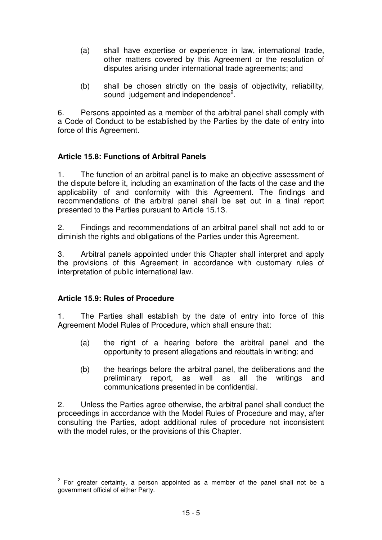- (a) shall have expertise or experience in law, international trade, other matters covered by this Agreement or the resolution of disputes arising under international trade agreements; and
- (b) shall be chosen strictly on the basis of objectivity, reliability, sound judgement and independence<sup>2</sup>.

6. Persons appointed as a member of the arbitral panel shall comply with a Code of Conduct to be established by the Parties by the date of entry into force of this Agreement.

## **Article 15.8: Functions of Arbitral Panels**

1. The function of an arbitral panel is to make an objective assessment of the dispute before it, including an examination of the facts of the case and the applicability of and conformity with this Agreement. The findings and recommendations of the arbitral panel shall be set out in a final report presented to the Parties pursuant to Article 15.13.

2. Findings and recommendations of an arbitral panel shall not add to or diminish the rights and obligations of the Parties under this Agreement.

3. Arbitral panels appointed under this Chapter shall interpret and apply the provisions of this Agreement in accordance with customary rules of interpretation of public international law.

## **Article 15.9: Rules of Procedure**

 $\overline{a}$ 

1. The Parties shall establish by the date of entry into force of this Agreement Model Rules of Procedure, which shall ensure that:

- (a) the right of a hearing before the arbitral panel and the opportunity to present allegations and rebuttals in writing; and
- (b) the hearings before the arbitral panel, the deliberations and the preliminary report, as well as all the writings and communications presented in be confidential.

2. Unless the Parties agree otherwise, the arbitral panel shall conduct the proceedings in accordance with the Model Rules of Procedure and may, after consulting the Parties, adopt additional rules of procedure not inconsistent with the model rules, or the provisions of this Chapter.

 $2$  For greater certainty, a person appointed as a member of the panel shall not be a government official of either Party.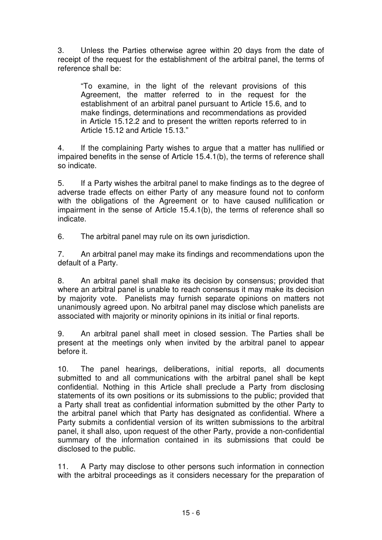3. Unless the Parties otherwise agree within 20 days from the date of receipt of the request for the establishment of the arbitral panel, the terms of reference shall be:

"To examine, in the light of the relevant provisions of this Agreement, the matter referred to in the request for the establishment of an arbitral panel pursuant to Article 15.6, and to make findings, determinations and recommendations as provided in Article 15.12.2 and to present the written reports referred to in Article 15.12 and Article 15.13."

4. If the complaining Party wishes to argue that a matter has nullified or impaired benefits in the sense of Article 15.4.1(b), the terms of reference shall so indicate.

5. If a Party wishes the arbitral panel to make findings as to the degree of adverse trade effects on either Party of any measure found not to conform with the obligations of the Agreement or to have caused nullification or impairment in the sense of Article 15.4.1(b), the terms of reference shall so indicate.

6. The arbitral panel may rule on its own jurisdiction.

7. An arbitral panel may make its findings and recommendations upon the default of a Party.

8. An arbitral panel shall make its decision by consensus; provided that where an arbitral panel is unable to reach consensus it may make its decision by majority vote. Panelists may furnish separate opinions on matters not unanimously agreed upon. No arbitral panel may disclose which panelists are associated with majority or minority opinions in its initial or final reports.

9. An arbitral panel shall meet in closed session. The Parties shall be present at the meetings only when invited by the arbitral panel to appear before it.

10. The panel hearings, deliberations, initial reports, all documents submitted to and all communications with the arbitral panel shall be kept confidential. Nothing in this Article shall preclude a Party from disclosing statements of its own positions or its submissions to the public; provided that a Party shall treat as confidential information submitted by the other Party to the arbitral panel which that Party has designated as confidential. Where a Party submits a confidential version of its written submissions to the arbitral panel, it shall also, upon request of the other Party, provide a non-confidential summary of the information contained in its submissions that could be disclosed to the public.

11. A Party may disclose to other persons such information in connection with the arbitral proceedings as it considers necessary for the preparation of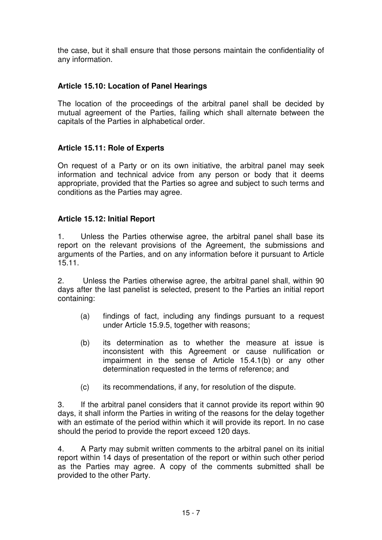the case, but it shall ensure that those persons maintain the confidentiality of any information.

## **Article 15.10: Location of Panel Hearings**

The location of the proceedings of the arbitral panel shall be decided by mutual agreement of the Parties, failing which shall alternate between the capitals of the Parties in alphabetical order.

## **Article 15.11: Role of Experts**

On request of a Party or on its own initiative, the arbitral panel may seek information and technical advice from any person or body that it deems appropriate, provided that the Parties so agree and subject to such terms and conditions as the Parties may agree.

## **Article 15.12: Initial Report**

1. Unless the Parties otherwise agree, the arbitral panel shall base its report on the relevant provisions of the Agreement, the submissions and arguments of the Parties, and on any information before it pursuant to Article 15.11.

2. Unless the Parties otherwise agree, the arbitral panel shall, within 90 days after the last panelist is selected, present to the Parties an initial report containing:

- (a) findings of fact, including any findings pursuant to a request under Article 15.9.5, together with reasons;
- (b) its determination as to whether the measure at issue is inconsistent with this Agreement or cause nullification or impairment in the sense of Article 15.4.1(b) or any other determination requested in the terms of reference; and
- (c) its recommendations, if any, for resolution of the dispute.

3. If the arbitral panel considers that it cannot provide its report within 90 days, it shall inform the Parties in writing of the reasons for the delay together with an estimate of the period within which it will provide its report. In no case should the period to provide the report exceed 120 days.

4. A Party may submit written comments to the arbitral panel on its initial report within 14 days of presentation of the report or within such other period as the Parties may agree. A copy of the comments submitted shall be provided to the other Party.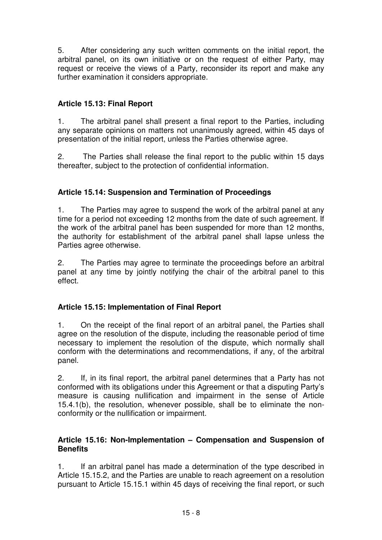5. After considering any such written comments on the initial report, the arbitral panel, on its own initiative or on the request of either Party, may request or receive the views of a Party, reconsider its report and make any further examination it considers appropriate.

## **Article 15.13: Final Report**

1. The arbitral panel shall present a final report to the Parties, including any separate opinions on matters not unanimously agreed, within 45 days of presentation of the initial report, unless the Parties otherwise agree.

2. The Parties shall release the final report to the public within 15 days thereafter, subject to the protection of confidential information.

## **Article 15.14: Suspension and Termination of Proceedings**

1. The Parties may agree to suspend the work of the arbitral panel at any time for a period not exceeding 12 months from the date of such agreement. If the work of the arbitral panel has been suspended for more than 12 months, the authority for establishment of the arbitral panel shall lapse unless the Parties agree otherwise.

2. The Parties may agree to terminate the proceedings before an arbitral panel at any time by jointly notifying the chair of the arbitral panel to this effect.

## **Article 15.15: Implementation of Final Report**

1. On the receipt of the final report of an arbitral panel, the Parties shall agree on the resolution of the dispute, including the reasonable period of time necessary to implement the resolution of the dispute, which normally shall conform with the determinations and recommendations, if any, of the arbitral panel.

2. If, in its final report, the arbitral panel determines that a Party has not conformed with its obligations under this Agreement or that a disputing Party's measure is causing nullification and impairment in the sense of Article 15.4.1(b), the resolution, whenever possible, shall be to eliminate the nonconformity or the nullification or impairment.

#### **Article 15.16: Non-Implementation – Compensation and Suspension of Benefits**

1. If an arbitral panel has made a determination of the type described in Article 15.15.2, and the Parties are unable to reach agreement on a resolution pursuant to Article 15.15.1 within 45 days of receiving the final report, or such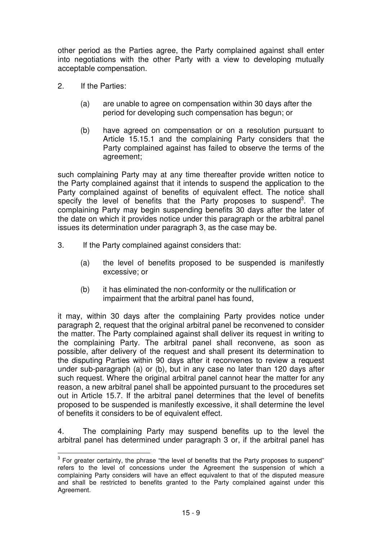other period as the Parties agree, the Party complained against shall enter into negotiations with the other Party with a view to developing mutually acceptable compensation.

2. If the Parties:

 $\overline{a}$ 

- (a) are unable to agree on compensation within 30 days after the period for developing such compensation has begun; or
- (b) have agreed on compensation or on a resolution pursuant to Article 15.15.1 and the complaining Party considers that the Party complained against has failed to observe the terms of the agreement;

such complaining Party may at any time thereafter provide written notice to the Party complained against that it intends to suspend the application to the Party complained against of benefits of equivalent effect. The notice shall specify the level of benefits that the Party proposes to suspend<sup>3</sup>. The complaining Party may begin suspending benefits 30 days after the later of the date on which it provides notice under this paragraph or the arbitral panel issues its determination under paragraph 3, as the case may be.

- 3. If the Party complained against considers that:
	- (a) the level of benefits proposed to be suspended is manifestly excessive; or
	- (b) it has eliminated the non-conformity or the nullification or impairment that the arbitral panel has found,

it may, within 30 days after the complaining Party provides notice under paragraph 2, request that the original arbitral panel be reconvened to consider the matter. The Party complained against shall deliver its request in writing to the complaining Party. The arbitral panel shall reconvene, as soon as possible, after delivery of the request and shall present its determination to the disputing Parties within 90 days after it reconvenes to review a request under sub-paragraph (a) or (b), but in any case no later than 120 days after such request. Where the original arbitral panel cannot hear the matter for any reason, a new arbitral panel shall be appointed pursuant to the procedures set out in Article 15.7. If the arbitral panel determines that the level of benefits proposed to be suspended is manifestly excessive, it shall determine the level of benefits it considers to be of equivalent effect.

4. The complaining Party may suspend benefits up to the level the arbitral panel has determined under paragraph 3 or, if the arbitral panel has

 $3$  For greater certainty, the phrase "the level of benefits that the Party proposes to suspend" refers to the level of concessions under the Agreement the suspension of which a complaining Party considers will have an effect equivalent to that of the disputed measure and shall be restricted to benefits granted to the Party complained against under this Agreement.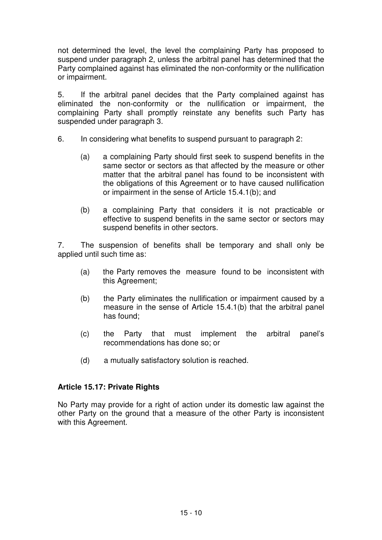not determined the level, the level the complaining Party has proposed to suspend under paragraph 2, unless the arbitral panel has determined that the Party complained against has eliminated the non-conformity or the nullification or impairment.

5. If the arbitral panel decides that the Party complained against has eliminated the non-conformity or the nullification or impairment, the complaining Party shall promptly reinstate any benefits such Party has suspended under paragraph 3.

- 6. In considering what benefits to suspend pursuant to paragraph 2:
	- (a) a complaining Party should first seek to suspend benefits in the same sector or sectors as that affected by the measure or other matter that the arbitral panel has found to be inconsistent with the obligations of this Agreement or to have caused nullification or impairment in the sense of Article 15.4.1(b); and
	- (b) a complaining Party that considers it is not practicable or effective to suspend benefits in the same sector or sectors may suspend benefits in other sectors.

7. The suspension of benefits shall be temporary and shall only be applied until such time as:

- (a) the Party removes the measure found to be inconsistent with this Agreement;
- (b) the Party eliminates the nullification or impairment caused by a measure in the sense of Article 15.4.1(b) that the arbitral panel has found;
- (c) the Party that must implement the arbitral panel's recommendations has done so; or
- (d) a mutually satisfactory solution is reached.

## **Article 15.17: Private Rights**

No Party may provide for a right of action under its domestic law against the other Party on the ground that a measure of the other Party is inconsistent with this Agreement.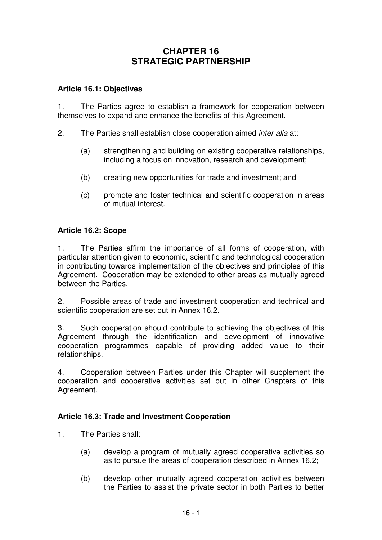# **CHAPTER 16 STRATEGIC PARTNERSHIP**

#### **Article 16.1: Objectives**

1. The Parties agree to establish a framework for cooperation between themselves to expand and enhance the benefits of this Agreement.

- 2. The Parties shall establish close cooperation aimed *inter alia* at:
	- (a) strengthening and building on existing cooperative relationships, including a focus on innovation, research and development;
	- (b) creating new opportunities for trade and investment; and
	- (c) promote and foster technical and scientific cooperation in areas of mutual interest.

#### **Article 16.2: Scope**

1. The Parties affirm the importance of all forms of cooperation, with particular attention given to economic, scientific and technological cooperation in contributing towards implementation of the objectives and principles of this Agreement. Cooperation may be extended to other areas as mutually agreed between the Parties.

2. Possible areas of trade and investment cooperation and technical and scientific cooperation are set out in Annex 16.2.

3. Such cooperation should contribute to achieving the objectives of this Agreement through the identification and development of innovative cooperation programmes capable of providing added value to their relationships.

4. Cooperation between Parties under this Chapter will supplement the cooperation and cooperative activities set out in other Chapters of this Agreement.

## **Article 16.3: Trade and Investment Cooperation**

- 1. The Parties shall:
	- (a) develop a program of mutually agreed cooperative activities so as to pursue the areas of cooperation described in Annex 16.2;
	- (b) develop other mutually agreed cooperation activities between the Parties to assist the private sector in both Parties to better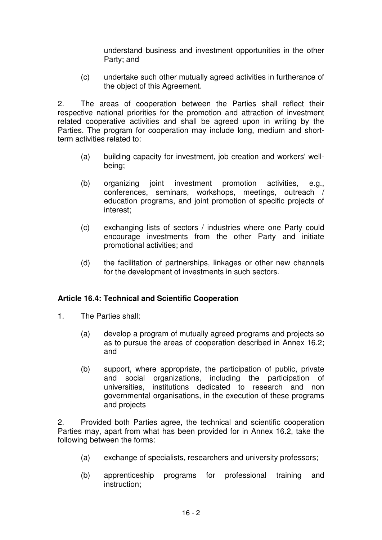understand business and investment opportunities in the other Party; and

(c) undertake such other mutually agreed activities in furtherance of the object of this Agreement.

2. The areas of cooperation between the Parties shall reflect their respective national priorities for the promotion and attraction of investment related cooperative activities and shall be agreed upon in writing by the Parties. The program for cooperation may include long, medium and shortterm activities related to:

- (a) building capacity for investment, job creation and workers' wellbeing;
- (b) organizing joint investment promotion activities, e.g., conferences, seminars, workshops, meetings, outreach / education programs, and joint promotion of specific projects of interest;
- (c) exchanging lists of sectors / industries where one Party could encourage investments from the other Party and initiate promotional activities; and
- (d) the facilitation of partnerships, linkages or other new channels for the development of investments in such sectors.

## **Article 16.4: Technical and Scientific Cooperation**

- 1. The Parties shall:
	- (a) develop a program of mutually agreed programs and projects so as to pursue the areas of cooperation described in Annex 16.2; and
	- (b) support, where appropriate, the participation of public, private and social organizations, including the participation of universities, institutions dedicated to research and non governmental organisations, in the execution of these programs and projects

2. Provided both Parties agree, the technical and scientific cooperation Parties may, apart from what has been provided for in Annex 16.2, take the following between the forms:

- (a) exchange of specialists, researchers and university professors;
- (b) apprenticeship programs for professional training and instruction;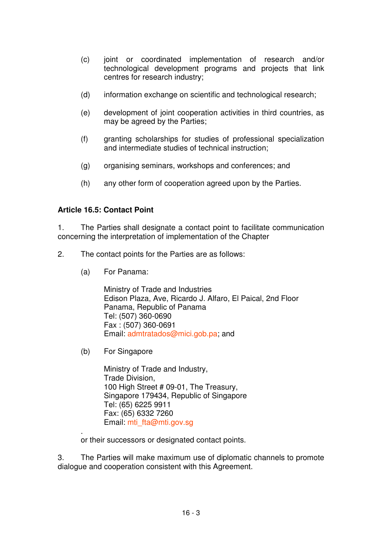- (c) joint or coordinated implementation of research and/or technological development programs and projects that link centres for research industry;
- (d) information exchange on scientific and technological research;
- (e) development of joint cooperation activities in third countries, as may be agreed by the Parties;
- (f) granting scholarships for studies of professional specialization and intermediate studies of technical instruction;
- (g) organising seminars, workshops and conferences; and
- (h) any other form of cooperation agreed upon by the Parties.

#### **Article 16.5: Contact Point**

1. The Parties shall designate a contact point to facilitate communication concerning the interpretation of implementation of the Chapter

- 2. The contact points for the Parties are as follows:
	- (a) For Panama:

Ministry of Trade and Industries Edison Plaza, Ave, Ricardo J. Alfaro, El Paical, 2nd Floor Panama, Republic of Panama Tel: (507) 360-0690 Fax : (507) 360-0691 Email: admtratados@mici.gob.pa; and

(b) For Singapore

.

Ministry of Trade and Industry, Trade Division, 100 High Street # 09-01, The Treasury, Singapore 179434, Republic of Singapore Tel: (65) 6225 9911 Fax: (65) 6332 7260 Email: mti\_fta@mti.gov.sg

or their successors or designated contact points.

3. The Parties will make maximum use of diplomatic channels to promote dialogue and cooperation consistent with this Agreement.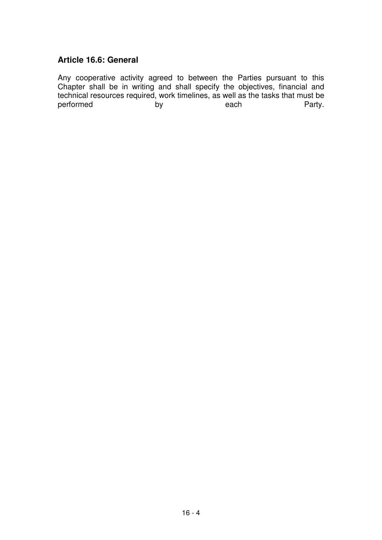## **Article 16.6: General**

Any cooperative activity agreed to between the Parties pursuant to this Chapter shall be in writing and shall specify the objectives, financial and technical resources required, work timelines, as well as the tasks that must be performed by by each Party.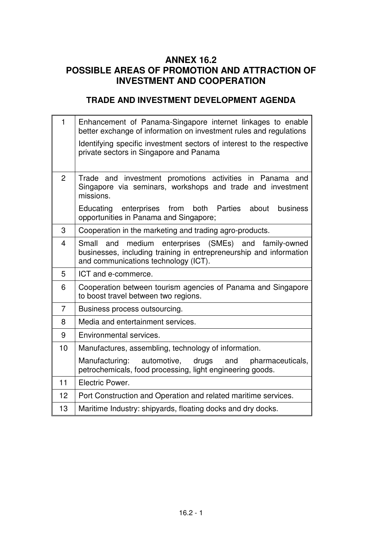# **ANNEX 16.2 POSSIBLE AREAS OF PROMOTION AND ATTRACTION OF INVESTMENT AND COOPERATION**

## **TRADE AND INVESTMENT DEVELOPMENT AGENDA**

| $\mathbf{1}$   | Enhancement of Panama-Singapore internet linkages to enable<br>better exchange of information on investment rules and regulations                                        |
|----------------|--------------------------------------------------------------------------------------------------------------------------------------------------------------------------|
|                | Identifying specific investment sectors of interest to the respective<br>private sectors in Singapore and Panama                                                         |
| $\overline{2}$ | Trade and investment promotions activities in Panama and<br>Singapore via seminars, workshops and trade and investment<br>missions.                                      |
|                | Educating<br>enterprises from both Parties<br>business<br>about<br>opportunities in Panama and Singapore;                                                                |
| 3              | Cooperation in the marketing and trading agro-products.                                                                                                                  |
| $\overline{4}$ | medium enterprises (SMEs) and family-owned<br>Small<br>and<br>businesses, including training in entrepreneurship and information<br>and communications technology (ICT). |
| 5              | ICT and e-commerce.                                                                                                                                                      |
| 6              | Cooperation between tourism agencies of Panama and Singapore<br>to boost travel between two regions.                                                                     |
| $\overline{7}$ | Business process outsourcing.                                                                                                                                            |
| 8              | Media and entertainment services.                                                                                                                                        |
| 9              | Environmental services.                                                                                                                                                  |
| 10             | Manufactures, assembling, technology of information.                                                                                                                     |
|                | automotive, drugs<br>Manufacturing:<br>and<br>pharmaceuticals,<br>petrochemicals, food processing, light engineering goods.                                              |
| 11             | Electric Power.                                                                                                                                                          |
| 12             | Port Construction and Operation and related maritime services.                                                                                                           |
| 13             | Maritime Industry: shipyards, floating docks and dry docks.                                                                                                              |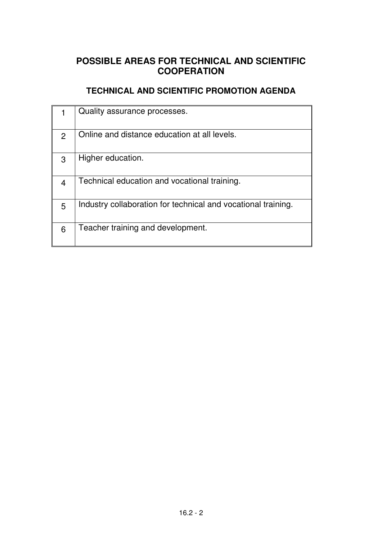# **POSSIBLE AREAS FOR TECHNICAL AND SCIENTIFIC COOPERATION**

# **TECHNICAL AND SCIENTIFIC PROMOTION AGENDA**

|                | Quality assurance processes.                                  |
|----------------|---------------------------------------------------------------|
|                |                                                               |
| $\overline{2}$ | Online and distance education at all levels.                  |
| 3              | Higher education.                                             |
| 4              | Technical education and vocational training.                  |
| 5              | Industry collaboration for technical and vocational training. |
| 6              | Teacher training and development.                             |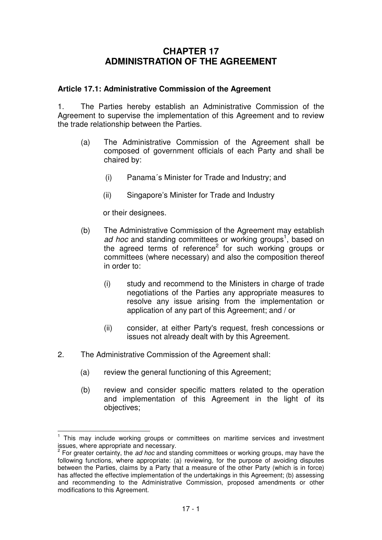# **CHAPTER 17 ADMINISTRATION OF THE AGREEMENT**

#### **Article 17.1: Administrative Commission of the Agreement**

1. The Parties hereby establish an Administrative Commission of the Agreement to supervise the implementation of this Agreement and to review the trade relationship between the Parties.

- (a) The Administrative Commission of the Agreement shall be composed of government officials of each Party and shall be chaired by:
	- (i) Panama´s Minister for Trade and Industry; and
	- (ii) Singapore's Minister for Trade and Industry

or their designees.

 $\overline{a}$ 

- (b) The Administrative Commission of the Agreement may establish ad hoc and standing committees or working groups<sup>1</sup>, based on the agreed terms of reference<sup>2</sup> for such working groups or committees (where necessary) and also the composition thereof in order to:
	- (i) study and recommend to the Ministers in charge of trade negotiations of the Parties any appropriate measures to resolve any issue arising from the implementation or application of any part of this Agreement; and / or
	- (ii) consider, at either Party's request, fresh concessions or issues not already dealt with by this Agreement.
- 2. The Administrative Commission of the Agreement shall:
	- (a) review the general functioning of this Agreement;
	- (b) review and consider specific matters related to the operation and implementation of this Agreement in the light of its objectives;

<sup>&</sup>lt;sup>1</sup> This may include working groups or committees on maritime services and investment issues, where appropriate and necessary.

<sup>&</sup>lt;sup>2</sup> For greater certainty, the ad hoc and standing committees or working groups, may have the following functions, where appropriate: (a) reviewing, for the purpose of avoiding disputes between the Parties, claims by a Party that a measure of the other Party (which is in force) has affected the effective implementation of the undertakings in this Agreement; (b) assessing and recommending to the Administrative Commission, proposed amendments or other modifications to this Agreement.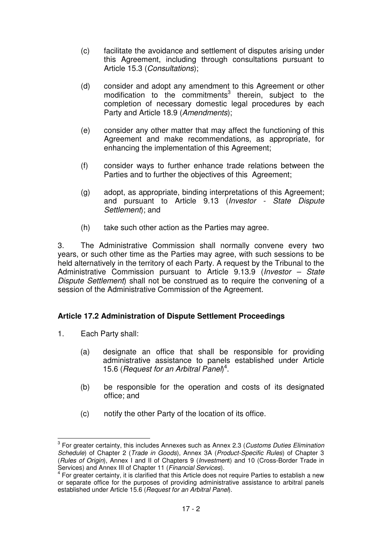- (c) facilitate the avoidance and settlement of disputes arising under this Agreement, including through consultations pursuant to Article 15.3 (Consultations);
- (d) consider and adopt any amendment to this Agreement or other modification to the commitments $3$  therein, subject to the completion of necessary domestic legal procedures by each Party and Article 18.9 (Amendments);
- (e) consider any other matter that may affect the functioning of this Agreement and make recommendations, as appropriate, for enhancing the implementation of this Agreement;
- (f) consider ways to further enhance trade relations between the Parties and to further the objectives of this Agreement;
- (g) adopt, as appropriate, binding interpretations of this Agreement; and pursuant to Article 9.13 (Investor - State Dispute Settlement); and
- (h) take such other action as the Parties may agree.

3. The Administrative Commission shall normally convene every two years, or such other time as the Parties may agree, with such sessions to be held alternatively in the territory of each Party. A request by the Tribunal to the Administrative Commission pursuant to Article 9.13.9 (Investor – State Dispute Settlement) shall not be construed as to require the convening of a session of the Administrative Commission of the Agreement.

## **Article 17.2 Administration of Dispute Settlement Proceedings**

1. Each Party shall:

 $\overline{a}$ 

- (a) designate an office that shall be responsible for providing administrative assistance to panels established under Article 15.6 (Request for an Arbitral Panel)<sup>4</sup>.
- (b) be responsible for the operation and costs of its designated office; and
- (c) notify the other Party of the location of its office.

 $3$  For greater certainty, this includes Annexes such as Annex 2.3 (Customs Duties Elimination Schedule) of Chapter 2 (Trade in Goods), Annex 3A (Product-Specific Rules) of Chapter 3 (Rules of Origin), Annex I and II of Chapters 9 (Investment) and 10 (Cross-Border Trade in Services) and Annex III of Chapter 11 (*Financial Services*).

 $4$  For greater certainty, it is clarified that this Article does not require Parties to establish a new or separate office for the purposes of providing administrative assistance to arbitral panels established under Article 15.6 (Request for an Arbitral Panel).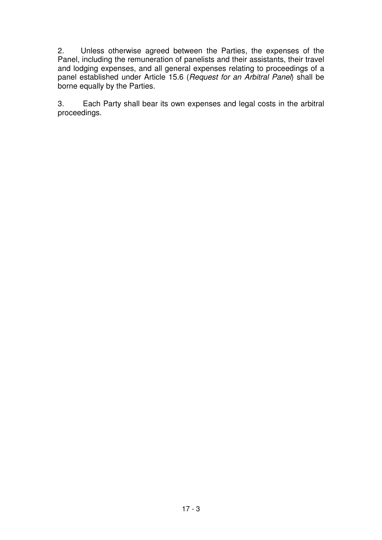2. Unless otherwise agreed between the Parties, the expenses of the Panel, including the remuneration of panelists and their assistants, their travel and lodging expenses, and all general expenses relating to proceedings of a panel established under Article 15.6 (Request for an Arbitral Panel) shall be borne equally by the Parties.

3. Each Party shall bear its own expenses and legal costs in the arbitral proceedings.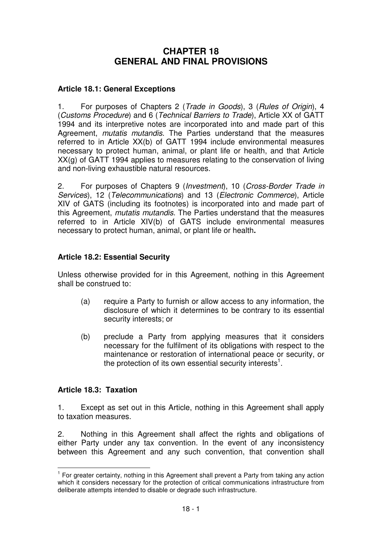# **CHAPTER 18 GENERAL AND FINAL PROVISIONS**

#### **Article 18.1: General Exceptions**

1. For purposes of Chapters 2 (Trade in Goods), 3 (Rules of Origin), 4 (Customs Procedure) and 6 (Technical Barriers to Trade), Article XX of GATT 1994 and its interpretive notes are incorporated into and made part of this Agreement, *mutatis mutandis*. The Parties understand that the measures referred to in Article XX(b) of GATT 1994 include environmental measures necessary to protect human, animal, or plant life or health, and that Article XX(a) of GATT 1994 applies to measures relating to the conservation of living and non-living exhaustible natural resources.

2. For purposes of Chapters 9 (Investment), 10 (Cross-Border Trade in Services), 12 (Telecommunications) and 13 (Electronic Commerce), Article XIV of GATS (including its footnotes) is incorporated into and made part of this Agreement, mutatis mutandis. The Parties understand that the measures referred to in Article XIV(b) of GATS include environmental measures necessary to protect human, animal, or plant life or health**.** 

#### **Article 18.2: Essential Security**

Unless otherwise provided for in this Agreement, nothing in this Agreement shall be construed to:

- (a) require a Party to furnish or allow access to any information, the disclosure of which it determines to be contrary to its essential security interests; or
- (b) preclude a Party from applying measures that it considers necessary for the fulfilment of its obligations with respect to the maintenance or restoration of international peace or security, or the protection of its own essential security interests<sup>1</sup>.

#### **Article 18.3: Taxation**

 $\overline{a}$ 

1. Except as set out in this Article, nothing in this Agreement shall apply to taxation measures.

2. Nothing in this Agreement shall affect the rights and obligations of either Party under any tax convention. In the event of any inconsistency between this Agreement and any such convention, that convention shall

 $1$  For greater certainty, nothing in this Agreement shall prevent a Party from taking any action which it considers necessary for the protection of critical communications infrastructure from deliberate attempts intended to disable or degrade such infrastructure.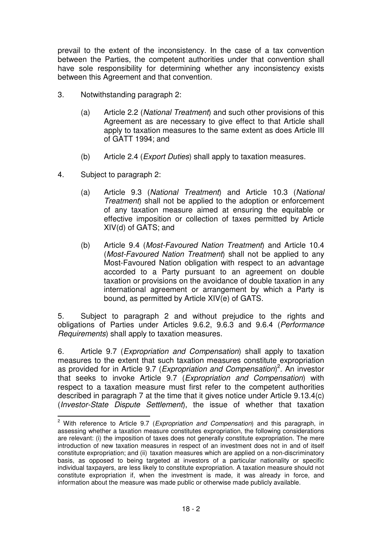prevail to the extent of the inconsistency. In the case of a tax convention between the Parties, the competent authorities under that convention shall have sole responsibility for determining whether any inconsistency exists between this Agreement and that convention.

- 3. Notwithstanding paragraph 2:
	- (a) Article 2.2 (National Treatment) and such other provisions of this Agreement as are necessary to give effect to that Article shall apply to taxation measures to the same extent as does Article III of GATT 1994; and
	- (b) Article 2.4 (Export Duties) shall apply to taxation measures.
- 4. Subject to paragraph 2:

 $\overline{a}$ 

- (a) Article 9.3 (National Treatment) and Article 10.3 (National Treatment) shall not be applied to the adoption or enforcement of any taxation measure aimed at ensuring the equitable or effective imposition or collection of taxes permitted by Article XIV(d) of GATS; and
- (b) Article 9.4 (Most-Favoured Nation Treatment) and Article 10.4 (Most-Favoured Nation Treatment) shall not be applied to any Most-Favoured Nation obligation with respect to an advantage accorded to a Party pursuant to an agreement on double taxation or provisions on the avoidance of double taxation in any international agreement or arrangement by which a Party is bound, as permitted by Article XIV(e) of GATS.

5. Subject to paragraph 2 and without prejudice to the rights and obligations of Parties under Articles 9.6.2, 9.6.3 and 9.6.4 (Performance Requirements) shall apply to taxation measures.

6. Article 9.7 (Expropriation and Compensation) shall apply to taxation measures to the extent that such taxation measures constitute expropriation as provided for in Article 9.7 (Expropriation and Compensation)<sup>2</sup>. An investor that seeks to invoke Article 9.7 (Expropriation and Compensation) with respect to a taxation measure must first refer to the competent authorities described in paragraph 7 at the time that it gives notice under Article 9.13.4(c) (Investor-State Dispute Settlement), the issue of whether that taxation

<sup>&</sup>lt;sup>2</sup> With reference to Article 9.7 (Expropriation and Compensation) and this paragraph, in assessing whether a taxation measure constitutes expropriation, the following considerations are relevant: (i) the imposition of taxes does not generally constitute expropriation. The mere introduction of new taxation measures in respect of an investment does not in and of itself constitute expropriation; and (ii) taxation measures which are applied on a non-discriminatory basis, as opposed to being targeted at investors of a particular nationality or specific individual taxpayers, are less likely to constitute expropriation. A taxation measure should not constitute expropriation if, when the investment is made, it was already in force, and information about the measure was made public or otherwise made publicly available.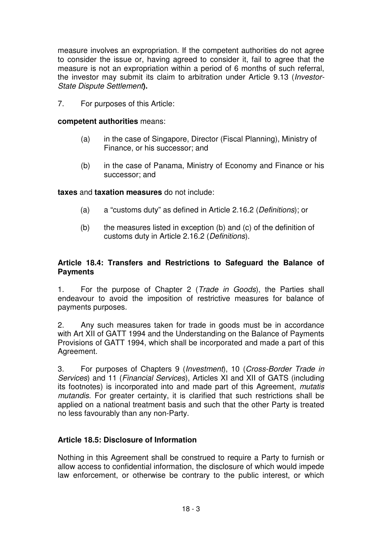measure involves an expropriation. If the competent authorities do not agree to consider the issue or, having agreed to consider it, fail to agree that the measure is not an expropriation within a period of 6 months of such referral, the investor may submit its claim to arbitration under Article 9.13 (Investor-State Dispute Settlement**).**

7. For purposes of this Article:

### **competent authorities** means:

- (a) in the case of Singapore, Director (Fiscal Planning), Ministry of Finance, or his successor; and
- (b) in the case of Panama, Ministry of Economy and Finance or his successor; and

### **taxes** and **taxation measures** do not include:

- (a) a "customs duty" as defined in Article 2.16.2 (Definitions); or
- (b) the measures listed in exception (b) and (c) of the definition of customs duty in Article 2.16.2 (Definitions).

### **Article 18.4: Transfers and Restrictions to Safeguard the Balance of Payments**

1. For the purpose of Chapter 2 (Trade in Goods), the Parties shall endeavour to avoid the imposition of restrictive measures for balance of payments purposes.

2. Any such measures taken for trade in goods must be in accordance with Art XII of GATT 1994 and the Understanding on the Balance of Payments Provisions of GATT 1994, which shall be incorporated and made a part of this Agreement.

3. For purposes of Chapters 9 (Investment), 10 (Cross-Border Trade in Services) and 11 (Financial Services), Articles XI and XII of GATS (including its footnotes) is incorporated into and made part of this Agreement, mutatis mutandis. For greater certainty, it is clarified that such restrictions shall be applied on a national treatment basis and such that the other Party is treated no less favourably than any non-Party.

## **Article 18.5: Disclosure of Information**

Nothing in this Agreement shall be construed to require a Party to furnish or allow access to confidential information, the disclosure of which would impede law enforcement, or otherwise be contrary to the public interest, or which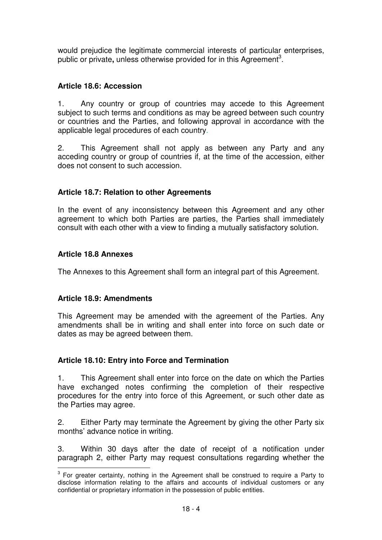would prejudice the legitimate commercial interests of particular enterprises, public or private, unless otherwise provided for in this Agreement<sup>3</sup>.

### **Article 18.6: Accession**

1. Any country or group of countries may accede to this Agreement subject to such terms and conditions as may be agreed between such country or countries and the Parties, and following approval in accordance with the applicable legal procedures of each country.

2. This Agreement shall not apply as between any Party and any acceding country or group of countries if, at the time of the accession, either does not consent to such accession.

## **Article 18.7: Relation to other Agreements**

In the event of any inconsistency between this Agreement and any other agreement to which both Parties are parties, the Parties shall immediately consult with each other with a view to finding a mutually satisfactory solution.

## **Article 18.8 Annexes**

The Annexes to this Agreement shall form an integral part of this Agreement.

### **Article 18.9: Amendments**

This Agreement may be amended with the agreement of the Parties. Any amendments shall be in writing and shall enter into force on such date or dates as may be agreed between them.

### **Article 18.10: Entry into Force and Termination**

1. This Agreement shall enter into force on the date on which the Parties have exchanged notes confirming the completion of their respective procedures for the entry into force of this Agreement, or such other date as the Parties may agree.

2. Either Party may terminate the Agreement by giving the other Party six months' advance notice in writing.

3. Within 30 days after the date of receipt of a notification under paragraph 2, either Party may request consultations regarding whether the  $\overline{a}$ 

 $3$  For greater certainty, nothing in the Agreement shall be construed to require a Party to disclose information relating to the affairs and accounts of individual customers or any confidential or proprietary information in the possession of public entities.